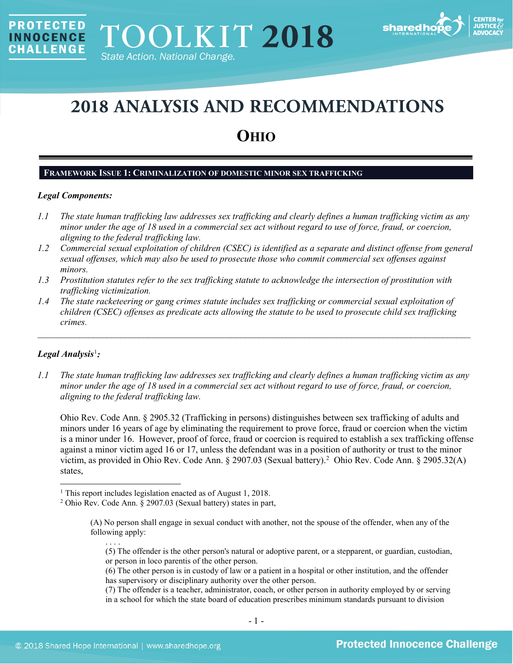

# **2018 ANALYSIS AND RECOMMENDATIONS**

## **OHIO**

## **FRAMEWORK ISSUE 1: CRIMINALIZATION OF DOMESTIC MINOR SEX TRAFFICKING**

## *Legal Components:*

**PROTECTED** 

**INNOCENCE CHALLENGE** 

- *1.1 The state human trafficking law addresses sex trafficking and clearly defines a human trafficking victim as any minor under the age of 18 used in a commercial sex act without regard to use of force, fraud, or coercion, aligning to the federal trafficking law.*
- *1.2 Commercial sexual exploitation of children (CSEC) is identified as a separate and distinct offense from general sexual offenses, which may also be used to prosecute those who commit commercial sex offenses against minors.*
- *1.3 Prostitution statutes refer to the sex trafficking statute to acknowledge the intersection of prostitution with trafficking victimization.*
- *1.4 The state racketeering or gang crimes statute includes sex trafficking or commercial sexual exploitation of children (CSEC) offenses as predicate acts allowing the statute to be used to prosecute child sex trafficking crimes.*

 $\mathcal{L}_\mathcal{L} = \mathcal{L}_\mathcal{L} = \mathcal{L}_\mathcal{L} = \mathcal{L}_\mathcal{L} = \mathcal{L}_\mathcal{L} = \mathcal{L}_\mathcal{L} = \mathcal{L}_\mathcal{L} = \mathcal{L}_\mathcal{L} = \mathcal{L}_\mathcal{L} = \mathcal{L}_\mathcal{L} = \mathcal{L}_\mathcal{L} = \mathcal{L}_\mathcal{L} = \mathcal{L}_\mathcal{L} = \mathcal{L}_\mathcal{L} = \mathcal{L}_\mathcal{L} = \mathcal{L}_\mathcal{L} = \mathcal{L}_\mathcal{L}$ 

## *Legal Analysis*[1](#page-0-0) *:*

l

*1.1 The state human trafficking law addresses sex trafficking and clearly defines a human trafficking victim as any minor under the age of 18 used in a commercial sex act without regard to use of force, fraud, or coercion, aligning to the federal trafficking law.*

Ohio Rev. Code Ann. § 2905.32 (Trafficking in persons) distinguishes between sex trafficking of adults and minors under 16 years of age by eliminating the requirement to prove force, fraud or coercion when the victim is a minor under 16. However, proof of force, fraud or coercion is required to establish a sex trafficking offense against a minor victim aged 16 or 17, unless the defendant was in a position of authority or trust to the minor victim, as provided in Ohio Rev. Code Ann. § 2907.03 (Sexual battery).[2](#page-0-1) Ohio Rev. Code Ann. § 2905.32(A) states,

- (6) The other person is in custody of law or a patient in a hospital or other institution, and the offender has supervisory or disciplinary authority over the other person.
- (7) The offender is a teacher, administrator, coach, or other person in authority employed by or serving in a school for which the state board of education prescribes minimum standards pursuant to division

<span id="page-0-1"></span><span id="page-0-0"></span><sup>&</sup>lt;sup>1</sup> This report includes legislation enacted as of August 1, 2018.

<sup>2</sup> Ohio Rev. Code Ann. § 2907.03 (Sexual battery) states in part,

<sup>(</sup>A) No person shall engage in sexual conduct with another, not the spouse of the offender, when any of the following apply:

<span id="page-0-2"></span><sup>. . . .</sup> (5) The offender is the other person's natural or adoptive parent, or a stepparent, or guardian, custodian, or person in loco parentis of the other person.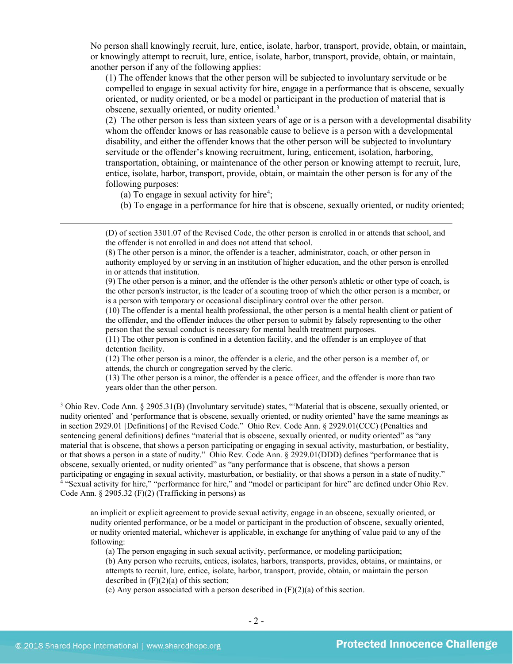No person shall knowingly recruit, lure, entice, isolate, harbor, transport, provide, obtain, or maintain, or knowingly attempt to recruit, lure, entice, isolate, harbor, transport, provide, obtain, or maintain, another person if any of the following applies:

(1) The offender knows that the other person will be subjected to involuntary servitude or be compelled to engage in sexual activity for hire, engage in a performance that is obscene, sexually oriented, or nudity oriented, or be a model or participant in the production of material that is obscene, sexually oriented, or nudity oriented.[3](#page-1-0)

(2) The other person is less than sixteen years of age or is a person with a developmental disability whom the offender knows or has reasonable cause to believe is a person with a developmental disability, and either the offender knows that the other person will be subjected to involuntary servitude or the offender's knowing recruitment, luring, enticement, isolation, harboring, transportation, obtaining, or maintenance of the other person or knowing attempt to recruit, lure, entice, isolate, harbor, transport, provide, obtain, or maintain the other person is for any of the following purposes:

(a) To engage in sexual activity for hire<sup>[4](#page-1-1)</sup>;

(b) To engage in a performance for hire that is obscene, sexually oriented, or nudity oriented;

(D) of section 3301.07 of the Revised Code, the other person is enrolled in or attends that school, and the offender is not enrolled in and does not attend that school.

(8) The other person is a minor, the offender is a teacher, administrator, coach, or other person in authority employed by or serving in an institution of higher education, and the other person is enrolled in or attends that institution.

(9) The other person is a minor, and the offender is the other person's athletic or other type of coach, is the other person's instructor, is the leader of a scouting troop of which the other person is a member, or is a person with temporary or occasional disciplinary control over the other person.

(10) The offender is a mental health professional, the other person is a mental health client or patient of the offender, and the offender induces the other person to submit by falsely representing to the other person that the sexual conduct is necessary for mental health treatment purposes.

(11) The other person is confined in a detention facility, and the offender is an employee of that detention facility.

(12) The other person is a minor, the offender is a cleric, and the other person is a member of, or attends, the church or congregation served by the cleric.

(13) The other person is a minor, the offender is a peace officer, and the offender is more than two years older than the other person.

<span id="page-1-0"></span><sup>3</sup> Ohio Rev. Code Ann. § 2905.31(B) (Involuntary servitude) states, "'Material that is obscene, sexually oriented, or nudity oriented' and 'performance that is obscene, sexually oriented, or nudity oriented' have the same meanings as in section 2929.01 [Definitions] of the Revised Code." Ohio Rev. Code Ann. § 2929.01(CCC) (Penalties and sentencing general definitions) defines "material that is obscene, sexually oriented, or nudity oriented" as "any material that is obscene, that shows a person participating or engaging in sexual activity, masturbation, or bestiality, or that shows a person in a state of nudity." Ohio Rev. Code Ann. § 2929.01(DDD) defines "performance that is obscene, sexually oriented, or nudity oriented" as "any performance that is obscene, that shows a person participating or engaging in sexual activity, masturbation, or bestiality, or that shows a person in a state of nudity." <sup>4</sup> "Sexual activity for hire," "performance for hire," and "model or participant for hire" are defined under Ohio Rev. Code Ann. § 2905.32 (F)(2) (Trafficking in persons) as

<span id="page-1-1"></span>an implicit or explicit agreement to provide sexual activity, engage in an obscene, sexually oriented, or nudity oriented performance, or be a model or participant in the production of obscene, sexually oriented, or nudity oriented material, whichever is applicable, in exchange for anything of value paid to any of the following:

(a) The person engaging in such sexual activity, performance, or modeling participation;

(b) Any person who recruits, entices, isolates, harbors, transports, provides, obtains, or maintains, or attempts to recruit, lure, entice, isolate, harbor, transport, provide, obtain, or maintain the person described in  $(F)(2)(a)$  of this section;

(c) Any person associated with a person described in (F)(2)(a) of this section.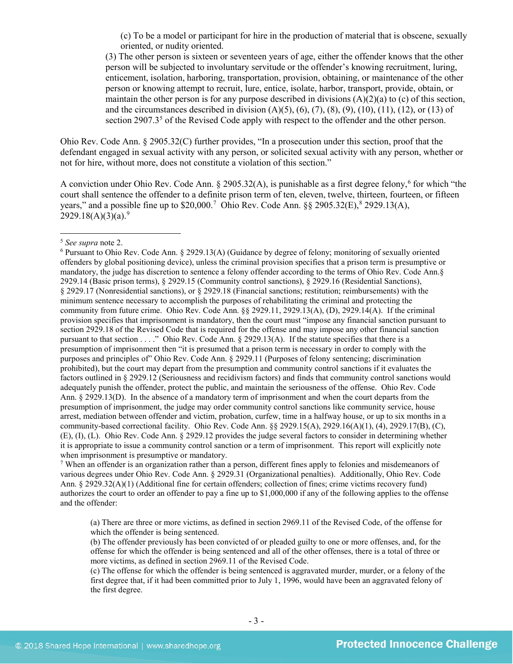(c) To be a model or participant for hire in the production of material that is obscene, sexually oriented, or nudity oriented.

(3) The other person is sixteen or seventeen years of age, either the offender knows that the other person will be subjected to involuntary servitude or the offender's knowing recruitment, luring, enticement, isolation, harboring, transportation, provision, obtaining, or maintenance of the other person or knowing attempt to recruit, lure, entice, isolate, harbor, transport, provide, obtain, or maintain the other person is for any purpose described in divisions (A)(2)(a) to (c) of this section, and the circumstances described in division  $(A)(5)$ ,  $(6)$ ,  $(7)$ ,  $(8)$ ,  $(9)$ ,  $(10)$ ,  $(11)$ ,  $(12)$ , or  $(13)$  of section 2907.3<sup>[5](#page-2-0)</sup> of the Revised Code apply with respect to the offender and the other person.

Ohio Rev. Code Ann. § 2905.32(C) further provides, "In a prosecution under this section, proof that the defendant engaged in sexual activity with any person, or solicited sexual activity with any person, whether or not for hire, without more, does not constitute a violation of this section."

A conviction under Ohio Rev. Code Ann. § 2905.32(A), is punishable as a first degree felony,<sup>[6](#page-2-1)</sup> for which "the court shall sentence the offender to a definite prison term of ten, eleven, twelve, thirteen, fourteen, or fifteen years," and a possible fine up to \$20,000.<sup>[7](#page-2-2)</sup> Ohio Rev. Code Ann. §§ 2905.32(E),<sup>[8](#page-2-3)</sup> 2929.13(A), 2[9](#page-2-4)29.18(A)(3)(a).<sup>9</sup>

 $\overline{\phantom{a}}$ 

<span id="page-2-3"></span><span id="page-2-2"></span><sup>7</sup> When an offender is an organization rather than a person, different fines apply to felonies and misdemeanors of various degrees under Ohio Rev. Code Ann. § 2929.31 (Organizational penalties). Additionally, Ohio Rev. Code Ann. § 2929.32(A)(1) (Additional fine for certain offenders; collection of fines; crime victims recovery fund) authorizes the court to order an offender to pay a fine up to \$1,000,000 if any of the following applies to the offense and the offender:

(a) There are three or more victims, as defined in section 2969.11 of the Revised Code, of the offense for which the offender is being sentenced.

<span id="page-2-4"></span>(b) The offender previously has been convicted of or pleaded guilty to one or more offenses, and, for the offense for which the offender is being sentenced and all of the other offenses, there is a total of three or more victims, as defined in section 2969.11 of the Revised Code.

(c) The offense for which the offender is being sentenced is aggravated murder, murder, or a felony of the first degree that, if it had been committed prior to July 1, 1996, would have been an aggravated felony of the first degree.

<span id="page-2-0"></span><sup>5</sup> *See supra* note [2.](#page-0-2)

<span id="page-2-1"></span><sup>6</sup> Pursuant to Ohio Rev. Code Ann. § 2929.13(A) (Guidance by degree of felony; monitoring of sexually oriented offenders by global positioning device), unless the criminal provision specifies that a prison term is presumptive or mandatory, the judge has discretion to sentence a felony offender according to the terms of Ohio Rev. Code Ann.§ 2929.14 (Basic prison terms), § 2929.15 (Community control sanctions), § 2929.16 (Residential Sanctions), § 2929.17 (Nonresidential sanctions), or § 2929.18 (Financial sanctions; restitution; reimbursements) with the minimum sentence necessary to accomplish the purposes of rehabilitating the criminal and protecting the community from future crime. Ohio Rev. Code Ann. §§ 2929.11, 2929.13(A), (D), 2929.14(A). If the criminal provision specifies that imprisonment is mandatory, then the court must "impose any financial sanction pursuant to section 2929.18 of the Revised Code that is required for the offense and may impose any other financial sanction pursuant to that section . . . ." Ohio Rev. Code Ann. § 2929.13(A). If the statute specifies that there is a presumption of imprisonment then "it is presumed that a prison term is necessary in order to comply with the purposes and principles of" Ohio Rev. Code Ann. § 2929.11 (Purposes of felony sentencing; discrimination prohibited), but the court may depart from the presumption and community control sanctions if it evaluates the factors outlined in § 2929.12 (Seriousness and recidivism factors) and finds that community control sanctions would adequately punish the offender, protect the public, and maintain the seriousness of the offense. Ohio Rev. Code Ann. § 2929.13(D). In the absence of a mandatory term of imprisonment and when the court departs from the presumption of imprisonment, the judge may order community control sanctions like community service, house arrest, mediation between offender and victim, probation, curfew, time in a halfway house, or up to six months in a community-based correctional facility. Ohio Rev. Code Ann. §§ 2929.15(A), 2929.16(A)(1), (4), 2929.17(B), (C), (E), (I), (L). Ohio Rev. Code Ann. § 2929.12 provides the judge several factors to consider in determining whether it is appropriate to issue a community control sanction or a term of imprisonment. This report will explicitly note when imprisonment is presumptive or mandatory.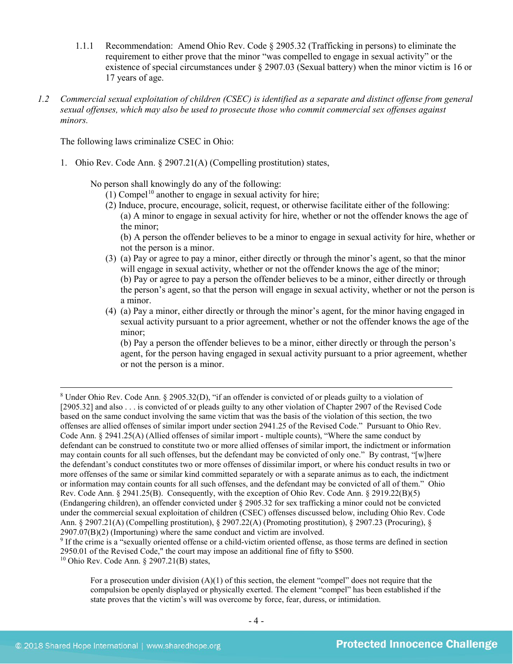- 1.1.1 Recommendation: Amend Ohio Rev. Code § 2905.32 (Trafficking in persons) to eliminate the requirement to either prove that the minor "was compelled to engage in sexual activity" or the existence of special circumstances under § 2907.03 (Sexual battery) when the minor victim is 16 or 17 years of age.
- *1.2 Commercial sexual exploitation of children (CSEC) is identified as a separate and distinct offense from general sexual offenses, which may also be used to prosecute those who commit commercial sex offenses against minors.*

The following laws criminalize CSEC in Ohio:

1. Ohio Rev. Code Ann. § 2907.21(A) (Compelling prostitution) states,

No person shall knowingly do any of the following:

- $(1)$  Compel<sup>[10](#page-3-0)</sup> another to engage in sexual activity for hire;
- (2) Induce, procure, encourage, solicit, request, or otherwise facilitate either of the following: (a) A minor to engage in sexual activity for hire, whether or not the offender knows the age of the minor;

(b) A person the offender believes to be a minor to engage in sexual activity for hire, whether or not the person is a minor.

- (3) (a) Pay or agree to pay a minor, either directly or through the minor's agent, so that the minor will engage in sexual activity, whether or not the offender knows the age of the minor; (b) Pay or agree to pay a person the offender believes to be a minor, either directly or through the person's agent, so that the person will engage in sexual activity, whether or not the person is a minor.
- (4) (a) Pay a minor, either directly or through the minor's agent, for the minor having engaged in sexual activity pursuant to a prior agreement, whether or not the offender knows the age of the minor;

(b) Pay a person the offender believes to be a minor, either directly or through the person's agent, for the person having engaged in sexual activity pursuant to a prior agreement, whether or not the person is a minor.

<sup>8</sup> Under Ohio Rev. Code Ann. § 2905.32(D), "if an offender is convicted of or pleads guilty to a violation of [2905.32] and also . . . is convicted of or pleads guilty to any other violation of Chapter 2907 of the Revised Code based on the same conduct involving the same victim that was the basis of the violation of this section, the two offenses are allied offenses of similar import under section 2941.25 of the Revised Code." Pursuant to Ohio Rev. Code Ann. § 2941.25(A) (Allied offenses of similar import - multiple counts), "Where the same conduct by defendant can be construed to constitute two or more allied offenses of similar import, the indictment or information may contain counts for all such offenses, but the defendant may be convicted of only one." By contrast, "[w]here the defendant's conduct constitutes two or more offenses of dissimilar import, or where his conduct results in two or more offenses of the same or similar kind committed separately or with a separate animus as to each, the indictment or information may contain counts for all such offenses, and the defendant may be convicted of all of them." Ohio Rev. Code Ann. § 2941.25(B). Consequently, with the exception of Ohio Rev. Code Ann. § 2919.22(B)(5) (Endangering children), an offender convicted under § 2905.32 for sex trafficking a minor could not be convicted under the commercial sexual exploitation of children (CSEC) offenses discussed below, including Ohio Rev. Code Ann. § 2907.21(A) (Compelling prostitution), § 2907.22(A) (Promoting prostitution), § 2907.23 (Procuring), § 2907.07(B)(2) (Importuning) where the same conduct and victim are involved.

<span id="page-3-0"></span><sup>&</sup>lt;sup>9</sup> If the crime is a "sexually oriented offense or a child-victim oriented offense, as those terms are defined in section 2950.01 of the Revised Code," the court may impose an additional fine of fifty to \$500.  $10$  Ohio Rev. Code Ann. § 2907.21(B) states,

For a prosecution under division (A)(1) of this section, the element "compel" does not require that the compulsion be openly displayed or physically exerted. The element "compel" has been established if the state proves that the victim's will was overcome by force, fear, duress, or intimidation.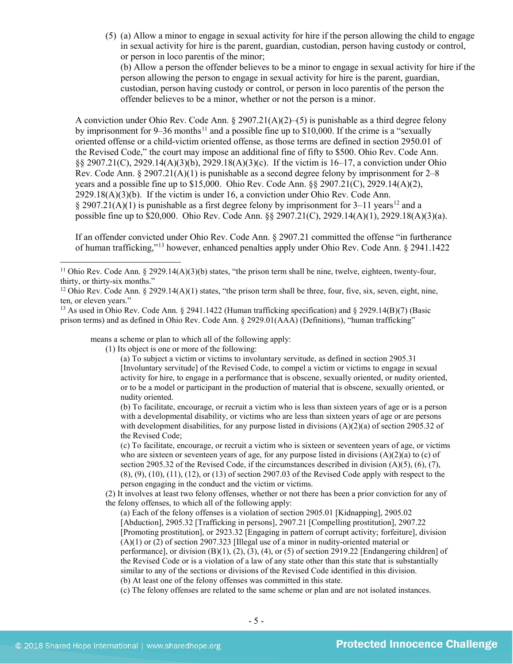(5) (a) Allow a minor to engage in sexual activity for hire if the person allowing the child to engage in sexual activity for hire is the parent, guardian, custodian, person having custody or control, or person in loco parentis of the minor;

<span id="page-4-4"></span><span id="page-4-3"></span>(b) Allow a person the offender believes to be a minor to engage in sexual activity for hire if the person allowing the person to engage in sexual activity for hire is the parent, guardian, custodian, person having custody or control, or person in loco parentis of the person the offender believes to be a minor, whether or not the person is a minor.

A conviction under Ohio Rev. Code Ann. § 2907.21(A)(2)–(5) is punishable as a third degree felony by imprisonment for  $9-36$  months<sup>[11](#page-4-0)</sup> and a possible fine up to \$10,000. If the crime is a "sexually oriented offense or a child-victim oriented offense, as those terms are defined in section 2950.01 of the Revised Code," the court may impose an additional fine of fifty to \$500. Ohio Rev. Code Ann. §§ 2907.21(C), 2929.14(A)(3)(b), 2929.18(A)(3)(c). If the victim is 16–17, a conviction under Ohio Rev. Code Ann. § 2907.21(A)(1) is punishable as a second degree felony by imprisonment for  $2-8$ years and a possible fine up to \$15,000. Ohio Rev. Code Ann. §§ 2907.21(C), 2929.14(A)(2),  $2929.18(A)(3)(b)$ . If the victim is under 16, a conviction under Ohio Rev. Code Ann.  $\S 2907.21(A)(1)$  is punishable as a first degree felony by imprisonment for 3–11 years<sup>[12](#page-4-1)</sup> and a possible fine up to \$20,000. Ohio Rev. Code Ann. §§ 2907.21(C), 2929.14(A)(1), 2929.18(A)(3)(a).

<span id="page-4-5"></span>If an offender convicted under Ohio Rev. Code Ann. § 2907.21 committed the offense "in furtherance of human trafficking,"[13](#page-4-2) however, enhanced penalties apply under Ohio Rev. Code Ann. § 2941.1422

means a scheme or plan to which all of the following apply:

(1) Its object is one or more of the following:

(a) To subject a victim or victims to involuntary servitude, as defined in section 2905.31 [Involuntary servitude] of the Revised Code, to compel a victim or victims to engage in sexual activity for hire, to engage in a performance that is obscene, sexually oriented, or nudity oriented, or to be a model or participant in the production of material that is obscene, sexually oriented, or nudity oriented.

(b) To facilitate, encourage, or recruit a victim who is less than sixteen years of age or is a person with a developmental disability, or victims who are less than sixteen years of age or are persons with development disabilities, for any purpose listed in divisions  $(A)(2)(a)$  of section 2905.32 of the Revised Code;

(c) To facilitate, encourage, or recruit a victim who is sixteen or seventeen years of age, or victims who are sixteen or seventeen years of age, for any purpose listed in divisions  $(A)(2)(a)$  to  $(c)$  of section 2905.32 of the Revised Code, if the circumstances described in division  $(A)(5)$ ,  $(6)$ ,  $(7)$ , (8), (9), (10), (11), (12), or (13) of section 2907.03 of the Revised Code apply with respect to the person engaging in the conduct and the victim or victims.

(2) It involves at least two felony offenses, whether or not there has been a prior conviction for any of the felony offenses, to which all of the following apply:

(a) Each of the felony offenses is a violation of section 2905.01 [Kidnapping], 2905.02 [Abduction], 2905.32 [Trafficking in persons], 2907.21 [Compelling prostitution], 2907.22 [Promoting prostitution], or 2923.32 [Engaging in pattern of corrupt activity; forfeiture], division (A)(1) or (2) of section 2907.323 [Illegal use of a minor in nudity-oriented material or performance], or division  $(B)(1)$ ,  $(2)$ ,  $(3)$ ,  $(4)$ , or  $(5)$  of section 2919.22 [Endangering children] of the Revised Code or is a violation of a law of any state other than this state that is substantially similar to any of the sections or divisions of the Revised Code identified in this division. (b) At least one of the felony offenses was committed in this state.

(c) The felony offenses are related to the same scheme or plan and are not isolated instances.

<span id="page-4-0"></span><sup>&</sup>lt;sup>11</sup> Ohio Rev. Code Ann. § 2929.14(A)(3)(b) states, "the prison term shall be nine, twelve, eighteen, twenty-four, thirty, or thirty-six months."

<span id="page-4-1"></span><sup>&</sup>lt;sup>12</sup> Ohio Rev. Code Ann. § 2929.14(A)(1) states, "the prison term shall be three, four, five, six, seven, eight, nine, ten, or eleven years."

<span id="page-4-2"></span><sup>13</sup> As used in Ohio Rev. Code Ann. § 2941.1422 (Human trafficking specification) and § 2929.14(B)(7) (Basic prison terms) and as defined in Ohio Rev. Code Ann. § 2929.01(AAA) (Definitions), "human trafficking"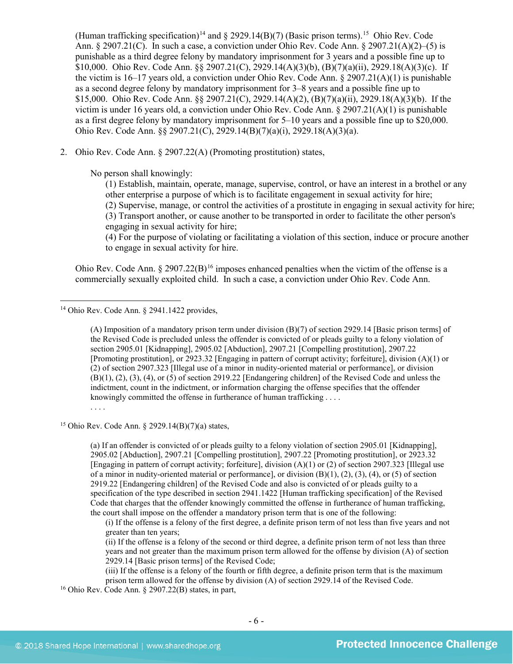(Human trafficking specification)<sup>[14](#page-5-0)</sup> and  $\S$  2929.14(B)(7) (Basic prison terms).<sup>[15](#page-5-1)</sup> Ohio Rev. Code Ann.  $\S 2907.21(C)$ . In such a case, a conviction under Ohio Rev. Code Ann.  $\S 2907.21(A)(2)$ –(5) is punishable as a third degree felony by mandatory imprisonment for 3 years and a possible fine up to \$10,000. Ohio Rev. Code Ann. §§ 2907.21(C), 2929.14(A)(3)(b), (B)(7)(a)(ii), 2929.18(A)(3)(c). If the victim is  $16-17$  years old, a conviction under Ohio Rev. Code Ann. § 2907.21(A)(1) is punishable as a second degree felony by mandatory imprisonment for 3–8 years and a possible fine up to \$15,000. Ohio Rev. Code Ann. §§ 2907.21(C), 2929.14(A)(2), (B)(7)(a)(ii), 2929.18(A)(3)(b). If the victim is under 16 years old, a conviction under Ohio Rev. Code Ann. § 2907.21(A)(1) is punishable as a first degree felony by mandatory imprisonment for 5–10 years and a possible fine up to \$20,000. Ohio Rev. Code Ann. §§ 2907.21(C), 2929.14(B)(7)(a)(i), 2929.18(A)(3)(a).

2. Ohio Rev. Code Ann. § 2907.22(A) (Promoting prostitution) states,

No person shall knowingly:

(1) Establish, maintain, operate, manage, supervise, control, or have an interest in a brothel or any other enterprise a purpose of which is to facilitate engagement in sexual activity for hire; (2) Supervise, manage, or control the activities of a prostitute in engaging in sexual activity for hire; (3) Transport another, or cause another to be transported in order to facilitate the other person's engaging in sexual activity for hire;

<span id="page-5-3"></span>(4) For the purpose of violating or facilitating a violation of this section, induce or procure another to engage in sexual activity for hire.

Ohio Rev. Code Ann.  $\S 2907.22(B)^{16}$  $\S 2907.22(B)^{16}$  $\S 2907.22(B)^{16}$  imposes enhanced penalties when the victim of the offense is a commercially sexually exploited child. In such a case, a conviction under Ohio Rev. Code Ann.

<span id="page-5-0"></span><sup>14</sup> Ohio Rev. Code Ann. § 2941.1422 provides,

(A) Imposition of a mandatory prison term under division (B)(7) of section 2929.14 [Basic prison terms] of the Revised Code is precluded unless the offender is convicted of or pleads guilty to a felony violation of section 2905.01 [Kidnapping], 2905.02 [Abduction], 2907.21 [Compelling prostitution], 2907.22 [Promoting prostitution], or 2923.32 [Engaging in pattern of corrupt activity; forfeiture], division (A)(1) or (2) of section 2907.323 [Illegal use of a minor in nudity-oriented material or performance], or division (B)(1), (2), (3), (4), or (5) of section 2919.22 [Endangering children] of the Revised Code and unless the indictment, count in the indictment, or information charging the offense specifies that the offender knowingly committed the offense in furtherance of human trafficking . . . .

## . . . .

 $\overline{\phantom{a}}$ 

<span id="page-5-1"></span><sup>15</sup> Ohio Rev. Code Ann. § 2929.14(B)(7)(a) states,

(a) If an offender is convicted of or pleads guilty to a felony violation of section 2905.01 [Kidnapping], 2905.02 [Abduction], 2907.21 [Compelling prostitution], 2907.22 [Promoting prostitution], or 2923.32 [Engaging in pattern of corrupt activity; forfeiture], division (A)(1) or (2) of section 2907.323 [Illegal use of a minor in nudity-oriented material or performance], or division (B)(1), (2), (3), (4), or (5) of section 2919.22 [Endangering children] of the Revised Code and also is convicted of or pleads guilty to a specification of the type described in section 2941.1422 [Human trafficking specification] of the Revised Code that charges that the offender knowingly committed the offense in furtherance of human trafficking, the court shall impose on the offender a mandatory prison term that is one of the following:

(i) If the offense is a felony of the first degree, a definite prison term of not less than five years and not greater than ten years;

(ii) If the offense is a felony of the second or third degree, a definite prison term of not less than three years and not greater than the maximum prison term allowed for the offense by division (A) of section 2929.14 [Basic prison terms] of the Revised Code;

(iii) If the offense is a felony of the fourth or fifth degree, a definite prison term that is the maximum prison term allowed for the offense by division (A) of section 2929.14 of the Revised Code.

<span id="page-5-2"></span> $16$  Ohio Rev. Code Ann. § 2907.22(B) states, in part,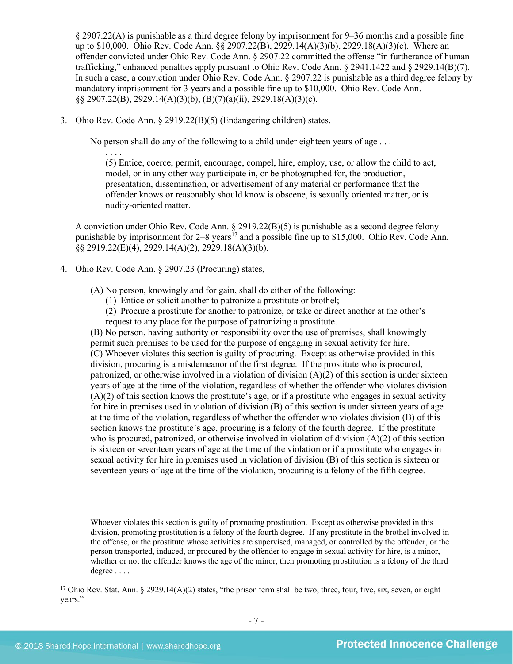§ 2907.22(A) is punishable as a third degree felony by imprisonment for 9–36 months and a possible fine up to \$10,000. Ohio Rev. Code Ann. §§ 2907.22(B), 2929.14(A)(3)(b), 2929.18(A)(3)(c). Where an offender convicted under Ohio Rev. Code Ann. § 2907.22 committed the offense "in furtherance of human trafficking," enhanced penalties apply pursuant to Ohio Rev. Code Ann. § 2941.1422 and § 2929.14(B)(7). In such a case, a conviction under Ohio Rev. Code Ann. § 2907.22 is punishable as a third degree felony by mandatory imprisonment for 3 years and a possible fine up to \$10,000. Ohio Rev. Code Ann. §§ 2907.22(B), 2929.14(A)(3)(b), (B)(7)(a)(ii), 2929.18(A)(3)(c).

3. Ohio Rev. Code Ann. § 2919.22(B)(5) (Endangering children) states,

No person shall do any of the following to a child under eighteen years of age . . .

. . . . (5) Entice, coerce, permit, encourage, compel, hire, employ, use, or allow the child to act, model, or in any other way participate in, or be photographed for, the production, presentation, dissemination, or advertisement of any material or performance that the offender knows or reasonably should know is obscene, is sexually oriented matter, or is nudity-oriented matter.

A conviction under Ohio Rev. Code Ann. § 2919.22(B)(5) is punishable as a second degree felony punishable by imprisonment for  $2-8$  years<sup>17</sup> and a possible fine up to \$15,000. Ohio Rev. Code Ann. §§ 2919.22(E)(4), 2929.14(A)(2), 2929.18(A)(3)(b).

4. Ohio Rev. Code Ann. § 2907.23 (Procuring) states,

(A) No person, knowingly and for gain, shall do either of the following:

- <span id="page-6-1"></span>(1) Entice or solicit another to patronize a prostitute or brothel;
- (2) Procure a prostitute for another to patronize, or take or direct another at the other's request to any place for the purpose of patronizing a prostitute.

(B) No person, having authority or responsibility over the use of premises, shall knowingly permit such premises to be used for the purpose of engaging in sexual activity for hire. (C) Whoever violates this section is guilty of procuring. Except as otherwise provided in this division, procuring is a misdemeanor of the first degree. If the prostitute who is procured, patronized, or otherwise involved in a violation of division  $(A)(2)$  of this section is under sixteen years of age at the time of the violation, regardless of whether the offender who violates division (A)(2) of this section knows the prostitute's age, or if a prostitute who engages in sexual activity for hire in premises used in violation of division (B) of this section is under sixteen years of age at the time of the violation, regardless of whether the offender who violates division (B) of this section knows the prostitute's age, procuring is a felony of the fourth degree. If the prostitute who is procured, patronized, or otherwise involved in violation of division (A)(2) of this section is sixteen or seventeen years of age at the time of the violation or if a prostitute who engages in sexual activity for hire in premises used in violation of division (B) of this section is sixteen or seventeen years of age at the time of the violation, procuring is a felony of the fifth degree.

Whoever violates this section is guilty of promoting prostitution. Except as otherwise provided in this division, promoting prostitution is a felony of the fourth degree. If any prostitute in the brothel involved in the offense, or the prostitute whose activities are supervised, managed, or controlled by the offender, or the person transported, induced, or procured by the offender to engage in sexual activity for hire, is a minor, whether or not the offender knows the age of the minor, then promoting prostitution is a felony of the third degree . . . .

<span id="page-6-0"></span><sup>17</sup> Ohio Rev. Stat. Ann. § 2929.14(A)(2) states, "the prison term shall be two, three, four, five, six, seven, or eight years."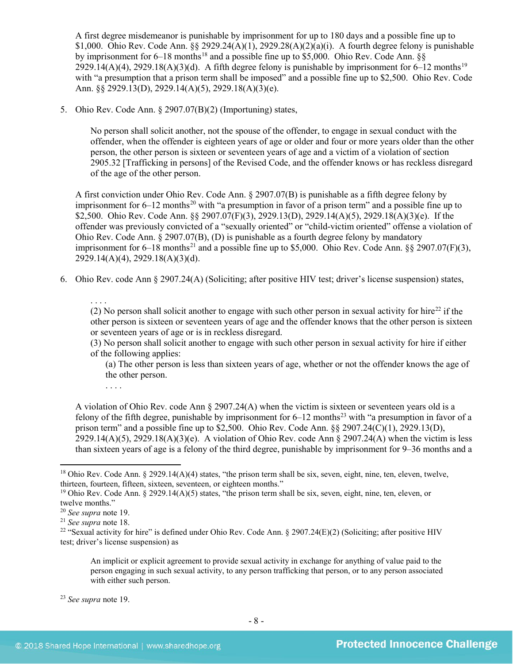<span id="page-7-1"></span>A first degree misdemeanor is punishable by imprisonment for up to 180 days and a possible fine up to \$1,000. Ohio Rev. Code Ann. §§ 2929.24(A)(1), 2929.28(A)(2)(a)(i). A fourth degree felony is punishable by imprisonment for  $6-18$  $6-18$  months<sup>18</sup> and a possible fine up to \$5,000. Ohio Rev. Code Ann. §§ 2929.14(A)(4), 2929.18(A)(3)(d). A fifth degree felony is punishable by imprisonment for  $6-12$  months<sup>[19](#page-7-3)</sup> with "a presumption that a prison term shall be imposed" and a possible fine up to \$2,500. Ohio Rev. Code Ann. §§ 2929.13(D), 2929.14(A)(5), 2929.18(A)(3)(e).

5. Ohio Rev. Code Ann. § 2907.07(B)(2) (Importuning) states,

<span id="page-7-0"></span>No person shall solicit another, not the spouse of the offender, to engage in sexual conduct with the offender, when the offender is eighteen years of age or older and four or more years older than the other person, the other person is sixteen or seventeen years of age and a victim of a violation of section 2905.32 [Trafficking in persons] of the Revised Code, and the offender knows or has reckless disregard of the age of the other person.

A first conviction under Ohio Rev. Code Ann. § 2907.07(B) is punishable as a fifth degree felony by imprisonment for  $6-12$  months<sup>[20](#page-7-4)</sup> with "a presumption in favor of a prison term" and a possible fine up to \$2,500. Ohio Rev. Code Ann. §§ 2907.07(F)(3), 2929.13(D), 2929.14(A)(5), 2929.18(A)(3)(e). If the offender was previously convicted of a "sexually oriented" or "child-victim oriented" offense a violation of Ohio Rev. Code Ann. § 2907.07(B), (D) is punishable as a fourth degree felony by mandatory imprisonment for  $6-18$  months<sup>[21](#page-7-5)</sup> and a possible fine up to \$5,000. Ohio Rev. Code Ann. §§ 2907.07(F)(3), 2929.14(A)(4), 2929.18(A)(3)(d).

6. Ohio Rev. code Ann § 2907.24(A) (Soliciting; after positive HIV test; driver's license suspension) states,

. . . .

(2) No person shall solicit another to engage with such other person in sexual activity for hire<sup>[22](#page-7-6)</sup> if the other person is sixteen or seventeen years of age and the offender knows that the other person is sixteen or seventeen years of age or is in reckless disregard.

(3) No person shall solicit another to engage with such other person in sexual activity for hire if either of the following applies:

(a) The other person is less than sixteen years of age, whether or not the offender knows the age of the other person.

. . . .

A violation of Ohio Rev. code Ann § 2907.24(A) when the victim is sixteen or seventeen years old is a felony of the fifth degree, punishable by imprisonment for  $6-12$  months<sup>[23](#page-7-7)</sup> with "a presumption in favor of a prison term" and a possible fine up to \$2,500. Ohio Rev. Code Ann. §§ 2907.24(C)(1), 2929.13(D),  $2929.14(A)(5)$ ,  $2929.18(A)(3)(e)$ . A violation of Ohio Rev. code Ann § 2907.24(A) when the victim is less than sixteen years of age is a felony of the third degree, punishable by imprisonment for 9–36 months and a

 $\overline{\phantom{a}}$ 

An implicit or explicit agreement to provide sexual activity in exchange for anything of value paid to the person engaging in such sexual activity, to any person trafficking that person, or to any person associated with either such person.

<span id="page-7-2"></span> $18$  Ohio Rev. Code Ann. § 2929.14(A)(4) states, "the prison term shall be six, seven, eight, nine, ten, eleven, twelve, thirteen, fourteen, fifteen, sixteen, seventeen, or eighteen months."

<span id="page-7-3"></span><sup>&</sup>lt;sup>19</sup> Ohio Rev. Code Ann. § 2929.14(A)(5) states, "the prison term shall be six, seven, eight, nine, ten, eleven, or twelve months."

<span id="page-7-4"></span><sup>20</sup> *See supra* note [19.](#page-7-0)

<span id="page-7-5"></span><sup>21</sup> *See supra* note [18.](#page-7-1)

<span id="page-7-6"></span><sup>&</sup>lt;sup>22</sup> "Sexual activity for hire" is defined under Ohio Rev. Code Ann. § 2907.24(E)(2) (Soliciting; after positive HIV test; driver's license suspension) as

<span id="page-7-7"></span><sup>23</sup> *See supra* note [19.](#page-7-0)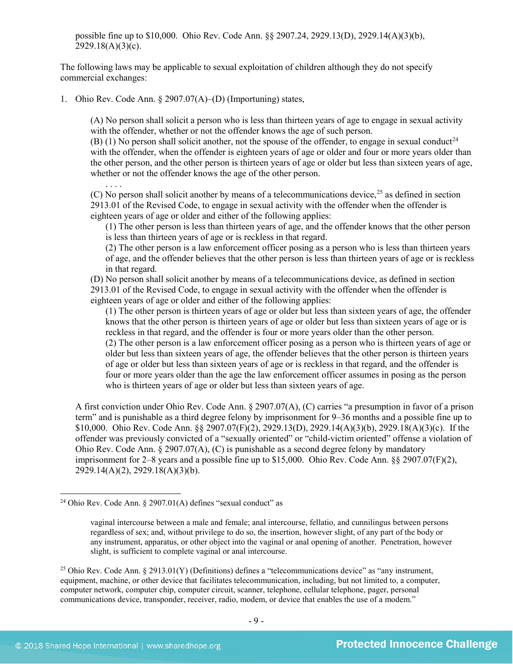possible fine up to \$10,000. Ohio Rev. Code Ann. §§ 2907.24, 2929.13(D), 2929.14(A)(3)(b),  $2929.18(A)(3)(c)$ .

The following laws may be applicable to sexual exploitation of children although they do not specify commercial exchanges:

1. Ohio Rev. Code Ann. § 2907.07(A)–(D) (Importuning) states,

(A) No person shall solicit a person who is less than thirteen years of age to engage in sexual activity with the offender, whether or not the offender knows the age of such person.

(B) (1) No person shall solicit another, not the spouse of the offender, to engage in sexual conduct<sup>[24](#page-8-0)</sup> with the offender, when the offender is eighteen years of age or older and four or more years older than the other person, and the other person is thirteen years of age or older but less than sixteen years of age, whether or not the offender knows the age of the other person.

. . . . (C) No person shall solicit another by means of a telecommunications device, $2<sup>5</sup>$  as defined in section 2913.01 of the Revised Code, to engage in sexual activity with the offender when the offender is eighteen years of age or older and either of the following applies:

(1) The other person is less than thirteen years of age, and the offender knows that the other person is less than thirteen years of age or is reckless in that regard.

(2) The other person is a law enforcement officer posing as a person who is less than thirteen years of age, and the offender believes that the other person is less than thirteen years of age or is reckless in that regard.

(D) No person shall solicit another by means of a telecommunications device, as defined in section 2913.01 of the Revised Code, to engage in sexual activity with the offender when the offender is eighteen years of age or older and either of the following applies:

(1) The other person is thirteen years of age or older but less than sixteen years of age, the offender knows that the other person is thirteen years of age or older but less than sixteen years of age or is reckless in that regard, and the offender is four or more years older than the other person. (2) The other person is a law enforcement officer posing as a person who is thirteen years of age or older but less than sixteen years of age, the offender believes that the other person is thirteen years of age or older but less than sixteen years of age or is reckless in that regard, and the offender is four or more years older than the age the law enforcement officer assumes in posing as the person who is thirteen years of age or older but less than sixteen years of age.

A first conviction under Ohio Rev. Code Ann. § 2907.07(A), (C) carries "a presumption in favor of a prison term" and is punishable as a third degree felony by imprisonment for 9–36 months and a possible fine up to \$10,000. Ohio Rev. Code Ann. §§ 2907.07(F)(2), 2929.13(D), 2929.14(A)(3)(b), 2929.18(A)(3)(c). If the offender was previously convicted of a "sexually oriented" or "child-victim oriented" offense a violation of Ohio Rev. Code Ann. § 2907.07(A), (C) is punishable as a second degree felony by mandatory imprisonment for 2–8 years and a possible fine up to \$15,000. Ohio Rev. Code Ann. §§ 2907.07(F)(2), 2929.14(A)(2), 2929.18(A)(3)(b).

<span id="page-8-0"></span><sup>&</sup>lt;sup>24</sup> Ohio Rev. Code Ann.  $\S$  2907.01(A) defines "sexual conduct" as

vaginal intercourse between a male and female; anal intercourse, fellatio, and cunnilingus between persons regardless of sex; and, without privilege to do so, the insertion, however slight, of any part of the body or any instrument, apparatus, or other object into the vaginal or anal opening of another. Penetration, however slight, is sufficient to complete vaginal or anal intercourse.

<span id="page-8-1"></span><sup>&</sup>lt;sup>25</sup> Ohio Rev. Code Ann. § 2913.01(Y) (Definitions) defines a "telecommunications device" as "any instrument, equipment, machine, or other device that facilitates telecommunication, including, but not limited to, a computer, computer network, computer chip, computer circuit, scanner, telephone, cellular telephone, pager, personal communications device, transponder, receiver, radio, modem, or device that enables the use of a modem."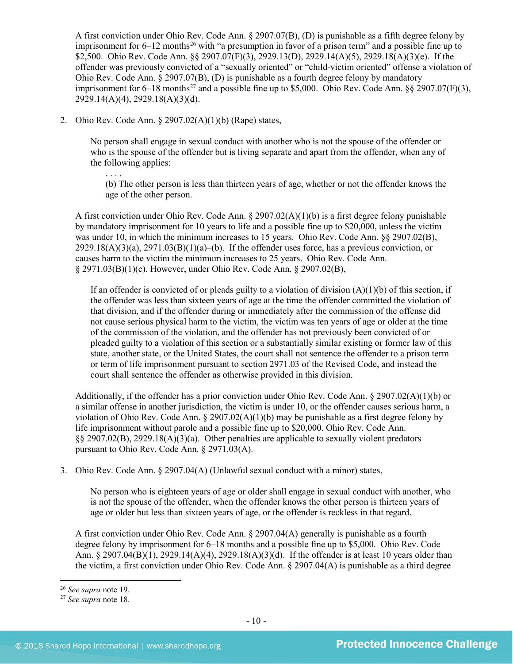A first conviction under Ohio Rev. Code Ann. § 2907.07(B), (D) is punishable as a fifth degree felony by imprisonment for  $6-12$  months<sup>[26](#page-9-0)</sup> with "a presumption in favor of a prison term" and a possible fine up to \$2,500. Ohio Rev. Code Ann. §§ 2907.07(F)(3), 2929.13(D), 2929.14(A)(5), 2929.18(A)(3)(e). If the offender was previously convicted of a "sexually oriented" or "child-victim oriented" offense a violation of Ohio Rev. Code Ann. § 2907.07(B), (D) is punishable as a fourth degree felony by mandatory imprisonment for  $6-18$  months<sup>[27](#page-9-1)</sup> and a possible fine up to \$5,000. Ohio Rev. Code Ann. §§ 2907.07(F)(3), 2929.14(A)(4), 2929.18(A)(3)(d).

2. Ohio Rev. Code Ann. § 2907.02(A)(1)(b) (Rape) states,

. . . .

No person shall engage in sexual conduct with another who is not the spouse of the offender or who is the spouse of the offender but is living separate and apart from the offender, when any of the following applies:

(b) The other person is less than thirteen years of age, whether or not the offender knows the age of the other person.

A first conviction under Ohio Rev. Code Ann. § 2907.02(A)(1)(b) is a first degree felony punishable by mandatory imprisonment for 10 years to life and a possible fine up to \$20,000, unless the victim was under 10, in which the minimum increases to 15 years. Ohio Rev. Code Ann. §§ 2907.02(B),  $2929.18(A)(3)(a)$ ,  $2971.03(B)(1)(a)$ –(b). If the offender uses force, has a previous conviction, or causes harm to the victim the minimum increases to 25 years. Ohio Rev. Code Ann. § 2971.03(B)(1)(c). However, under Ohio Rev. Code Ann. § 2907.02(B),

If an offender is convicted of or pleads guilty to a violation of division  $(A)(1)(b)$  of this section, if the offender was less than sixteen years of age at the time the offender committed the violation of that division, and if the offender during or immediately after the commission of the offense did not cause serious physical harm to the victim, the victim was ten years of age or older at the time of the commission of the violation, and the offender has not previously been convicted of or pleaded guilty to a violation of this section or a substantially similar existing or former law of this state, another state, or the United States, the court shall not sentence the offender to a prison term or term of life imprisonment pursuant to section 2971.03 of the Revised Code, and instead the court shall sentence the offender as otherwise provided in this division.

Additionally, if the offender has a prior conviction under Ohio Rev. Code Ann. § 2907.02(A)(1)(b) or a similar offense in another jurisdiction, the victim is under 10, or the offender causes serious harm, a violation of Ohio Rev. Code Ann.  $\S 2907.02(A)(1)(b)$  may be punishable as a first degree felony by life imprisonment without parole and a possible fine up to \$20,000. Ohio Rev. Code Ann. §§ 2907.02(B), 2929.18(A)(3)(a). Other penalties are applicable to sexually violent predators pursuant to Ohio Rev. Code Ann. § 2971.03(A).

3. Ohio Rev. Code Ann. § 2907.04(A) (Unlawful sexual conduct with a minor) states,

No person who is eighteen years of age or older shall engage in sexual conduct with another, who is not the spouse of the offender, when the offender knows the other person is thirteen years of age or older but less than sixteen years of age, or the offender is reckless in that regard.

A first conviction under Ohio Rev. Code Ann. § 2907.04(A) generally is punishable as a fourth degree felony by imprisonment for 6–18 months and a possible fine up to \$5,000. Ohio Rev. Code Ann. § 2907.04(B)(1), 2929.14(A)(4), 2929.18(A)(3)(d). If the offender is at least 10 years older than the victim, a first conviction under Ohio Rev. Code Ann. § 2907.04(A) is punishable as a third degree

<span id="page-9-0"></span><sup>26</sup> *See supra* note [19.](#page-7-0)

<span id="page-9-1"></span><sup>27</sup> *See supra* note [18.](#page-7-1)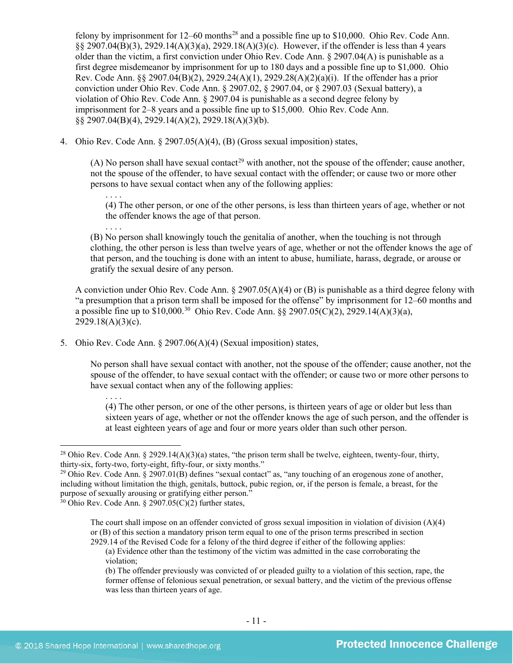felony by imprisonment for  $12-60$  months<sup>[28](#page-10-0)</sup> and a possible fine up to \$10,000. Ohio Rev. Code Ann. §§ 2907.04(B)(3), 2929.14(A)(3)(a), 2929.18(A)(3)(c). However, if the offender is less than 4 years older than the victim, a first conviction under Ohio Rev. Code Ann. § 2907.04(A) is punishable as a first degree misdemeanor by imprisonment for up to 180 days and a possible fine up to \$1,000. Ohio Rev. Code Ann. §§ 2907.04(B)(2), 2929.24(A)(1), 2929.28(A)(2)(a)(i). If the offender has a prior conviction under Ohio Rev. Code Ann. § 2907.02, § 2907.04, or § 2907.03 (Sexual battery), a violation of Ohio Rev. Code Ann. § 2907.04 is punishable as a second degree felony by imprisonment for 2–8 years and a possible fine up to \$15,000. Ohio Rev. Code Ann. §§ 2907.04(B)(4), 2929.14(A)(2), 2929.18(A)(3)(b).

4. Ohio Rev. Code Ann. § 2907.05(A)(4), (B) (Gross sexual imposition) states,

(A) No person shall have sexual contact<sup>[29](#page-10-1)</sup> with another, not the spouse of the offender; cause another, not the spouse of the offender, to have sexual contact with the offender; or cause two or more other persons to have sexual contact when any of the following applies:

. . . . (4) The other person, or one of the other persons, is less than thirteen years of age, whether or not the offender knows the age of that person.

. . . . (B) No person shall knowingly touch the genitalia of another, when the touching is not through clothing, the other person is less than twelve years of age, whether or not the offender knows the age of that person, and the touching is done with an intent to abuse, humiliate, harass, degrade, or arouse or gratify the sexual desire of any person.

A conviction under Ohio Rev. Code Ann. § 2907.05(A)(4) or (B) is punishable as a third degree felony with "a presumption that a prison term shall be imposed for the offense" by imprisonment for 12–60 months and a possible fine up to  $$10,000$ <sup>[30](#page-10-2)</sup> Ohio Rev. Code Ann.  $\frac{8}{5}$  2907.05(C)(2), 2929.14(A)(3)(a),  $2929.18(A)(3)(c)$ .

5. Ohio Rev. Code Ann. § 2907.06(A)(4) (Sexual imposition) states,

No person shall have sexual contact with another, not the spouse of the offender; cause another, not the spouse of the offender, to have sexual contact with the offender; or cause two or more other persons to have sexual contact when any of the following applies:

. . . . (4) The other person, or one of the other persons, is thirteen years of age or older but less than sixteen years of age, whether or not the offender knows the age of such person, and the offender is at least eighteen years of age and four or more years older than such other person.

<span id="page-10-0"></span><sup>&</sup>lt;sup>28</sup> Ohio Rev. Code Ann. § 2929.14(A)(3)(a) states, "the prison term shall be twelve, eighteen, twenty-four, thirty, thirty-six, forty-two, forty-eight, fifty-four, or sixty months."<br><sup>29</sup> Ohio Rev. Code Ann. § 2907.01(B) defines "sexual contact" as, "any touching of an erogenous zone of another,

<span id="page-10-1"></span>including without limitation the thigh, genitals, buttock, pubic region, or, if the person is female, a breast, for the purpose of sexually arousing or gratifying either person."

<span id="page-10-2"></span> $30$  Ohio Rev. Code Ann. § 2907.05(C)(2) further states,

The court shall impose on an offender convicted of gross sexual imposition in violation of division (A)(4) or (B) of this section a mandatory prison term equal to one of the prison terms prescribed in section 2929.14 of the Revised Code for a felony of the third degree if either of the following applies:

<sup>(</sup>a) Evidence other than the testimony of the victim was admitted in the case corroborating the violation;

<sup>(</sup>b) The offender previously was convicted of or pleaded guilty to a violation of this section, rape, the former offense of felonious sexual penetration, or sexual battery, and the victim of the previous offense was less than thirteen years of age.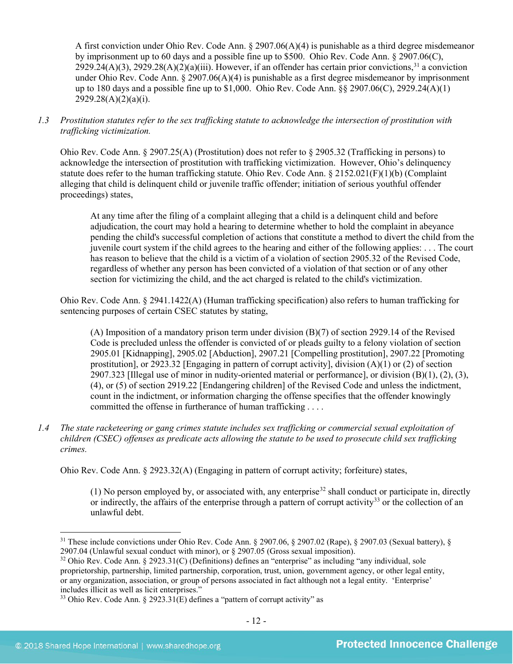A first conviction under Ohio Rev. Code Ann.  $\S 2907.06(A)(4)$  is punishable as a third degree misdemeanor by imprisonment up to 60 days and a possible fine up to \$500. Ohio Rev. Code Ann. § 2907.06(C),  $2929.24(A)(3)$ ,  $2929.28(A)(2)(a)(iii)$ . However, if an offender has certain prior convictions,  $31$  a conviction under Ohio Rev. Code Ann. § 2907.06(A)(4) is punishable as a first degree misdemeanor by imprisonment up to 180 days and a possible fine up to \$1,000. Ohio Rev. Code Ann. §§ 2907.06(C), 2929.24(A)(1)  $2929.28(A)(2)(a)(i)$ .

## *1.3 Prostitution statutes refer to the sex trafficking statute to acknowledge the intersection of prostitution with trafficking victimization.*

Ohio Rev. Code Ann. § 2907.25(A) (Prostitution) does not refer to § 2905.32 (Trafficking in persons) to acknowledge the intersection of prostitution with trafficking victimization. However, Ohio's delinquency statute does refer to the human trafficking statute. Ohio Rev. Code Ann. § 2152.021(F)(1)(b) (Complaint alleging that child is delinquent child or juvenile traffic offender; initiation of serious youthful offender proceedings) states,

At any time after the filing of a complaint alleging that a child is a delinquent child and before adjudication, the court may hold a hearing to determine whether to hold the complaint in abeyance pending the child's successful completion of actions that constitute a method to divert the child from the juvenile court system if the child agrees to the hearing and either of the following applies: . . . The court has reason to believe that the child is a victim of a violation of section 2905.32 of the Revised Code, regardless of whether any person has been convicted of a violation of that section or of any other section for victimizing the child, and the act charged is related to the child's victimization.

Ohio Rev. Code Ann. § 2941.1422(A) (Human trafficking specification) also refers to human trafficking for sentencing purposes of certain CSEC statutes by stating,

(A) Imposition of a mandatory prison term under division (B)(7) of section 2929.14 of the Revised Code is precluded unless the offender is convicted of or pleads guilty to a felony violation of section 2905.01 [Kidnapping], 2905.02 [Abduction], 2907.21 [Compelling prostitution], 2907.22 [Promoting prostitution], or 2923.32 [Engaging in pattern of corrupt activity], division (A)(1) or (2) of section 2907.323 [Illegal use of minor in nudity-oriented material or performance], or division  $(B)(1)$ ,  $(2)$ ,  $(3)$ , (4), or (5) of section 2919.22 [Endangering children] of the Revised Code and unless the indictment, count in the indictment, or information charging the offense specifies that the offender knowingly committed the offense in furtherance of human trafficking . . . .

*1.4 The state racketeering or gang crimes statute includes sex trafficking or commercial sexual exploitation of children (CSEC) offenses as predicate acts allowing the statute to be used to prosecute child sex trafficking crimes.* 

Ohio Rev. Code Ann. § 2923.32(A) (Engaging in pattern of corrupt activity; forfeiture) states,

(1) No person employed by, or associated with, any enterprise<sup>[32](#page-11-1)</sup> shall conduct or participate in, directly or indirectly, the affairs of the enterprise through a pattern of corrupt activity<sup>[33](#page-11-2)</sup> or the collection of an unlawful debt.

<span id="page-11-0"></span><sup>31</sup> These include convictions under Ohio Rev. Code Ann. § 2907.06, § 2907.02 (Rape), § 2907.03 (Sexual battery), § 2907.04 (Unlawful sexual conduct with minor), or § 2907.05 (Gross sexual imposition).

<span id="page-11-1"></span><sup>32</sup> Ohio Rev. Code Ann. § 2923.31(C) (Definitions) defines an "enterprise" as including "any individual, sole proprietorship, partnership, limited partnership, corporation, trust, union, government agency, or other legal entity, or any organization, association, or group of persons associated in fact although not a legal entity. 'Enterprise' includes illicit as well as licit enterprises."

<span id="page-11-2"></span> $33$  Ohio Rev. Code Ann. § 2923.31(E) defines a "pattern of corrupt activity" as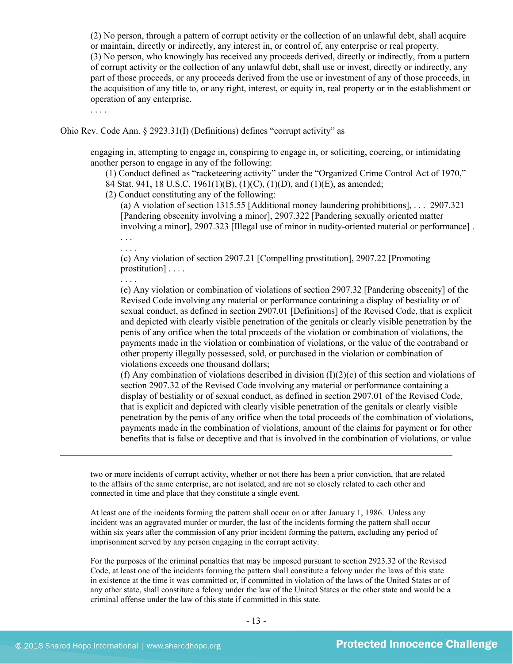(2) No person, through a pattern of corrupt activity or the collection of an unlawful debt, shall acquire or maintain, directly or indirectly, any interest in, or control of, any enterprise or real property. (3) No person, who knowingly has received any proceeds derived, directly or indirectly, from a pattern of corrupt activity or the collection of any unlawful debt, shall use or invest, directly or indirectly, any part of those proceeds, or any proceeds derived from the use or investment of any of those proceeds, in the acquisition of any title to, or any right, interest, or equity in, real property or in the establishment or operation of any enterprise.

. . . .

Ohio Rev. Code Ann. § 2923.31(I) (Definitions) defines "corrupt activity" as

engaging in, attempting to engage in, conspiring to engage in, or soliciting, coercing, or intimidating another person to engage in any of the following:

(1) Conduct defined as "racketeering activity" under the "Organized Crime Control Act of 1970," 84 Stat. 941, 18 U.S.C. 1961(1)(B), (1)(C), (1)(D), and (1)(E), as amended;

(2) Conduct constituting any of the following:

(a) A violation of section 1315.55 [Additional money laundering prohibitions], . . . 2907.321 [Pandering obscenity involving a minor], 2907.322 [Pandering sexually oriented matter involving a minor], 2907.323 [Illegal use of minor in nudity-oriented material or performance] .

. . . .

(c) Any violation of section 2907.21 [Compelling prostitution], 2907.22 [Promoting prostitution] . . . .

. . . . (e) Any violation or combination of violations of section 2907.32 [Pandering obscenity] of the Revised Code involving any material or performance containing a display of bestiality or of sexual conduct, as defined in section 2907.01 [Definitions] of the Revised Code, that is explicit and depicted with clearly visible penetration of the genitals or clearly visible penetration by the penis of any orifice when the total proceeds of the violation or combination of violations, the payments made in the violation or combination of violations, or the value of the contraband or other property illegally possessed, sold, or purchased in the violation or combination of violations exceeds one thousand dollars;

(f) Any combination of violations described in division  $(I)(2)(c)$  of this section and violations of section 2907.32 of the Revised Code involving any material or performance containing a display of bestiality or of sexual conduct, as defined in section 2907.01 of the Revised Code, that is explicit and depicted with clearly visible penetration of the genitals or clearly visible penetration by the penis of any orifice when the total proceeds of the combination of violations, payments made in the combination of violations, amount of the claims for payment or for other benefits that is false or deceptive and that is involved in the combination of violations, or value

two or more incidents of corrupt activity, whether or not there has been a prior conviction, that are related to the affairs of the same enterprise, are not isolated, and are not so closely related to each other and connected in time and place that they constitute a single event.

At least one of the incidents forming the pattern shall occur on or after January 1, 1986. Unless any incident was an aggravated murder or murder, the last of the incidents forming the pattern shall occur within six years after the commission of any prior incident forming the pattern, excluding any period of imprisonment served by any person engaging in the corrupt activity.

For the purposes of the criminal penalties that may be imposed pursuant to section 2923.32 of the Revised Code, at least one of the incidents forming the pattern shall constitute a felony under the laws of this state in existence at the time it was committed or, if committed in violation of the laws of the United States or of any other state, shall constitute a felony under the law of the United States or the other state and would be a criminal offense under the law of this state if committed in this state.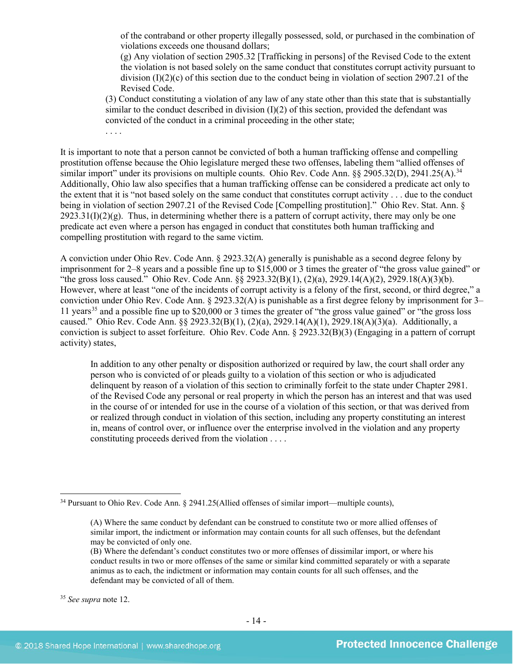of the contraband or other property illegally possessed, sold, or purchased in the combination of violations exceeds one thousand dollars;

(g) Any violation of section 2905.32 [Trafficking in persons] of the Revised Code to the extent the violation is not based solely on the same conduct that constitutes corrupt activity pursuant to division  $(I)(2)(c)$  of this section due to the conduct being in violation of section 2907.21 of the Revised Code.

(3) Conduct constituting a violation of any law of any state other than this state that is substantially similar to the conduct described in division  $(I)(2)$  of this section, provided the defendant was convicted of the conduct in a criminal proceeding in the other state;

. . . .

It is important to note that a person cannot be convicted of both a human trafficking offense and compelling prostitution offense because the Ohio legislature merged these two offenses, labeling them "allied offenses of similar import" under its provisions on multiple counts. Ohio Rev. Code Ann. §§ 2905.32(D), 2941.25(A).<sup>[34](#page-13-0)</sup> Additionally, Ohio law also specifies that a human trafficking offense can be considered a predicate act only to the extent that it is "not based solely on the same conduct that constitutes corrupt activity . . . due to the conduct being in violation of section 2907.21 of the Revised Code [Compelling prostitution]." Ohio Rev. Stat. Ann. §  $2923.31(I)(2)(g)$ . Thus, in determining whether there is a pattern of corrupt activity, there may only be one predicate act even where a person has engaged in conduct that constitutes both human trafficking and compelling prostitution with regard to the same victim.

A conviction under Ohio Rev. Code Ann. § 2923.32(A) generally is punishable as a second degree felony by imprisonment for 2–8 years and a possible fine up to \$15,000 or 3 times the greater of "the gross value gained" or "the gross loss caused." Ohio Rev. Code Ann. §§ 2923.32(B)(1), (2)(a), 2929.14(A)(2), 2929.18(A)(3)(b). However, where at least "one of the incidents of corrupt activity is a felony of the first, second, or third degree," a conviction under Ohio Rev. Code Ann. § 2923.32(A) is punishable as a first degree felony by imprisonment for 3– 11 years<sup>35</sup> and a possible fine up to \$20,000 or 3 times the greater of "the gross value gained" or "the gross loss caused." Ohio Rev. Code Ann. §§ 2923.32(B)(1), (2)(a), 2929.14(A)(1), 2929.18(A)(3)(a). Additionally, a conviction is subject to asset forfeiture. Ohio Rev. Code Ann. § 2923.32(B)(3) (Engaging in a pattern of corrupt activity) states,

In addition to any other penalty or disposition authorized or required by law, the court shall order any person who is convicted of or pleads guilty to a violation of this section or who is adjudicated delinquent by reason of a violation of this section to criminally forfeit to the state under Chapter 2981. of the Revised Code any personal or real property in which the person has an interest and that was used in the course of or intended for use in the course of a violation of this section, or that was derived from or realized through conduct in violation of this section, including any property constituting an interest in, means of control over, or influence over the enterprise involved in the violation and any property constituting proceeds derived from the violation . . . .

<span id="page-13-0"></span> $34$  Pursuant to Ohio Rev. Code Ann. § 2941.25(Allied offenses of similar import—multiple counts),

<sup>(</sup>A) Where the same conduct by defendant can be construed to constitute two or more allied offenses of similar import, the indictment or information may contain counts for all such offenses, but the defendant may be convicted of only one.

<sup>(</sup>B) Where the defendant's conduct constitutes two or more offenses of dissimilar import, or where his conduct results in two or more offenses of the same or similar kind committed separately or with a separate animus as to each, the indictment or information may contain counts for all such offenses, and the defendant may be convicted of all of them.

<span id="page-13-1"></span><sup>35</sup> *See supra* note [12.](#page-4-3)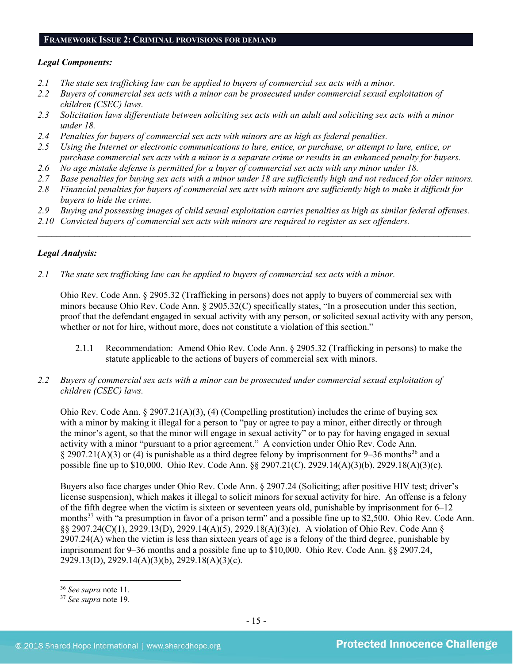#### **FRAMEWORK ISSUE 2: CRIMINAL PROVISIONS FOR DEMAND**

## *Legal Components:*

- *2.1 The state sex trafficking law can be applied to buyers of commercial sex acts with a minor.*
- *2.2 Buyers of commercial sex acts with a minor can be prosecuted under commercial sexual exploitation of children (CSEC) laws.*
- *2.3 Solicitation laws differentiate between soliciting sex acts with an adult and soliciting sex acts with a minor under 18.*
- *2.4 Penalties for buyers of commercial sex acts with minors are as high as federal penalties.*
- *2.5 Using the Internet or electronic communications to lure, entice, or purchase, or attempt to lure, entice, or purchase commercial sex acts with a minor is a separate crime or results in an enhanced penalty for buyers.*
- *2.6 No age mistake defense is permitted for a buyer of commercial sex acts with any minor under 18.*
- *2.7 Base penalties for buying sex acts with a minor under 18 are sufficiently high and not reduced for older minors.*
- *2.8 Financial penalties for buyers of commercial sex acts with minors are sufficiently high to make it difficult for buyers to hide the crime.*
- *2.9 Buying and possessing images of child sexual exploitation carries penalties as high as similar federal offenses.*

\_\_\_\_\_\_\_\_\_\_\_\_\_\_\_\_\_\_\_\_\_\_\_\_\_\_\_\_\_\_\_\_\_\_\_\_\_\_\_\_\_\_\_\_\_\_\_\_\_\_\_\_\_\_\_\_\_\_\_\_\_\_\_\_\_\_\_\_\_\_\_\_\_\_\_\_\_\_\_\_\_\_\_\_\_\_\_\_\_\_\_\_\_\_

*2.10 Convicted buyers of commercial sex acts with minors are required to register as sex offenders.* 

## *Legal Analysis:*

*2.1 The state sex trafficking law can be applied to buyers of commercial sex acts with a minor.*

Ohio Rev. Code Ann. § 2905.32 (Trafficking in persons) does not apply to buyers of commercial sex with minors because Ohio Rev. Code Ann. § 2905.32(C) specifically states, "In a prosecution under this section, proof that the defendant engaged in sexual activity with any person, or solicited sexual activity with any person, whether or not for hire, without more, does not constitute a violation of this section."

- 2.1.1 Recommendation: Amend Ohio Rev. Code Ann. § 2905.32 (Trafficking in persons) to make the statute applicable to the actions of buyers of commercial sex with minors.
- *2.2 Buyers of commercial sex acts with a minor can be prosecuted under commercial sexual exploitation of children (CSEC) laws.*

Ohio Rev. Code Ann.  $\S 2907.21(A)(3)$ , (4) (Compelling prostitution) includes the crime of buying sex with a minor by making it illegal for a person to "pay or agree to pay a minor, either directly or through the minor's agent, so that the minor will engage in sexual activity" or to pay for having engaged in sexual activity with a minor "pursuant to a prior agreement." A conviction under Ohio Rev. Code Ann. § 2907.21(A)(3) or (4) is punishable as a third degree felony by imprisonment for 9–[36](#page-14-0) months<sup>36</sup> and a possible fine up to \$10,000. Ohio Rev. Code Ann. §§ 2907.21(C), 2929.14(A)(3)(b), 2929.18(A)(3)(c).

Buyers also face charges under Ohio Rev. Code Ann. § 2907.24 (Soliciting; after positive HIV test; driver's license suspension), which makes it illegal to solicit minors for sexual activity for hire. An offense is a felony of the fifth degree when the victim is sixteen or seventeen years old, punishable by imprisonment for 6–12 months<sup>[37](#page-14-1)</sup> with "a presumption in favor of a prison term" and a possible fine up to \$2,500. Ohio Rev. Code Ann. §§ 2907.24(C)(1), 2929.13(D), 2929.14(A)(5), 2929.18(A)(3)(e). A violation of Ohio Rev. Code Ann § 2907.24(A) when the victim is less than sixteen years of age is a felony of the third degree, punishable by imprisonment for 9–36 months and a possible fine up to \$10,000. Ohio Rev. Code Ann. §§ 2907.24, 2929.13(D), 2929.14(A)(3)(b), 2929.18(A)(3)(c).

<span id="page-14-0"></span><sup>36</sup> *See supra* note [11.](#page-4-4)

<span id="page-14-1"></span><sup>37</sup> *See supra* note [19.](#page-7-0)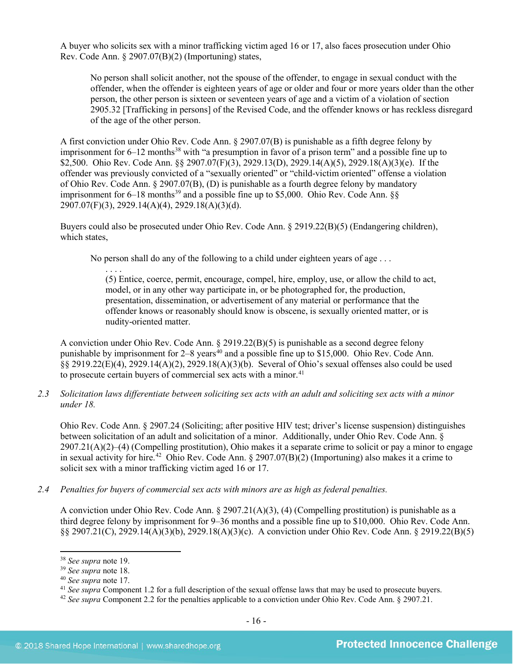A buyer who solicits sex with a minor trafficking victim aged 16 or 17, also faces prosecution under Ohio Rev. Code Ann. § 2907.07(B)(2) (Importuning) states,

No person shall solicit another, not the spouse of the offender, to engage in sexual conduct with the offender, when the offender is eighteen years of age or older and four or more years older than the other person, the other person is sixteen or seventeen years of age and a victim of a violation of section 2905.32 [Trafficking in persons] of the Revised Code, and the offender knows or has reckless disregard of the age of the other person.

A first conviction under Ohio Rev. Code Ann. § 2907.07(B) is punishable as a fifth degree felony by imprisonment for  $6-12$  months<sup>[38](#page-15-0)</sup> with "a presumption in favor of a prison term" and a possible fine up to \$2,500. Ohio Rev. Code Ann. §§ 2907.07(F)(3), 2929.13(D), 2929.14(A)(5), 2929.18(A)(3)(e). If the offender was previously convicted of a "sexually oriented" or "child-victim oriented" offense a violation of Ohio Rev. Code Ann. § 2907.07(B), (D) is punishable as a fourth degree felony by mandatory imprisonment for  $6-18$  months<sup>[39](#page-15-1)</sup> and a possible fine up to \$5,000. Ohio Rev. Code Ann. §§ 2907.07(F)(3), 2929.14(A)(4), 2929.18(A)(3)(d).

Buyers could also be prosecuted under Ohio Rev. Code Ann. § 2919.22(B)(5) (Endangering children), which states,

No person shall do any of the following to a child under eighteen years of age . . .

(5) Entice, coerce, permit, encourage, compel, hire, employ, use, or allow the child to act, model, or in any other way participate in, or be photographed for, the production, presentation, dissemination, or advertisement of any material or performance that the offender knows or reasonably should know is obscene, is sexually oriented matter, or is nudity-oriented matter.

A conviction under Ohio Rev. Code Ann. § 2919.22(B)(5) is punishable as a second degree felony punishable by imprisonment for  $2-8$  years<sup>40</sup> and a possible fine up to \$15,000. Ohio Rev. Code Ann. §§ 2919.22(E)(4), 2929.14(A)(2), 2929.18(A)(3)(b). Several of Ohio's sexual offenses also could be used to prosecute certain buyers of commercial sex acts with a minor.<sup>[41](#page-15-3)</sup>

*2.3 Solicitation laws differentiate between soliciting sex acts with an adult and soliciting sex acts with a minor under 18.*

Ohio Rev. Code Ann. § 2907.24 (Soliciting; after positive HIV test; driver's license suspension) distinguishes between solicitation of an adult and solicitation of a minor. Additionally, under Ohio Rev. Code Ann. §  $2907.21(A)(2)–(4)$  (Compelling prostitution). Ohio makes it a separate crime to solicit or pay a minor to engage in sexual activity for hire.<sup>[42](#page-15-4)</sup> Ohio Rev. Code Ann. § 2907.07(B)(2) (Importuning) also makes it a crime to solicit sex with a minor trafficking victim aged 16 or 17.

*2.4 Penalties for buyers of commercial sex acts with minors are as high as federal penalties.*

A conviction under Ohio Rev. Code Ann. § 2907.21(A)(3), (4) (Compelling prostitution) is punishable as a third degree felony by imprisonment for 9–36 months and a possible fine up to \$10,000. Ohio Rev. Code Ann. §§ 2907.21(C), 2929.14(A)(3)(b), 2929.18(A)(3)(c). A conviction under Ohio Rev. Code Ann. § 2919.22(B)(5)

 $\overline{\phantom{a}}$ 

. . . .

<span id="page-15-0"></span><sup>38</sup> *See supra* note [19.](#page-7-0)

<span id="page-15-1"></span><sup>39</sup> *See supra* note [18.](#page-7-1)

<span id="page-15-2"></span><sup>&</sup>lt;sup>40</sup> See supra note [17.](#page-6-1)<br><sup>41</sup> See supra Component 1.2 for a full description of the sexual offense laws that may be used to prosecute buyers.

<span id="page-15-4"></span><span id="page-15-3"></span><sup>&</sup>lt;sup>42</sup> See supra Component 2.2 for the penalties applicable to a conviction under Ohio Rev. Code Ann. § 2907.21.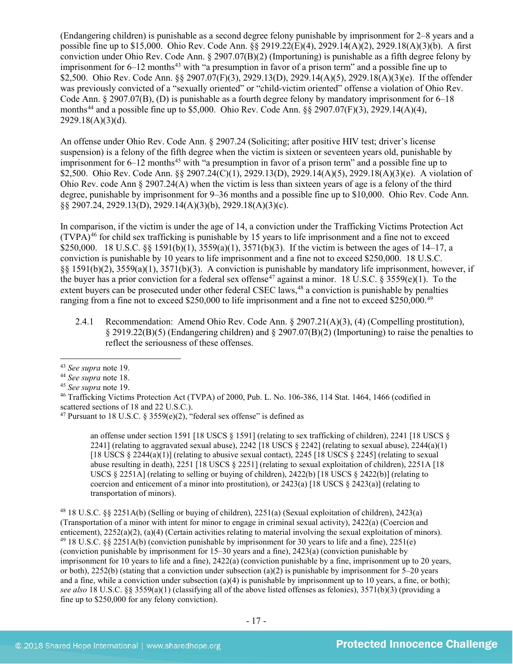(Endangering children) is punishable as a second degree felony punishable by imprisonment for 2–8 years and a possible fine up to \$15,000. Ohio Rev. Code Ann. §§ 2919.22(E)(4), 2929.14(A)(2), 2929.18(A)(3)(b). A first conviction under Ohio Rev. Code Ann. § 2907.07(B)(2) (Importuning) is punishable as a fifth degree felony by imprisonment for  $6-12$  months<sup>[43](#page-16-0)</sup> with "a presumption in favor of a prison term" and a possible fine up to \$2,500. Ohio Rev. Code Ann. §§ 2907.07(F)(3), 2929.13(D), 2929.14(A)(5), 2929.18(A)(3)(e). If the offender was previously convicted of a "sexually oriented" or "child-victim oriented" offense a violation of Ohio Rev. Code Ann. § 2907.07(B), (D) is punishable as a fourth degree felony by mandatory imprisonment for 6–18 months[44](#page-16-1) and a possible fine up to \$5,000. Ohio Rev. Code Ann. §§ 2907.07(F)(3), 2929.14(A)(4),  $2929.18(A)(3)(d)$ .

An offense under Ohio Rev. Code Ann. § 2907.24 (Soliciting; after positive HIV test; driver's license suspension) is a felony of the fifth degree when the victim is sixteen or seventeen years old, punishable by imprisonment for  $6-12$  months<sup>[45](#page-16-2)</sup> with "a presumption in favor of a prison term" and a possible fine up to \$2,500. Ohio Rev. Code Ann. §§ 2907.24(C)(1), 2929.13(D), 2929.14(A)(5), 2929.18(A)(3)(e). A violation of Ohio Rev. code Ann  $\S 2907.24(A)$  when the victim is less than sixteen years of age is a felony of the third degree, punishable by imprisonment for 9–36 months and a possible fine up to \$10,000. Ohio Rev. Code Ann. §§ 2907.24, 2929.13(D), 2929.14(A)(3)(b), 2929.18(A)(3)(c).

<span id="page-16-7"></span>In comparison, if the victim is under the age of 14, a conviction under the Trafficking Victims Protection Act (TVPA)[46](#page-16-3) for child sex trafficking is punishable by 15 years to life imprisonment and a fine not to exceed \$250,000. 18 U.S.C. §§ 1591(b)(1), 3559(a)(1), 3571(b)(3). If the victim is between the ages of 14–17, a conviction is punishable by 10 years to life imprisonment and a fine not to exceed \$250,000. 18 U.S.C. §§ 1591(b)(2), 3559(a)(1), 3571(b)(3). A conviction is punishable by mandatory life imprisonment, however, if the buyer has a prior conviction for a federal sex offense<sup>[47](#page-16-4)</sup> against a minor. 18 U.S.C. § 3559(e)(1). To the extent buyers can be prosecuted under other federal CSEC laws,<sup>[48](#page-16-5)</sup> a conviction is punishable by penalties ranging from a fine not to exceed \$250,000 to life imprisonment and a fine not to exceed \$250,000.<sup>[49](#page-16-6)</sup>

<span id="page-16-8"></span>2.4.1 Recommendation: Amend Ohio Rev. Code Ann. § 2907.21(A)(3), (4) (Compelling prostitution), § 2919.22(B)(5) (Endangering children) and § 2907.07(B)(2) (Importuning) to raise the penalties to reflect the seriousness of these offenses.

 $\overline{\phantom{a}}$ 

an offense under section 1591 [18 USCS § 1591] (relating to sex trafficking of children), 2241 [18 USCS § 2241] (relating to aggravated sexual abuse), 2242 [18 USCS  $\S$  2242] (relating to sexual abuse), 2244(a)(1) [18 USCS  $\S 2244(a)(1)$ ] (relating to abusive sexual contact), 2245 [18 USCS  $\S 2245$ ] (relating to sexual abuse resulting in death), 2251 [18 USCS § 2251] (relating to sexual exploitation of children), 2251A [18 USCS § 2251A] (relating to selling or buying of children), 2422(b) [18 USCS § 2422(b)] (relating to coercion and enticement of a minor into prostitution), or  $2423(a)$  [18 USCS §  $2423(a)$ ] (relating to transportation of minors).

<span id="page-16-6"></span><span id="page-16-5"></span><sup>48</sup> 18 U.S.C. §§ 2251A(b) (Selling or buying of children), 2251(a) (Sexual exploitation of children), 2423(a) (Transportation of a minor with intent for minor to engage in criminal sexual activity), 2422(a) (Coercion and enticement), 2252(a)(2), (a)(4) (Certain activities relating to material involving the sexual exploitation of minors). <sup>49</sup> 18 U.S.C. §§ 2251A(b) (conviction punishable by imprisonment for 30 years to life and a fine), 2251(e) (conviction punishable by imprisonment for 15–30 years and a fine), 2423(a) (conviction punishable by imprisonment for 10 years to life and a fine), 2422(a) (conviction punishable by a fine, imprisonment up to 20 years, or both),  $2252(b)$  (stating that a conviction under subsection (a)(2) is punishable by imprisonment for 5–20 years and a fine, while a conviction under subsection (a)(4) is punishable by imprisonment up to 10 years, a fine, or both); *see also* 18 U.S.C. §§ 3559(a)(1) (classifying all of the above listed offenses as felonies), 3571(b)(3) (providing a fine up to \$250,000 for any felony conviction).

<sup>43</sup> *See supra* note [19.](#page-7-0)

<span id="page-16-1"></span><span id="page-16-0"></span><sup>44</sup> *See supra* note [18.](#page-7-1)

<span id="page-16-2"></span><sup>45</sup> *See supra* note [19.](#page-7-0)

<span id="page-16-3"></span><sup>46</sup> Trafficking Victims Protection Act (TVPA) of 2000, Pub. L. No. 106-386, 114 Stat. 1464, 1466 (codified in scattered sections of 18 and 22 U.S.C.).

<span id="page-16-4"></span><sup>&</sup>lt;sup>47</sup> Pursuant to 18 U.S.C. § 3559(e)(2), "federal sex offense" is defined as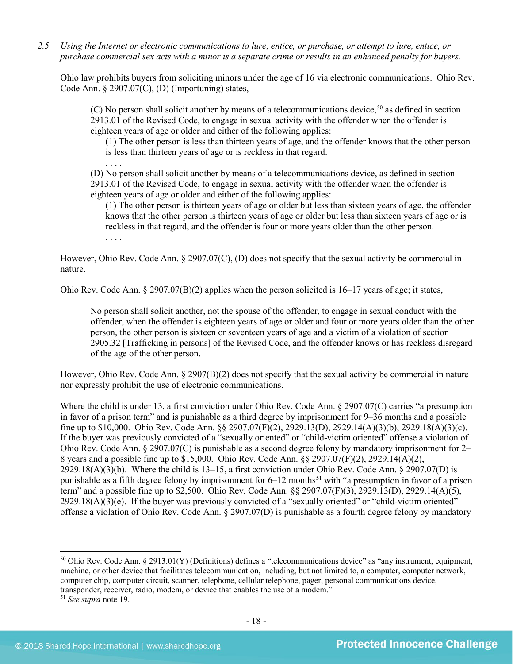*2.5 Using the Internet or electronic communications to lure, entice, or purchase, or attempt to lure, entice, or purchase commercial sex acts with a minor is a separate crime or results in an enhanced penalty for buyers.*

Ohio law prohibits buyers from soliciting minors under the age of 16 via electronic communications. Ohio Rev. Code Ann. § 2907.07(C), (D) (Importuning) states,

(C) No person shall solicit another by means of a telecommunications device,  $50$  as defined in section 2913.01 of the Revised Code, to engage in sexual activity with the offender when the offender is eighteen years of age or older and either of the following applies:

(1) The other person is less than thirteen years of age, and the offender knows that the other person is less than thirteen years of age or is reckless in that regard.

. . . . (D) No person shall solicit another by means of a telecommunications device, as defined in section 2913.01 of the Revised Code, to engage in sexual activity with the offender when the offender is eighteen years of age or older and either of the following applies:

(1) The other person is thirteen years of age or older but less than sixteen years of age, the offender knows that the other person is thirteen years of age or older but less than sixteen years of age or is reckless in that regard, and the offender is four or more years older than the other person. . . . .

However, Ohio Rev. Code Ann. § 2907.07(C), (D) does not specify that the sexual activity be commercial in nature.

Ohio Rev. Code Ann. § 2907.07(B)(2) applies when the person solicited is 16–17 years of age; it states,

No person shall solicit another, not the spouse of the offender, to engage in sexual conduct with the offender, when the offender is eighteen years of age or older and four or more years older than the other person, the other person is sixteen or seventeen years of age and a victim of a violation of section 2905.32 [Trafficking in persons] of the Revised Code, and the offender knows or has reckless disregard of the age of the other person.

However, Ohio Rev. Code Ann.  $\S 2907(B)(2)$  does not specify that the sexual activity be commercial in nature nor expressly prohibit the use of electronic communications.

Where the child is under 13, a first conviction under Ohio Rev. Code Ann. § 2907.07(C) carries "a presumption in favor of a prison term" and is punishable as a third degree by imprisonment for 9–36 months and a possible fine up to \$10,000. Ohio Rev. Code Ann. §§ 2907.07(F)(2), 2929.13(D), 2929.14(A)(3)(b), 2929.18(A)(3)(c). If the buyer was previously convicted of a "sexually oriented" or "child-victim oriented" offense a violation of Ohio Rev. Code Ann. § 2907.07(C) is punishable as a second degree felony by mandatory imprisonment for 2– 8 years and a possible fine up to \$15,000. Ohio Rev. Code Ann. §§ 2907.07(F)(2), 2929.14(A)(2), 2929.18(A)(3)(b). Where the child is 13–15, a first conviction under Ohio Rev. Code Ann. § 2907.07(D) is punishable as a fifth degree felony by imprisonment for  $6-12$  months<sup>[51](#page-17-1)</sup> with "a presumption in favor of a prison term" and a possible fine up to \$2,500. Ohio Rev. Code Ann. §§ 2907.07(F)(3), 2929.13(D), 2929.14(A)(5),  $2929.18(A)(3)(e)$ . If the buyer was previously convicted of a "sexually oriented" or "child-victim oriented" offense a violation of Ohio Rev. Code Ann. § 2907.07(D) is punishable as a fourth degree felony by mandatory

<span id="page-17-0"></span> $50$  Ohio Rev. Code Ann. § 2913.01(Y) (Definitions) defines a "telecommunications device" as "any instrument, equipment, machine, or other device that facilitates telecommunication, including, but not limited to, a computer, computer network, computer chip, computer circuit, scanner, telephone, cellular telephone, pager, personal communications device, transponder, receiver, radio, modem, or device that enables the use of a modem."

<span id="page-17-1"></span><sup>51</sup> *See supra* note [19.](#page-7-0)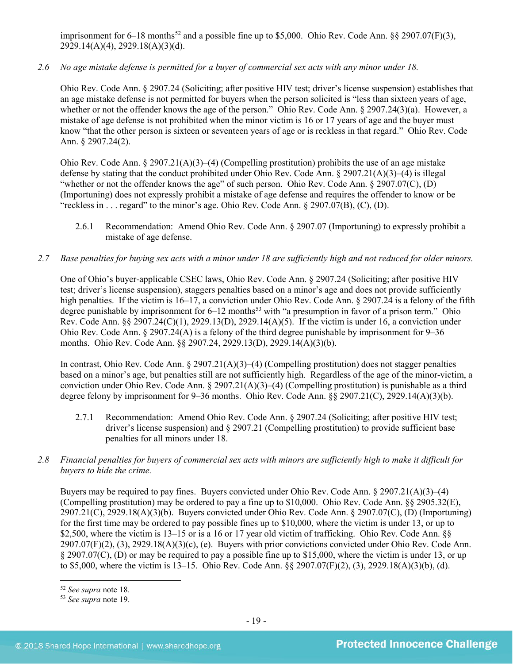imprisonment for  $6-18$  months<sup>[52](#page-18-0)</sup> and a possible fine up to \$5,000. Ohio Rev. Code Ann. §§ 2907.07(F)(3), 2929.14(A)(4), 2929.18(A)(3)(d).

*2.6 No age mistake defense is permitted for a buyer of commercial sex acts with any minor under 18.*

Ohio Rev. Code Ann. § 2907.24 (Soliciting; after positive HIV test; driver's license suspension) establishes that an age mistake defense is not permitted for buyers when the person solicited is "less than sixteen years of age, whether or not the offender knows the age of the person." Ohio Rev. Code Ann. § 2907.24(3)(a). However, a mistake of age defense is not prohibited when the minor victim is 16 or 17 years of age and the buyer must know "that the other person is sixteen or seventeen years of age or is reckless in that regard." Ohio Rev. Code Ann. § 2907.24(2).

Ohio Rev. Code Ann. § 2907.21(A)(3)–(4) (Compelling prostitution) prohibits the use of an age mistake defense by stating that the conduct prohibited under Ohio Rev. Code Ann. § 2907.21(A)(3)–(4) is illegal "whether or not the offender knows the age" of such person. Ohio Rev. Code Ann. § 2907.07(C), (D) (Importuning) does not expressly prohibit a mistake of age defense and requires the offender to know or be "reckless in . . . regard" to the minor's age. Ohio Rev. Code Ann.  $\S 2907.07(B)$ , (C), (D).

- 2.6.1 Recommendation: Amend Ohio Rev. Code Ann. § 2907.07 (Importuning) to expressly prohibit a mistake of age defense.
- *2.7 Base penalties for buying sex acts with a minor under 18 are sufficiently high and not reduced for older minors.*

One of Ohio's buyer-applicable CSEC laws, Ohio Rev. Code Ann. § 2907.24 (Soliciting; after positive HIV test; driver's license suspension), staggers penalties based on a minor's age and does not provide sufficiently high penalties. If the victim is 16–17, a conviction under Ohio Rev. Code Ann. § 2907.24 is a felony of the fifth degree punishable by imprisonment for  $6-12$  months<sup>[53](#page-18-1)</sup> with "a presumption in favor of a prison term." Ohio Rev. Code Ann. §§ 2907.24(C)(1), 2929.13(D), 2929.14(A)(5). If the victim is under 16, a conviction under Ohio Rev. Code Ann. § 2907.24(A) is a felony of the third degree punishable by imprisonment for 9–36 months. Ohio Rev. Code Ann. §§ 2907.24, 2929.13(D), 2929.14(A)(3)(b).

In contrast, Ohio Rev. Code Ann. § 2907.21(A)(3)–(4) (Compelling prostitution) does not stagger penalties based on a minor's age, but penalties still are not sufficiently high. Regardless of the age of the minor-victim, a conviction under Ohio Rev. Code Ann. § 2907.21(A)(3)–(4) (Compelling prostitution) is punishable as a third degree felony by imprisonment for 9–36 months. Ohio Rev. Code Ann. §§ 2907.21(C), 2929.14(A)(3)(b).

- 2.7.1 Recommendation: Amend Ohio Rev. Code Ann. § 2907.24 (Soliciting; after positive HIV test; driver's license suspension) and § 2907.21 (Compelling prostitution) to provide sufficient base penalties for all minors under 18.
- *2.8 Financial penalties for buyers of commercial sex acts with minors are sufficiently high to make it difficult for buyers to hide the crime.*

Buyers may be required to pay fines. Buyers convicted under Ohio Rev. Code Ann. § 2907.21(A)(3)–(4) (Compelling prostitution) may be ordered to pay a fine up to \$10,000. Ohio Rev. Code Ann. §§ 2905.32(E), 2907.21(C), 2929.18(A)(3)(b). Buyers convicted under Ohio Rev. Code Ann. § 2907.07(C), (D) (Importuning) for the first time may be ordered to pay possible fines up to \$10,000, where the victim is under 13, or up to \$2,500, where the victim is 13–15 or is a 16 or 17 year old victim of trafficking. Ohio Rev. Code Ann. §§ 2907.07(F)(2), (3), 2929.18(A)(3)(c), (e). Buyers with prior convictions convicted under Ohio Rev. Code Ann. § 2907.07(C), (D) or may be required to pay a possible fine up to \$15,000, where the victim is under 13, or up to \$5,000, where the victim is 13–15. Ohio Rev. Code Ann. §§ 2907.07(F)(2), (3), 2929.18(A)(3)(b), (d).

<span id="page-18-0"></span><sup>52</sup> *See supra* note [18.](#page-7-1)

<span id="page-18-1"></span><sup>53</sup> *See supra* note [19.](#page-7-0)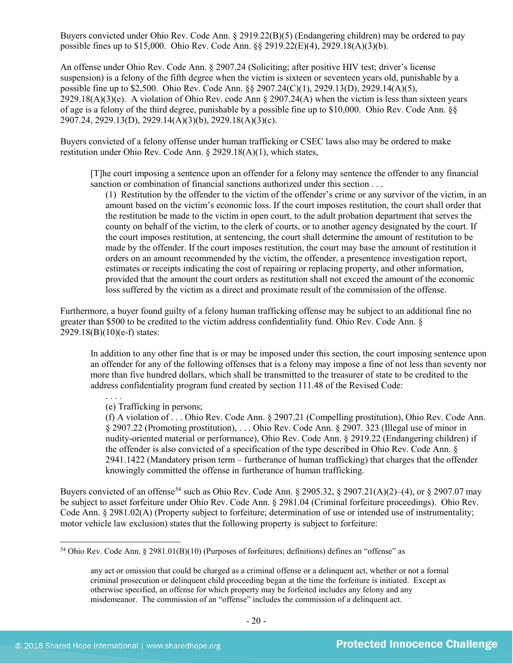Buyers convicted under Ohio Rev. Code Ann. § 2919.22(B)(5) (Endangering children) may be ordered to pay possible fines up to \$15,000. Ohio Rev. Code Ann. §§ 2919.22(E)(4), 2929.18(A)(3)(b).

An offense under Ohio Rev. Code Ann. § 2907.24 (Soliciting; after positive HIV test; driver's license suspension) is a felony of the fifth degree when the victim is sixteen or seventeen years old, punishable by a possible fine up to \$2,500. Ohio Rev. Code Ann. §§ 2907.24(C)(1), 2929.13(D), 2929.14(A)(5), 2929.18(A)(3)(e). A violation of Ohio Rev. code Ann § 2907.24(A) when the victim is less than sixteen years of age is a felony of the third degree, punishable by a possible fine up to \$10,000. Ohio Rev. Code Ann. §§ 2907.24, 2929.13(D), 2929.14(A)(3)(b), 2929.18(A)(3)(c).

Buyers convicted of a felony offense under human trafficking or CSEC laws also may be ordered to make restitution under Ohio Rev. Code Ann. § 2929.18(A)(1), which states,

[T]he court imposing a sentence upon an offender for a felony may sentence the offender to any financial sanction or combination of financial sanctions authorized under this section . . .

(1) Restitution by the offender to the victim of the offender's crime or any survivor of the victim, in an amount based on the victim's economic loss. If the court imposes restitution, the court shall order that the restitution be made to the victim in open court, to the adult probation department that serves the county on behalf of the victim, to the clerk of courts, or to another agency designated by the court. If the court imposes restitution, at sentencing, the court shall determine the amount of restitution to be made by the offender. If the court imposes restitution, the court may base the amount of restitution it orders on an amount recommended by the victim, the offender, a presentence investigation report, estimates or receipts indicating the cost of repairing or replacing property, and other information, provided that the amount the court orders as restitution shall not exceed the amount of the economic loss suffered by the victim as a direct and proximate result of the commission of the offense.

Furthermore, a buyer found guilty of a felony human trafficking offense may be subject to an additional fine no greater than \$500 to be credited to the victim address confidentiality fund. Ohio Rev. Code Ann. § 2929.18(B)(10)(e-f) states:

In addition to any other fine that is or may be imposed under this section, the court imposing sentence upon an offender for any of the following offenses that is a felony may impose a fine of not less than seventy nor more than five hundred dollars, which shall be transmitted to the treasurer of state to be credited to the address confidentiality program fund created by section 111.48 of the Revised Code:

. . . . (e) Trafficking in persons;

<span id="page-19-1"></span>(f) A violation of . . . Ohio Rev. Code Ann. § 2907.21 (Compelling prostitution), Ohio Rev. Code Ann. § 2907.22 (Promoting prostitution), . . . Ohio Rev. Code Ann. § 2907. 323 (Illegal use of minor in nudity-oriented material or performance), Ohio Rev. Code Ann. § 2919.22 (Endangering children) if the offender is also convicted of a specification of the type described in Ohio Rev. Code Ann. § 2941.1422 (Mandatory prison term – furtherance of human trafficking) that charges that the offender knowingly committed the offense in furtherance of human trafficking.

Buyers convicted of an offense<sup>[54](#page-19-0)</sup> such as Ohio Rev. Code Ann. § 2905.32, § 2907.21(A)(2)–(4), or § 2907.07 may be subject to asset forfeiture under Ohio Rev. Code Ann. § 2981.04 (Criminal forfeiture proceedings). Ohio Rev. Code Ann. § 2981.02(A) (Property subject to forfeiture; determination of use or intended use of instrumentality; motor vehicle law exclusion) states that the following property is subject to forfeiture:

<span id="page-19-0"></span><sup>54</sup> Ohio Rev. Code Ann. § 2981.01(B)(10) (Purposes of forfeitures; definitions) defines an "offense" as

any act or omission that could be charged as a criminal offense or a delinquent act, whether or not a formal criminal prosecution or delinquent child proceeding began at the time the forfeiture is initiated. Except as otherwise specified, an offense for which property may be forfeited includes any felony and any misdemeanor. The commission of an "offense" includes the commission of a delinquent act.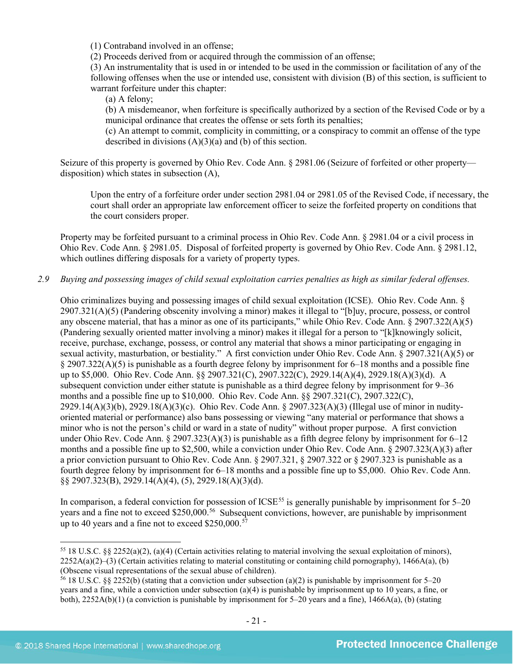(1) Contraband involved in an offense;

(2) Proceeds derived from or acquired through the commission of an offense;

(3) An instrumentality that is used in or intended to be used in the commission or facilitation of any of the following offenses when the use or intended use, consistent with division (B) of this section, is sufficient to warrant forfeiture under this chapter:

(a) A felony;

(b) A misdemeanor, when forfeiture is specifically authorized by a section of the Revised Code or by a municipal ordinance that creates the offense or sets forth its penalties;

(c) An attempt to commit, complicity in committing, or a conspiracy to commit an offense of the type described in divisions (A)(3)(a) and (b) of this section.

Seizure of this property is governed by Ohio Rev. Code Ann. § 2981.06 (Seizure of forfeited or other property disposition) which states in subsection (A),

Upon the entry of a forfeiture order under section 2981.04 or 2981.05 of the Revised Code, if necessary, the court shall order an appropriate law enforcement officer to seize the forfeited property on conditions that the court considers proper.

Property may be forfeited pursuant to a criminal process in Ohio Rev. Code Ann. § 2981.04 or a civil process in Ohio Rev. Code Ann. § 2981.05. Disposal of forfeited property is governed by Ohio Rev. Code Ann. § 2981.12, which outlines differing disposals for a variety of property types.

*2.9 Buying and possessing images of child sexual exploitation carries penalties as high as similar federal offenses.*

Ohio criminalizes buying and possessing images of child sexual exploitation (ICSE). Ohio Rev. Code Ann. § 2907.321(A)(5) (Pandering obscenity involving a minor) makes it illegal to "[b]uy, procure, possess, or control any obscene material, that has a minor as one of its participants," while Ohio Rev. Code Ann. § 2907.322(A)(5) (Pandering sexually oriented matter involving a minor) makes it illegal for a person to "[k]knowingly solicit, receive, purchase, exchange, possess, or control any material that shows a minor participating or engaging in sexual activity, masturbation, or bestiality." A first conviction under Ohio Rev. Code Ann. § 2907.321(A)(5) or § 2907.322(A)(5) is punishable as a fourth degree felony by imprisonment for 6–18 months and a possible fine up to \$5,000. Ohio Rev. Code Ann. §§ 2907.321(C), 2907.322(C), 2929.14(A)(4), 2929.18(A)(3)(d). A subsequent conviction under either statute is punishable as a third degree felony by imprisonment for 9–36 months and a possible fine up to \$10,000. Ohio Rev. Code Ann. §§ 2907.321(C), 2907.322(C), 2929.14(A)(3)(b), 2929.18(A)(3)(c). Ohio Rev. Code Ann. § 2907.323(A)(3) (Illegal use of minor in nudityoriented material or performance) also bans possessing or viewing "any material or performance that shows a minor who is not the person's child or ward in a state of nudity" without proper purpose. A first conviction under Ohio Rev. Code Ann. § 2907.323(A)(3) is punishable as a fifth degree felony by imprisonment for  $6-12$ months and a possible fine up to \$2,500, while a conviction under Ohio Rev. Code Ann. § 2907.323(A)(3) after a prior conviction pursuant to Ohio Rev. Code Ann. § 2907.321, § 2907.322 or § 2907.323 is punishable as a fourth degree felony by imprisonment for 6–18 months and a possible fine up to \$5,000. Ohio Rev. Code Ann. §§ 2907.323(B), 2929.14(A)(4), (5), 2929.18(A)(3)(d).

In comparison, a federal conviction for possession of  $ICSE<sup>55</sup>$  $ICSE<sup>55</sup>$  $ICSE<sup>55</sup>$  is generally punishable by imprisonment for  $5-20$ years and a fine not to exceed \$250,000.<sup>56</sup> Subsequent convictions, however, are punishable by imprisonment up to 40 years and a fine not to exceed \$250,000.<sup>[57](#page-20-2)</sup>

<span id="page-20-2"></span><span id="page-20-0"></span><sup>55</sup> 18 U.S.C. §§ 2252(a)(2), (a)(4) (Certain activities relating to material involving the sexual exploitation of minors),  $2252A(a)(2)$ –(3) (Certain activities relating to material constituting or containing child pornography), 1466A(a), (b) (Obscene visual representations of the sexual abuse of children).<br><sup>56</sup> 18 U.S.C. §§ 2252(b) (stating that a conviction under subsection (a)(2) is punishable by imprisonment for 5–20

<span id="page-20-1"></span>years and a fine, while a conviction under subsection (a)(4) is punishable by imprisonment up to 10 years, a fine, or both), 2252A(b)(1) (a conviction is punishable by imprisonment for 5–20 years and a fine), 1466A(a), (b) (stating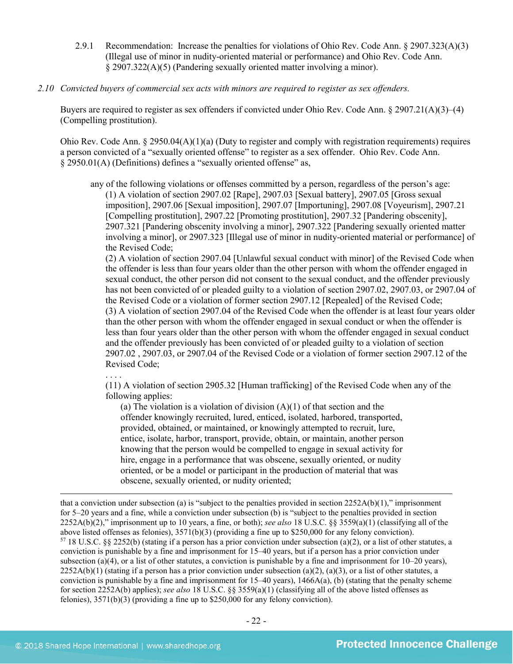- 2.9.1 Recommendation: Increase the penalties for violations of Ohio Rev. Code Ann. § 2907.323(A)(3) (Illegal use of minor in nudity-oriented material or performance) and Ohio Rev. Code Ann. § 2907.322(A)(5) (Pandering sexually oriented matter involving a minor).
- *2.10 Convicted buyers of commercial sex acts with minors are required to register as sex offenders.*

Buyers are required to register as sex offenders if convicted under Ohio Rev. Code Ann. § 2907.21(A)(3)–(4) (Compelling prostitution).

Ohio Rev. Code Ann.  $\S 2950.04(A)(1)(a)$  (Duty to register and comply with registration requirements) requires a person convicted of a "sexually oriented offense" to register as a sex offender. Ohio Rev. Code Ann. § 2950.01(A) (Definitions) defines a "sexually oriented offense" as,

any of the following violations or offenses committed by a person, regardless of the person's age: (1) A violation of section 2907.02 [Rape], 2907.03 [Sexual battery], 2907.05 [Gross sexual imposition], 2907.06 [Sexual imposition], 2907.07 [Importuning], 2907.08 [Voyeurism], 2907.21 [Compelling prostitution], 2907.22 [Promoting prostitution], 2907.32 [Pandering obscenity], 2907.321 [Pandering obscenity involving a minor], 2907.322 [Pandering sexually oriented matter involving a minor], or 2907.323 [Illegal use of minor in nudity-oriented material or performance] of the Revised Code;

(2) A violation of section 2907.04 [Unlawful sexual conduct with minor] of the Revised Code when the offender is less than four years older than the other person with whom the offender engaged in sexual conduct, the other person did not consent to the sexual conduct, and the offender previously has not been convicted of or pleaded guilty to a violation of section 2907.02, 2907.03, or 2907.04 of the Revised Code or a violation of former section 2907.12 [Repealed] of the Revised Code; (3) A violation of section 2907.04 of the Revised Code when the offender is at least four years older than the other person with whom the offender engaged in sexual conduct or when the offender is less than four years older than the other person with whom the offender engaged in sexual conduct and the offender previously has been convicted of or pleaded guilty to a violation of section 2907.02 , 2907.03, or 2907.04 of the Revised Code or a violation of former section 2907.12 of the Revised Code;

. . . .

 $\overline{\phantom{a}}$ 

(11) A violation of section 2905.32 [Human trafficking] of the Revised Code when any of the following applies:

(a) The violation is a violation of division  $(A)(1)$  of that section and the offender knowingly recruited, lured, enticed, isolated, harbored, transported, provided, obtained, or maintained, or knowingly attempted to recruit, lure, entice, isolate, harbor, transport, provide, obtain, or maintain, another person knowing that the person would be compelled to engage in sexual activity for hire, engage in a performance that was obscene, sexually oriented, or nudity oriented, or be a model or participant in the production of material that was obscene, sexually oriented, or nudity oriented;

that a conviction under subsection (a) is "subject to the penalties provided in section  $2252A(b)(1)$ ," imprisonment for 5–20 years and a fine, while a conviction under subsection (b) is "subject to the penalties provided in section 2252A(b)(2)," imprisonment up to 10 years, a fine, or both); *see also* 18 U.S.C. §§ 3559(a)(1) (classifying all of the <sup>57</sup> 18 U.S.C. §§ 2252(b) (stating if a person has a prior conviction under subsection (a)(2), or a list of other statutes, a conviction is punishable by a fine and imprisonment for 15–40 years, but if a person has a prior conviction under subsection (a)(4), or a list of other statutes, a conviction is punishable by a fine and imprisonment for  $10-20$  years),  $2252A(b)(1)$  (stating if a person has a prior conviction under subsection (a)(2), (a)(3), or a list of other statutes, a conviction is punishable by a fine and imprisonment for  $15-40$  years),  $1466A(a)$ , (b) (stating that the penalty scheme for section 2252A(b) applies); *see also* 18 U.S.C. §§ 3559(a)(1) (classifying all of the above listed offenses as felonies), 3571(b)(3) (providing a fine up to \$250,000 for any felony conviction).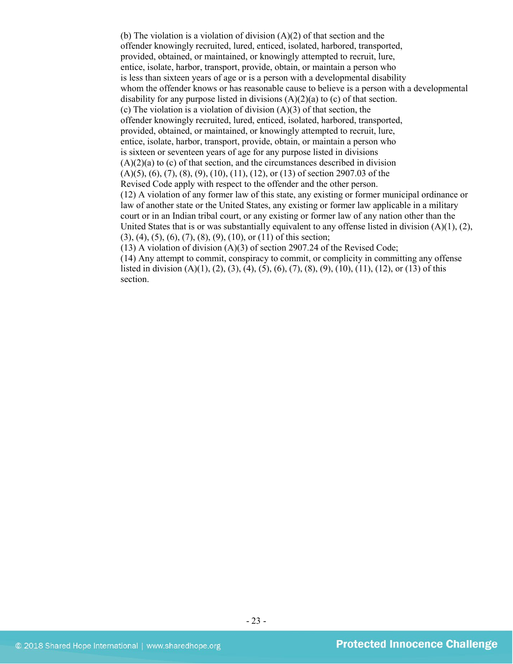(b) The violation is a violation of division (A)(2) of that section and the offender knowingly recruited, lured, enticed, isolated, harbored, transported, provided, obtained, or maintained, or knowingly attempted to recruit, lure, entice, isolate, harbor, transport, provide, obtain, or maintain a person who is less than sixteen years of age or is a person with a developmental disability whom the offender knows or has reasonable cause to believe is a person with a developmental disability for any purpose listed in divisions (A)(2)(a) to (c) of that section. (c) The violation is a violation of division  $(A)(3)$  of that section, the offender knowingly recruited, lured, enticed, isolated, harbored, transported, provided, obtained, or maintained, or knowingly attempted to recruit, lure, entice, isolate, harbor, transport, provide, obtain, or maintain a person who is sixteen or seventeen years of age for any purpose listed in divisions  $(A)(2)(a)$  to  $(c)$  of that section, and the circumstances described in division  $(A)(5)$ ,  $(6)$ ,  $(7)$ ,  $(8)$ ,  $(9)$ ,  $(10)$ ,  $(11)$ ,  $(12)$ , or  $(13)$  of section 2907.03 of the Revised Code apply with respect to the offender and the other person. (12) A violation of any former law of this state, any existing or former municipal ordinance or law of another state or the United States, any existing or former law applicable in a military court or in an Indian tribal court, or any existing or former law of any nation other than the United States that is or was substantially equivalent to any offense listed in division  $(A)(1), (2),$ (3), (4), (5), (6), (7), (8), (9), (10), or (11) of this section; (13) A violation of division  $(A)(3)$  of section 2907.24 of the Revised Code;

(14) Any attempt to commit, conspiracy to commit, or complicity in committing any offense listed in division  $(A)(1)$ ,  $(2)$ ,  $(3)$ ,  $(4)$ ,  $(5)$ ,  $(6)$ ,  $(7)$ ,  $(8)$ ,  $(9)$ ,  $(10)$ ,  $(11)$ ,  $(12)$ , or  $(13)$  of this section.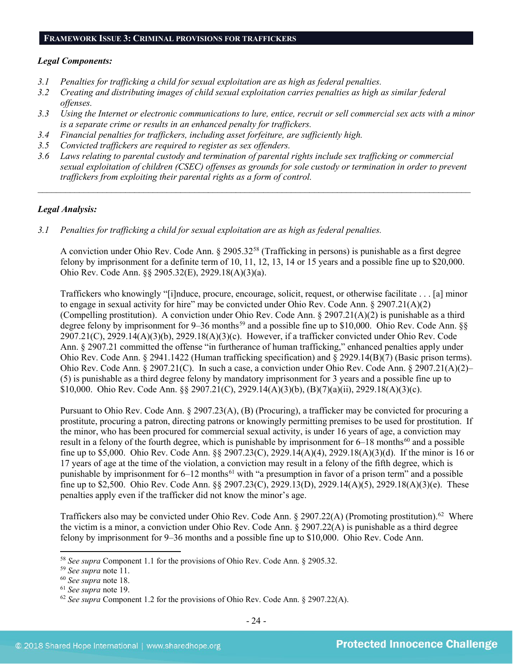#### **FRAMEWORK ISSUE 3: CRIMINAL PROVISIONS FOR TRAFFICKERS**

## *Legal Components:*

- *3.1 Penalties for trafficking a child for sexual exploitation are as high as federal penalties.*
- *3.2 Creating and distributing images of child sexual exploitation carries penalties as high as similar federal offenses.*
- *3.3 Using the Internet or electronic communications to lure, entice, recruit or sell commercial sex acts with a minor is a separate crime or results in an enhanced penalty for traffickers.*
- *3.4 Financial penalties for traffickers, including asset forfeiture, are sufficiently high.*
- *3.5 Convicted traffickers are required to register as sex offenders.*
- *3.6 Laws relating to parental custody and termination of parental rights include sex trafficking or commercial sexual exploitation of children (CSEC) offenses as grounds for sole custody or termination in order to prevent traffickers from exploiting their parental rights as a form of control.*

*\_\_\_\_\_\_\_\_\_\_\_\_\_\_\_\_\_\_\_\_\_\_\_\_\_\_\_\_\_\_\_\_\_\_\_\_\_\_\_\_\_\_\_\_\_\_\_\_\_\_\_\_\_\_\_\_\_\_\_\_\_\_\_\_\_\_\_\_\_\_\_\_\_\_\_\_\_\_\_\_\_\_\_\_\_\_\_\_\_\_\_\_\_\_*

## *Legal Analysis:*

*3.1 Penalties for trafficking a child for sexual exploitation are as high as federal penalties.* 

A conviction under Ohio Rev. Code Ann. § 2905.32[58](#page-23-0) (Trafficking in persons) is punishable as a first degree felony by imprisonment for a definite term of 10, 11, 12, 13, 14 or 15 years and a possible fine up to \$20,000. Ohio Rev. Code Ann. §§ 2905.32(E), 2929.18(A)(3)(a).

Traffickers who knowingly "[i]nduce, procure, encourage, solicit, request, or otherwise facilitate . . . [a] minor to engage in sexual activity for hire" may be convicted under Ohio Rev. Code Ann. § 2907.21(A)(2) (Compelling prostitution). A conviction under Ohio Rev. Code Ann.  $\S 2907.21(A)(2)$  is punishable as a third degree felony by imprisonment for 9–36 months<sup>[59](#page-23-1)</sup> and a possible fine up to \$10,000. Ohio Rev. Code Ann. §§ 2907.21(C), 2929.14(A)(3)(b), 2929.18(A)(3)(c). However, if a trafficker convicted under Ohio Rev. Code Ann. § 2907.21 committed the offense "in furtherance of human trafficking," enhanced penalties apply under Ohio Rev. Code Ann. § 2941.1422 (Human trafficking specification) and § 2929.14(B)(7) (Basic prison terms). Ohio Rev. Code Ann. § 2907.21(C). In such a case, a conviction under Ohio Rev. Code Ann. § 2907.21(A)(2)– (5) is punishable as a third degree felony by mandatory imprisonment for 3 years and a possible fine up to \$10,000. Ohio Rev. Code Ann. §§ 2907.21(C), 2929.14(A)(3)(b), (B)(7)(a)(ii), 2929.18(A)(3)(c).

Pursuant to Ohio Rev. Code Ann. § 2907.23(A), (B) (Procuring), a trafficker may be convicted for procuring a prostitute, procuring a patron, directing patrons or knowingly permitting premises to be used for prostitution. If the minor, who has been procured for commercial sexual activity, is under 16 years of age, a conviction may result in a felony of the fourth degree, which is punishable by imprisonment for  $6-18$  months<sup>[60](#page-23-2)</sup> and a possible fine up to \$5,000. Ohio Rev. Code Ann. §§ 2907.23(C), 2929.14(A)(4), 2929.18(A)(3)(d). If the minor is 16 or 17 years of age at the time of the violation, a conviction may result in a felony of the fifth degree, which is punishable by imprisonment for 6–12 months<sup>[61](#page-23-3)</sup> with "a presumption in favor of a prison term" and a possible fine up to \$2,500. Ohio Rev. Code Ann. §§ 2907.23(C), 2929.13(D), 2929.14(A)(5), 2929.18(A)(3)(e). These penalties apply even if the trafficker did not know the minor's age.

Traffickers also may be convicted under Ohio Rev. Code Ann. § 2907.22(A) (Promoting prostitution).<sup>[62](#page-23-4)</sup> Where the victim is a minor, a conviction under Ohio Rev. Code Ann. § 2907.22(A) is punishable as a third degree felony by imprisonment for 9–36 months and a possible fine up to \$10,000. Ohio Rev. Code Ann.

<span id="page-23-0"></span><sup>58</sup> *See supra* Component 1.1 for the provisions of Ohio Rev. Code Ann. § 2905.32.

<span id="page-23-1"></span><sup>59</sup> *See supra* note [11.](#page-4-4)

<span id="page-23-2"></span><sup>60</sup> *See supra* note [18.](#page-7-1)

<span id="page-23-3"></span><sup>61</sup> *See supra* note [19.](#page-7-0)

<span id="page-23-4"></span><sup>62</sup> *See supra* Component 1.2 for the provisions of Ohio Rev. Code Ann. § 2907.22(A).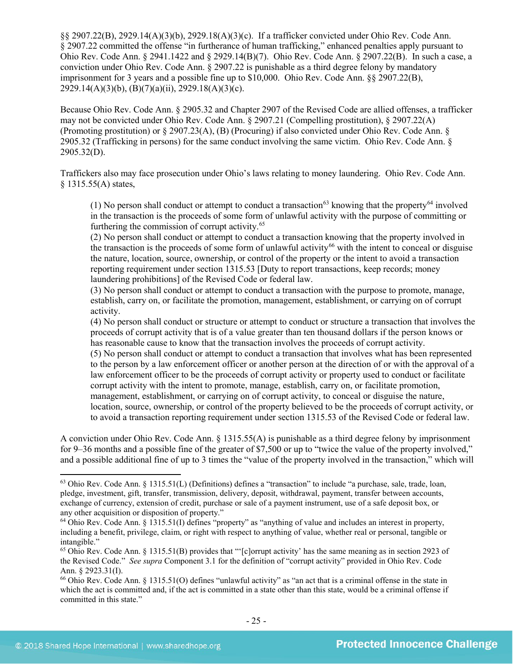§§ 2907.22(B), 2929.14(A)(3)(b), 2929.18(A)(3)(c). If a trafficker convicted under Ohio Rev. Code Ann. § 2907.22 committed the offense "in furtherance of human trafficking," enhanced penalties apply pursuant to Ohio Rev. Code Ann. § 2941.1422 and § 2929.14(B)(7). Ohio Rev. Code Ann. § 2907.22(B). In such a case, a conviction under Ohio Rev. Code Ann. § 2907.22 is punishable as a third degree felony by mandatory imprisonment for 3 years and a possible fine up to \$10,000. Ohio Rev. Code Ann. §§ 2907.22(B), 2929.14(A)(3)(b), (B)(7)(a)(ii), 2929.18(A)(3)(c).

Because Ohio Rev. Code Ann. § 2905.32 and Chapter 2907 of the Revised Code are allied offenses, a trafficker may not be convicted under Ohio Rev. Code Ann. § 2907.21 (Compelling prostitution), § 2907.22(A) (Promoting prostitution) or § 2907.23(A), (B) (Procuring) if also convicted under Ohio Rev. Code Ann. § 2905.32 (Trafficking in persons) for the same conduct involving the same victim. Ohio Rev. Code Ann. § 2905.32(D).

Traffickers also may face prosecution under Ohio's laws relating to money laundering. Ohio Rev. Code Ann. § 1315.55(A) states,

(1) No person shall conduct or attempt to conduct a transaction<sup>[63](#page-24-0)</sup> knowing that the property<sup>[64](#page-24-1)</sup> involved in the transaction is the proceeds of some form of unlawful activity with the purpose of committing or furthering the commission of corrupt activity.<sup>65</sup>

(2) No person shall conduct or attempt to conduct a transaction knowing that the property involved in the transaction is the proceeds of some form of unlawful activity<sup>[66](#page-24-3)</sup> with the intent to conceal or disguise the nature, location, source, ownership, or control of the property or the intent to avoid a transaction reporting requirement under section 1315.53 [Duty to report transactions, keep records; money laundering prohibitions] of the Revised Code or federal law.

(3) No person shall conduct or attempt to conduct a transaction with the purpose to promote, manage, establish, carry on, or facilitate the promotion, management, establishment, or carrying on of corrupt activity.

(4) No person shall conduct or structure or attempt to conduct or structure a transaction that involves the proceeds of corrupt activity that is of a value greater than ten thousand dollars if the person knows or has reasonable cause to know that the transaction involves the proceeds of corrupt activity.

(5) No person shall conduct or attempt to conduct a transaction that involves what has been represented to the person by a law enforcement officer or another person at the direction of or with the approval of a law enforcement officer to be the proceeds of corrupt activity or property used to conduct or facilitate corrupt activity with the intent to promote, manage, establish, carry on, or facilitate promotion, management, establishment, or carrying on of corrupt activity, to conceal or disguise the nature, location, source, ownership, or control of the property believed to be the proceeds of corrupt activity, or to avoid a transaction reporting requirement under section 1315.53 of the Revised Code or federal law.

A conviction under Ohio Rev. Code Ann. § 1315.55(A) is punishable as a third degree felony by imprisonment for 9–36 months and a possible fine of the greater of \$7,500 or up to "twice the value of the property involved," and a possible additional fine of up to 3 times the "value of the property involved in the transaction," which will

<span id="page-24-0"></span><sup>63</sup> Ohio Rev. Code Ann. § 1315.51(L) (Definitions) defines a "transaction" to include "a purchase, sale, trade, loan, pledge, investment, gift, transfer, transmission, delivery, deposit, withdrawal, payment, transfer between accounts, exchange of currency, extension of credit, purchase or sale of a payment instrument, use of a safe deposit box, or any other acquisition or disposition of property."

<span id="page-24-1"></span><sup>64</sup> Ohio Rev. Code Ann. § 1315.51(I) defines "property" as "anything of value and includes an interest in property, including a benefit, privilege, claim, or right with respect to anything of value, whether real or personal, tangible or intangible."

<span id="page-24-2"></span><sup>65</sup> Ohio Rev. Code Ann. § 1315.51(B) provides that "'[c]orrupt activity' has the same meaning as in section 2923 of the Revised Code." *See supra* Component 3.1 for the definition of "corrupt activity" provided in Ohio Rev. Code Ann. § 2923.31(I).

<span id="page-24-3"></span><sup>66</sup> Ohio Rev. Code Ann. § 1315.51(O) defines "unlawful activity" as "an act that is a criminal offense in the state in which the act is committed and, if the act is committed in a state other than this state, would be a criminal offense if committed in this state."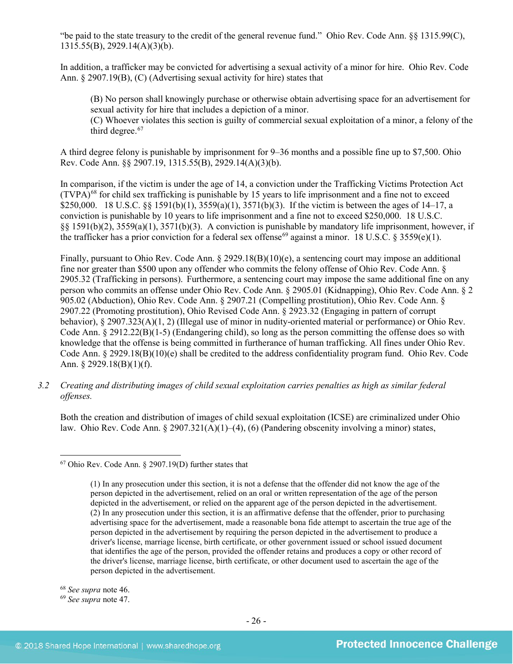"be paid to the state treasury to the credit of the general revenue fund." Ohio Rev. Code Ann. §§ 1315.99(C), 1315.55(B), 2929.14(A)(3)(b).

In addition, a trafficker may be convicted for advertising a sexual activity of a minor for hire. Ohio Rev. Code Ann. § 2907.19(B), (C) (Advertising sexual activity for hire) states that

(B) No person shall knowingly purchase or otherwise obtain advertising space for an advertisement for sexual activity for hire that includes a depiction of a minor.

(C) Whoever violates this section is guilty of commercial sexual exploitation of a minor, a felony of the third degree.<sup>[67](#page-25-0)</sup>

A third degree felony is punishable by imprisonment for 9–36 months and a possible fine up to \$7,500. Ohio Rev. Code Ann. §§ 2907.19, 1315.55(B), 2929.14(A)(3)(b).

In comparison, if the victim is under the age of 14, a conviction under the Trafficking Victims Protection Act  $(TVPA)^{68}$  $(TVPA)^{68}$  $(TVPA)^{68}$  for child sex trafficking is punishable by 15 years to life imprisonment and a fine not to exceed \$250,000. 18 U.S.C. §§ 1591(b)(1), 3559(a)(1), 3571(b)(3). If the victim is between the ages of 14–17, a conviction is punishable by 10 years to life imprisonment and a fine not to exceed \$250,000. 18 U.S.C. §§ 1591(b)(2), 3559(a)(1), 3571(b)(3). A conviction is punishable by mandatory life imprisonment, however, if the trafficker has a prior conviction for a federal sex offense<sup>[69](#page-25-2)</sup> against a minor. 18 U.S.C. § 3559(e)(1).

Finally, pursuant to Ohio Rev. Code Ann. § 2929.18(B)(10)(e), a sentencing court may impose an additional fine nor greater than \$500 upon any offender who commits the felony offense of Ohio Rev. Code Ann. § 2905.32 (Trafficking in persons). Furthermore, a sentencing court may impose the same additional fine on any person who commits an offense under Ohio Rev. Code Ann. § 2905.01 (Kidnapping), Ohio Rev. Code Ann. § 2 905.02 (Abduction), Ohio Rev. Code Ann. § 2907.21 (Compelling prostitution), Ohio Rev. Code Ann. § 2907.22 (Promoting prostitution), Ohio Revised Code Ann. § 2923.32 (Engaging in pattern of corrupt behavior), § 2907.323(A)(1, 2) (Illegal use of minor in nudity-oriented material or performance) or Ohio Rev. Code Ann. § 2912.22(B)(1-5) (Endangering child), so long as the person committing the offense does so with knowledge that the offense is being committed in furtherance of human trafficking. All fines under Ohio Rev. Code Ann. § 2929.18(B)(10)(e) shall be credited to the address confidentiality program fund. Ohio Rev. Code Ann. § 2929.18(B)(1)(f).

*3.2 Creating and distributing images of child sexual exploitation carries penalties as high as similar federal offenses.*

Both the creation and distribution of images of child sexual exploitation (ICSE) are criminalized under Ohio law. Ohio Rev. Code Ann.  $\S 2907.321(A)(1)–(4)$ , (6) (Pandering obscenity involving a minor) states,

<span id="page-25-1"></span><sup>68</sup> *See supra* note [46.](#page-16-7)

l

<span id="page-25-2"></span><sup>69</sup> *See supra* note [47.](#page-16-8) 

<span id="page-25-0"></span><sup>67</sup> Ohio Rev. Code Ann. § 2907.19(D) further states that

<sup>(1)</sup> In any prosecution under this section, it is not a defense that the offender did not know the age of the person depicted in the advertisement, relied on an oral or written representation of the age of the person depicted in the advertisement, or relied on the apparent age of the person depicted in the advertisement. (2) In any prosecution under this section, it is an affirmative defense that the offender, prior to purchasing advertising space for the advertisement, made a reasonable bona fide attempt to ascertain the true age of the person depicted in the advertisement by requiring the person depicted in the advertisement to produce a driver's license, marriage license, birth certificate, or other government issued or school issued document that identifies the age of the person, provided the offender retains and produces a copy or other record of the driver's license, marriage license, birth certificate, or other document used to ascertain the age of the person depicted in the advertisement.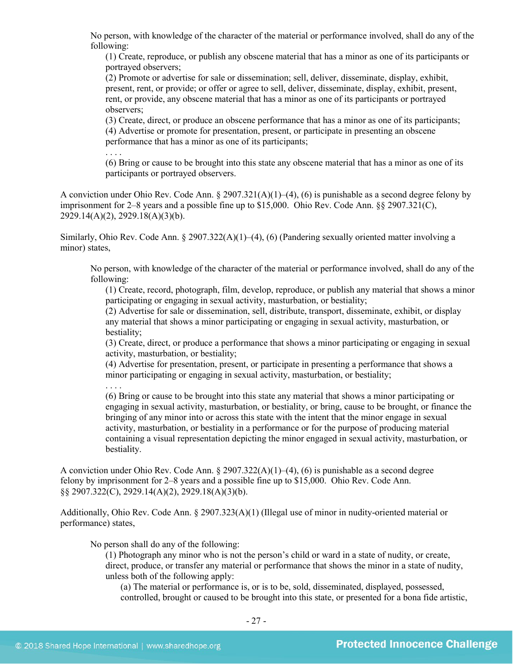No person, with knowledge of the character of the material or performance involved, shall do any of the following:

(1) Create, reproduce, or publish any obscene material that has a minor as one of its participants or portrayed observers;

(2) Promote or advertise for sale or dissemination; sell, deliver, disseminate, display, exhibit, present, rent, or provide; or offer or agree to sell, deliver, disseminate, display, exhibit, present, rent, or provide, any obscene material that has a minor as one of its participants or portrayed observers;

(3) Create, direct, or produce an obscene performance that has a minor as one of its participants; (4) Advertise or promote for presentation, present, or participate in presenting an obscene performance that has a minor as one of its participants;

. . . .

(6) Bring or cause to be brought into this state any obscene material that has a minor as one of its participants or portrayed observers.

A conviction under Ohio Rev. Code Ann. § 2907.321(A)(1)–(4), (6) is punishable as a second degree felony by imprisonment for 2–8 years and a possible fine up to \$15,000. Ohio Rev. Code Ann. §§ 2907.321(C), 2929.14(A)(2), 2929.18(A)(3)(b).

Similarly, Ohio Rev. Code Ann. § 2907.322(A)(1)–(4), (6) (Pandering sexually oriented matter involving a minor) states,

No person, with knowledge of the character of the material or performance involved, shall do any of the following:

(1) Create, record, photograph, film, develop, reproduce, or publish any material that shows a minor participating or engaging in sexual activity, masturbation, or bestiality;

(2) Advertise for sale or dissemination, sell, distribute, transport, disseminate, exhibit, or display any material that shows a minor participating or engaging in sexual activity, masturbation, or bestiality;

(3) Create, direct, or produce a performance that shows a minor participating or engaging in sexual activity, masturbation, or bestiality;

(4) Advertise for presentation, present, or participate in presenting a performance that shows a minor participating or engaging in sexual activity, masturbation, or bestiality;

. . . .

(6) Bring or cause to be brought into this state any material that shows a minor participating or engaging in sexual activity, masturbation, or bestiality, or bring, cause to be brought, or finance the bringing of any minor into or across this state with the intent that the minor engage in sexual activity, masturbation, or bestiality in a performance or for the purpose of producing material containing a visual representation depicting the minor engaged in sexual activity, masturbation, or bestiality.

A conviction under Ohio Rev. Code Ann. § 2907.322(A)(1)–(4), (6) is punishable as a second degree felony by imprisonment for 2–8 years and a possible fine up to \$15,000. Ohio Rev. Code Ann. §§ 2907.322(C), 2929.14(A)(2), 2929.18(A)(3)(b).

Additionally, Ohio Rev. Code Ann. § 2907.323(A)(1) (Illegal use of minor in nudity-oriented material or performance) states,

No person shall do any of the following:

(1) Photograph any minor who is not the person's child or ward in a state of nudity, or create, direct, produce, or transfer any material or performance that shows the minor in a state of nudity, unless both of the following apply:

(a) The material or performance is, or is to be, sold, disseminated, displayed, possessed, controlled, brought or caused to be brought into this state, or presented for a bona fide artistic,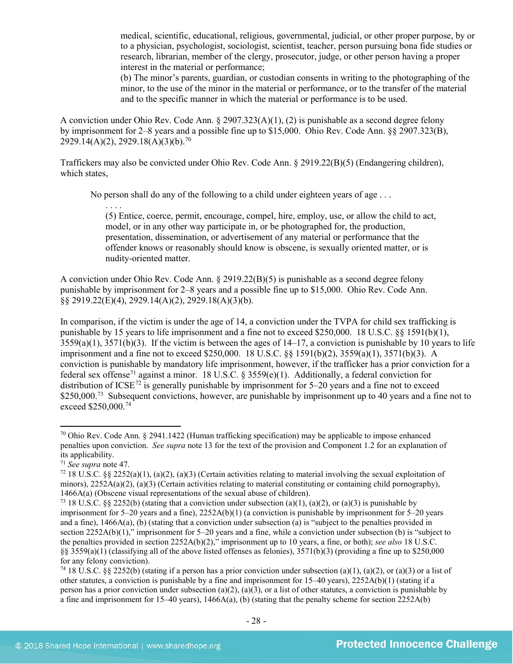medical, scientific, educational, religious, governmental, judicial, or other proper purpose, by or to a physician, psychologist, sociologist, scientist, teacher, person pursuing bona fide studies or research, librarian, member of the clergy, prosecutor, judge, or other person having a proper interest in the material or performance;

(b) The minor's parents, guardian, or custodian consents in writing to the photographing of the minor, to the use of the minor in the material or performance, or to the transfer of the material and to the specific manner in which the material or performance is to be used.

A conviction under Ohio Rev. Code Ann. § 2907.323(A)(1), (2) is punishable as a second degree felony by imprisonment for 2–8 years and a possible fine up to \$15,000. Ohio Rev. Code Ann. §§ 2907.323(B),  $2929.14(A)(2), 2929.18(A)(3)(b).^{70}$  $2929.14(A)(2), 2929.18(A)(3)(b).^{70}$  $2929.14(A)(2), 2929.18(A)(3)(b).^{70}$ 

Traffickers may also be convicted under Ohio Rev. Code Ann. § 2919.22(B)(5) (Endangering children), which states,

No person shall do any of the following to a child under eighteen years of age . . .

(5) Entice, coerce, permit, encourage, compel, hire, employ, use, or allow the child to act, model, or in any other way participate in, or be photographed for, the production, presentation, dissemination, or advertisement of any material or performance that the offender knows or reasonably should know is obscene, is sexually oriented matter, or is nudity-oriented matter.

A conviction under Ohio Rev. Code Ann. § 2919.22(B)(5) is punishable as a second degree felony punishable by imprisonment for 2–8 years and a possible fine up to \$15,000. Ohio Rev. Code Ann. §§ 2919.22(E)(4), 2929.14(A)(2), 2929.18(A)(3)(b).

In comparison, if the victim is under the age of 14, a conviction under the TVPA for child sex trafficking is punishable by 15 years to life imprisonment and a fine not to exceed \$250,000. 18 U.S.C. §§ 1591(b)(1),  $3559(a)(1)$ ,  $3571(b)(3)$ . If the victim is between the ages of  $14-17$ , a conviction is punishable by 10 years to life imprisonment and a fine not to exceed \$250,000. 18 U.S.C. §§ 1591(b)(2), 3559(a)(1), 3571(b)(3). A conviction is punishable by mandatory life imprisonment, however, if the trafficker has a prior conviction for a federal sex offense<sup>[71](#page-27-1)</sup> against a minor. 18 U.S.C. § 3559(e)(1). Additionally, a federal conviction for distribution of ICSE<sup>[72](#page-27-2)</sup> is generally punishable by imprisonment for 5–20 years and a fine not to exceed \$250,000.<sup>[73](#page-27-3)</sup> Subsequent convictions, however, are punishable by imprisonment up to 40 years and a fine not to exceed \$250,000.<sup>[74](#page-27-4)</sup>

l

. . . .

<span id="page-27-0"></span> $70$  Ohio Rev. Code Ann. § 2941.1422 (Human trafficking specification) may be applicable to impose enhanced penalties upon conviction. *See supra* not[e 13](#page-4-5) for the text of the provision and Component 1.2 for an explanation of its applicability.

<span id="page-27-1"></span><sup>71</sup> *See supra* note [47.](#page-16-8)

<span id="page-27-2"></span> $72\,18$  U.S.C. §§ 2252(a)(1), (a)(2), (a)(3) (Certain activities relating to material involving the sexual exploitation of minors),  $2252A(a)(2)$ ,  $(a)(3)$  (Certain activities relating to material constituting or containing child pornography), 1466A(a) (Obscene visual representations of the sexual abuse of children).

<span id="page-27-3"></span><sup>&</sup>lt;sup>73</sup> 18 U.S.C. §§ 2252(b) (stating that a conviction under subsection (a)(1), (a)(2), or (a)(3) is punishable by imprisonment for 5–20 years and a fine), 2252A(b)(1) (a conviction is punishable by imprisonment for 5–20 years and a fine), 1466A(a), (b) (stating that a conviction under subsection (a) is "subject to the penalties provided in section 2252A(b)(1)," imprisonment for 5–20 years and a fine, while a conviction under subsection (b) is "subject to the penalties provided in section 2252A(b)(2)," imprisonment up to 10 years, a fine, or both); *see also* 18 U.S.C. §§ 3559(a)(1) (classifying all of the above listed offenses as felonies), 3571(b)(3) (providing a fine up to \$250,000 for any felony conviction).

<span id="page-27-4"></span><sup>&</sup>lt;sup>74</sup> 18 U.S.C. §§ 2252(b) (stating if a person has a prior conviction under subsection (a)(1), (a)(2), or (a)(3) or a list of other statutes, a conviction is punishable by a fine and imprisonment for 15–40 years), 2252A(b)(1) (stating if a person has a prior conviction under subsection (a)(2), (a)(3), or a list of other statutes, a conviction is punishable by a fine and imprisonment for 15–40 years), 1466A(a), (b) (stating that the penalty scheme for section 2252A(b)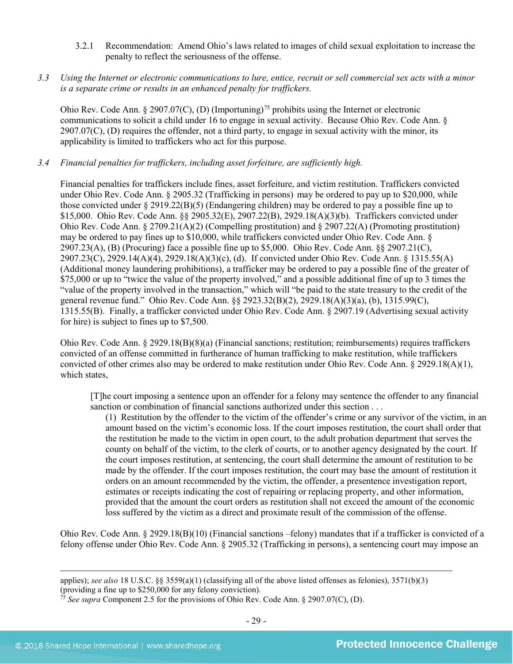3.2.1 Recommendation: Amend Ohio's laws related to images of child sexual exploitation to increase the penalty to reflect the seriousness of the offense.

## *3.3 Using the Internet or electronic communications to lure, entice, recruit or sell commercial sex acts with a minor is a separate crime or results in an enhanced penalty for traffickers.*

Ohio Rev. Code Ann. § 2907.07(C), (D) (Importuning)<sup>[75](#page-28-0)</sup> prohibits using the Internet or electronic communications to solicit a child under 16 to engage in sexual activity. Because Ohio Rev. Code Ann. §  $2907.07(C)$ , (D) requires the offender, not a third party, to engage in sexual activity with the minor, its applicability is limited to traffickers who act for this purpose.

## *3.4 Financial penalties for traffickers, including asset forfeiture, are sufficiently high.*

Financial penalties for traffickers include fines, asset forfeiture, and victim restitution. Traffickers convicted under Ohio Rev. Code Ann. § 2905.32 (Trafficking in persons) may be ordered to pay up to \$20,000, while those convicted under  $\S 2919.22(B)(5)$  (Endangering children) may be ordered to pay a possible fine up to \$15,000. Ohio Rev. Code Ann. §§ 2905.32(E), 2907.22(B), 2929.18(A)(3)(b). Traffickers convicted under Ohio Rev. Code Ann. § 2709.21(A)(2) (Compelling prostitution) and § 2907.22(A) (Promoting prostitution) may be ordered to pay fines up to \$10,000, while traffickers convicted under Ohio Rev. Code Ann. § 2907.23(A), (B) (Procuring) face a possible fine up to \$5,000. Ohio Rev. Code Ann. §§ 2907.21(C), 2907.23(C), 2929.14(A)(4), 2929.18(A)(3)(c), (d). If convicted under Ohio Rev. Code Ann. § 1315.55(A) (Additional money laundering prohibitions), a trafficker may be ordered to pay a possible fine of the greater of \$75,000 or up to "twice the value of the property involved," and a possible additional fine of up to 3 times the "value of the property involved in the transaction," which will "be paid to the state treasury to the credit of the general revenue fund." Ohio Rev. Code Ann. §§ 2923.32(B)(2), 2929.18(A)(3)(a), (b), 1315.99(C), 1315.55(B). Finally, a trafficker convicted under Ohio Rev. Code Ann. § 2907.19 (Advertising sexual activity for hire) is subject to fines up to \$7,500.

Ohio Rev. Code Ann. § 2929.18(B)(8)(a) (Financial sanctions; restitution; reimbursements) requires traffickers convicted of an offense committed in furtherance of human trafficking to make restitution, while traffickers convicted of other crimes also may be ordered to make restitution under Ohio Rev. Code Ann. § 2929.18(A)(1), which states,

[T]he court imposing a sentence upon an offender for a felony may sentence the offender to any financial sanction or combination of financial sanctions authorized under this section . . .

(1) Restitution by the offender to the victim of the offender's crime or any survivor of the victim, in an amount based on the victim's economic loss. If the court imposes restitution, the court shall order that the restitution be made to the victim in open court, to the adult probation department that serves the county on behalf of the victim, to the clerk of courts, or to another agency designated by the court. If the court imposes restitution, at sentencing, the court shall determine the amount of restitution to be made by the offender. If the court imposes restitution, the court may base the amount of restitution it orders on an amount recommended by the victim, the offender, a presentence investigation report, estimates or receipts indicating the cost of repairing or replacing property, and other information, provided that the amount the court orders as restitution shall not exceed the amount of the economic loss suffered by the victim as a direct and proximate result of the commission of the offense.

Ohio Rev. Code Ann. § 2929.18(B)(10) (Financial sanctions –felony) mandates that if a trafficker is convicted of a felony offense under Ohio Rev. Code Ann. § 2905.32 (Trafficking in persons), a sentencing court may impose an

applies); *see also* 18 U.S.C. §§ 3559(a)(1) (classifying all of the above listed offenses as felonies), 3571(b)(3) (providing a fine up to \$250,000 for any felony conviction).

<span id="page-28-0"></span><sup>75</sup> *See supra* Component 2.5 for the provisions of Ohio Rev. Code Ann. § 2907.07(C), (D).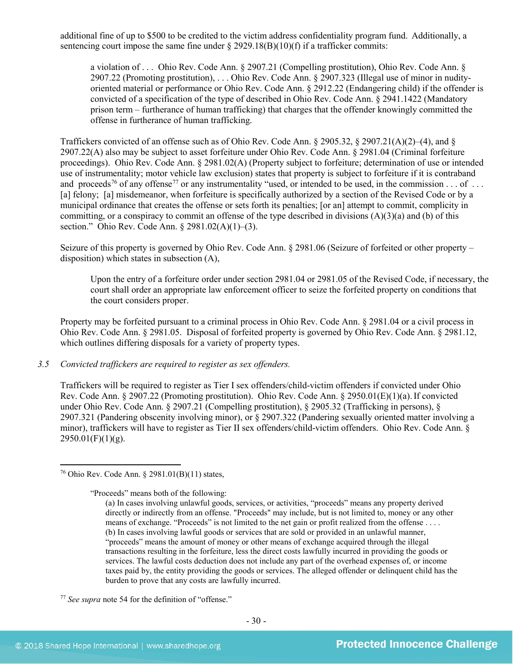additional fine of up to \$500 to be credited to the victim address confidentiality program fund. Additionally, a sentencing court impose the same fine under  $\S 2929.18(B)(10)(f)$  if a trafficker commits:

a violation of . . . Ohio Rev. Code Ann. § 2907.21 (Compelling prostitution), Ohio Rev. Code Ann. § 2907.22 (Promoting prostitution), . . . Ohio Rev. Code Ann. § 2907.323 (Illegal use of minor in nudityoriented material or performance or Ohio Rev. Code Ann. § 2912.22 (Endangering child) if the offender is convicted of a specification of the type of described in Ohio Rev. Code Ann. § 2941.1422 (Mandatory prison term – furtherance of human trafficking) that charges that the offender knowingly committed the offense in furtherance of human trafficking.

<span id="page-29-2"></span>Traffickers convicted of an offense such as of Ohio Rev. Code Ann.  $\S 2905.32$ ,  $\S 2907.21(A)(2)–(4)$ , and  $\S$ 2907.22(A) also may be subject to asset forfeiture under Ohio Rev. Code Ann. § 2981.04 (Criminal forfeiture proceedings). Ohio Rev. Code Ann. § 2981.02(A) (Property subject to forfeiture; determination of use or intended use of instrumentality; motor vehicle law exclusion) states that property is subject to forfeiture if it is contraband and proceeds<sup>[76](#page-29-0)</sup> of any offense<sup>[77](#page-29-1)</sup> or any instrumentality "used, or intended to be used, in the commission  $\dots$  of  $\dots$ [a] felony; [a] misdemeanor, when forfeiture is specifically authorized by a section of the Revised Code or by a municipal ordinance that creates the offense or sets forth its penalties; [or an] attempt to commit, complicity in committing, or a conspiracy to commit an offense of the type described in divisions  $(A)(3)(a)$  and (b) of this section." Ohio Rev. Code Ann. § 2981.02(A)(1)–(3).

Seizure of this property is governed by Ohio Rev. Code Ann. § 2981.06 (Seizure of forfeited or other property – disposition) which states in subsection (A),

Upon the entry of a forfeiture order under section 2981.04 or 2981.05 of the Revised Code, if necessary, the court shall order an appropriate law enforcement officer to seize the forfeited property on conditions that the court considers proper.

Property may be forfeited pursuant to a criminal process in Ohio Rev. Code Ann. § 2981.04 or a civil process in Ohio Rev. Code Ann. § 2981.05. Disposal of forfeited property is governed by Ohio Rev. Code Ann. § 2981.12, which outlines differing disposals for a variety of property types.

## *3.5 Convicted traffickers are required to register as sex offenders.*

Traffickers will be required to register as Tier I sex offenders/child-victim offenders if convicted under Ohio Rev. Code Ann. § 2907.22 (Promoting prostitution). Ohio Rev. Code Ann. § 2950.01(E)(1)(a).If convicted under Ohio Rev. Code Ann. § 2907.21 (Compelling prostitution), § 2905.32 (Trafficking in persons), § 2907.321 (Pandering obscenity involving minor), or § 2907.322 (Pandering sexually oriented matter involving a minor), traffickers will have to register as Tier II sex offenders/child-victim offenders. Ohio Rev. Code Ann. §  $2950.01(F)(1)(g)$ .

<span id="page-29-0"></span><sup>76</sup> Ohio Rev. Code Ann. § 2981.01(B)(11) states,

<sup>&</sup>quot;Proceeds" means both of the following:

<sup>(</sup>a) In cases involving unlawful goods, services, or activities, "proceeds" means any property derived directly or indirectly from an offense. "Proceeds" may include, but is not limited to, money or any other means of exchange. "Proceeds" is not limited to the net gain or profit realized from the offense . . . . (b) In cases involving lawful goods or services that are sold or provided in an unlawful manner, "proceeds" means the amount of money or other means of exchange acquired through the illegal transactions resulting in the forfeiture, less the direct costs lawfully incurred in providing the goods or services. The lawful costs deduction does not include any part of the overhead expenses of, or income taxes paid by, the entity providing the goods or services. The alleged offender or delinquent child has the burden to prove that any costs are lawfully incurred.

<span id="page-29-1"></span><sup>77</sup> *See supra* note [54](#page-19-1) for the definition of "offense."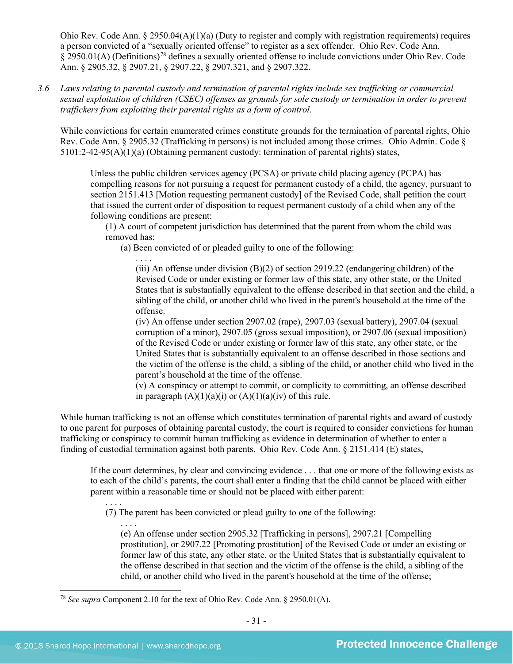Ohio Rev. Code Ann.  $\S 2950.04(A)(1)(a)$  (Duty to register and comply with registration requirements) requires a person convicted of a "sexually oriented offense" to register as a sex offender. Ohio Rev. Code Ann. § 2950.01(A) (Definitions)[78](#page-30-0) defines a sexually oriented offense to include convictions under Ohio Rev. Code Ann. § 2905.32, § 2907.21, § 2907.22, § 2907.321, and § 2907.322.

*3.6 Laws relating to parental custody and termination of parental rights include sex trafficking or commercial sexual exploitation of children (CSEC) offenses as grounds for sole custody or termination in order to prevent traffickers from exploiting their parental rights as a form of control.* 

While convictions for certain enumerated crimes constitute grounds for the termination of parental rights, Ohio Rev. Code Ann. § 2905.32 (Trafficking in persons) is not included among those crimes. Ohio Admin. Code § 5101:2-42-95(A)(1)(a) (Obtaining permanent custody: termination of parental rights) states,

Unless the public children services agency (PCSA) or private child placing agency (PCPA) has compelling reasons for not pursuing a request for permanent custody of a child, the agency, pursuant to section 2151.413 [Motion requesting permanent custody] of the Revised Code, shall petition the court that issued the current order of disposition to request permanent custody of a child when any of the following conditions are present:

(1) A court of competent jurisdiction has determined that the parent from whom the child was removed has:

(a) Been convicted of or pleaded guilty to one of the following:

(iii) An offense under division  $(B)(2)$  of section 2919.22 (endangering children) of the Revised Code or under existing or former law of this state, any other state, or the United States that is substantially equivalent to the offense described in that section and the child, a sibling of the child, or another child who lived in the parent's household at the time of the offense.

(iv) An offense under section 2907.02 (rape), 2907.03 (sexual battery), 2907.04 (sexual corruption of a minor), 2907.05 (gross sexual imposition), or 2907.06 (sexual imposition) of the Revised Code or under existing or former law of this state, any other state, or the United States that is substantially equivalent to an offense described in those sections and the victim of the offense is the child, a sibling of the child, or another child who lived in the parent's household at the time of the offense.

(v) A conspiracy or attempt to commit, or complicity to committing, an offense described in paragraph  $(A)(1)(a)(i)$  or  $(A)(1)(a)(iv)$  of this rule.

While human trafficking is not an offense which constitutes termination of parental rights and award of custody to one parent for purposes of obtaining parental custody, the court is required to consider convictions for human trafficking or conspiracy to commit human trafficking as evidence in determination of whether to enter a finding of custodial termination against both parents. Ohio Rev. Code Ann. § 2151.414 (E) states,

If the court determines, by clear and convincing evidence . . . that one or more of the following exists as to each of the child's parents, the court shall enter a finding that the child cannot be placed with either parent within a reasonable time or should not be placed with either parent:

. . . . (7) The parent has been convicted or plead guilty to one of the following:

. . . . (e) An offense under section 2905.32 [Trafficking in persons], 2907.21 [Compelling prostitution], or 2907.22 [Promoting prostitution] of the Revised Code or under an existing or former law of this state, any other state, or the United States that is substantially equivalent to the offense described in that section and the victim of the offense is the child, a sibling of the child, or another child who lived in the parent's household at the time of the offense;

<span id="page-30-0"></span><sup>78</sup> *See supra* Component 2.10 for the text of Ohio Rev. Code Ann. § 2950.01(A).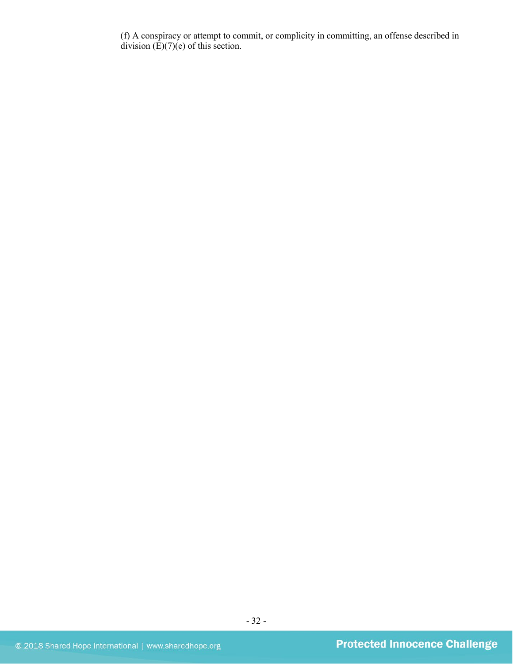(f) A conspiracy or attempt to commit, or complicity in committing, an offense described in division  $(E)(7)(e)$  of this section.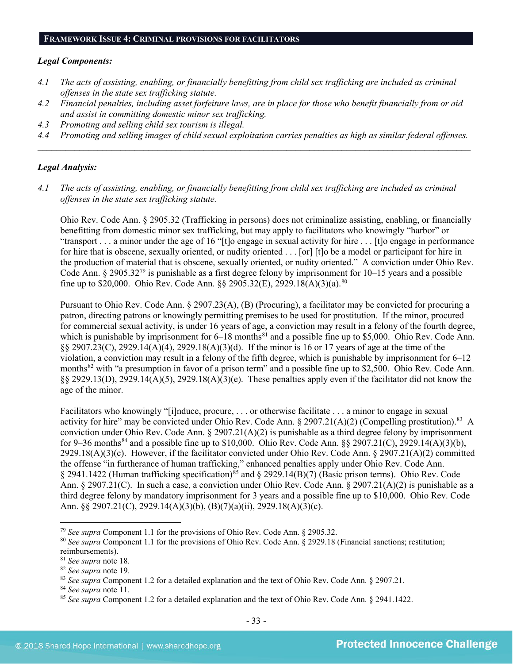#### **FRAMEWORK ISSUE 4: CRIMINAL PROVISIONS FOR FACILITATORS**

#### *Legal Components:*

- *4.1 The acts of assisting, enabling, or financially benefitting from child sex trafficking are included as criminal offenses in the state sex trafficking statute.*
- *4.2 Financial penalties, including asset forfeiture laws, are in place for those who benefit financially from or aid and assist in committing domestic minor sex trafficking.*
- *4.3 Promoting and selling child sex tourism is illegal.*
- *4.4 Promoting and selling images of child sexual exploitation carries penalties as high as similar federal offenses. \_\_\_\_\_\_\_\_\_\_\_\_\_\_\_\_\_\_\_\_\_\_\_\_\_\_\_\_\_\_\_\_\_\_\_\_\_\_\_\_\_\_\_\_\_\_\_\_\_\_\_\_\_\_\_\_\_\_\_\_\_\_\_\_\_\_\_\_\_\_\_\_\_\_\_\_\_\_\_\_\_\_\_\_\_\_\_\_\_\_\_\_\_\_*

#### *Legal Analysis:*

*4.1 The acts of assisting, enabling, or financially benefitting from child sex trafficking are included as criminal offenses in the state sex trafficking statute.*

Ohio Rev. Code Ann. § 2905.32 (Trafficking in persons) does not criminalize assisting, enabling, or financially benefitting from domestic minor sex trafficking, but may apply to facilitators who knowingly "harbor" or "transport . . . a minor under the age of 16 "[t]o engage in sexual activity for hire . . . [t]o engage in performance for hire that is obscene, sexually oriented, or nudity oriented . . . [or] [t]o be a model or participant for hire in the production of material that is obscene, sexually oriented, or nudity oriented." A conviction under Ohio Rev. Code Ann. § 2905.32[79](#page-32-0) is punishable as a first degree felony by imprisonment for 10–15 years and a possible fine up to \$20,000. Ohio Rev. Code Ann. §§ 2905.32(E), 2929.18(A)(3)(a).<sup>[80](#page-32-1)</sup>

Pursuant to Ohio Rev. Code Ann. § 2907.23(A), (B) (Procuring), a facilitator may be convicted for procuring a patron, directing patrons or knowingly permitting premises to be used for prostitution. If the minor, procured for commercial sexual activity, is under 16 years of age, a conviction may result in a felony of the fourth degree, which is punishable by imprisonment for  $6-18$  months<sup>[81](#page-32-2)</sup> and a possible fine up to \$5,000. Ohio Rev. Code Ann. §§ 2907.23(C), 2929.14(A)(4), 2929.18(A)(3)(d). If the minor is 16 or 17 years of age at the time of the violation, a conviction may result in a felony of the fifth degree, which is punishable by imprisonment for 6–12 months<sup>[82](#page-32-3)</sup> with "a presumption in favor of a prison term" and a possible fine up to \$2,500. Ohio Rev. Code Ann.  $\S$ § 2929.13(D), 2929.14(A)(5), 2929.18(A)(3)(e). These penalties apply even if the facilitator did not know the age of the minor.

Facilitators who knowingly "[i]nduce, procure, . . . or otherwise facilitate . . . a minor to engage in sexual activity for hire" may be convicted under Ohio Rev. Code Ann.  $\S 2907.21(A)(2)$  (Compelling prostitution).<sup>83</sup> A conviction under Ohio Rev. Code Ann. § 2907.21(A)(2) is punishable as a third degree felony by imprisonment for 9–36 months<sup>[84](#page-32-5)</sup> and a possible fine up to \$10,000. Ohio Rev. Code Ann. §§ 2907.21(C), 2929.14(A)(3)(b), 2929.18(A)(3)(c). However, if the facilitator convicted under Ohio Rev. Code Ann. § 2907.21(A)(2) committed the offense "in furtherance of human trafficking," enhanced penalties apply under Ohio Rev. Code Ann.  $\S$  2941.1422 (Human trafficking specification)<sup>[85](#page-32-6)</sup> and  $\S$  2929.14(B)(7) (Basic prison terms). Ohio Rev. Code Ann. § 2907.21(C). In such a case, a conviction under Ohio Rev. Code Ann. § 2907.21(A)(2) is punishable as a third degree felony by mandatory imprisonment for 3 years and a possible fine up to \$10,000. Ohio Rev. Code Ann. §§ 2907.21(C), 2929.14(A)(3)(b), (B)(7)(a)(ii), 2929.18(A)(3)(c).

<span id="page-32-0"></span><sup>79</sup> *See supra* Component 1.1 for the provisions of Ohio Rev. Code Ann. § 2905.32.

<span id="page-32-1"></span><sup>80</sup> *See supra* Component 1.1 for the provisions of Ohio Rev. Code Ann. § 2929.18 (Financial sanctions; restitution; reimbursements).

<span id="page-32-2"></span><sup>81</sup> *See supra* note [18.](#page-7-1)

<sup>82</sup> *See supra* note [19.](#page-7-0)

<span id="page-32-4"></span><span id="page-32-3"></span>

<sup>83</sup> *See supra* Component 1.2 for a detailed explanation and the text of Ohio Rev. Code Ann. § 2907.21.

<span id="page-32-5"></span><sup>84</sup> *See supra* note [11.](#page-4-4)

<span id="page-32-6"></span><sup>85</sup> *See supra* Component 1.2 for a detailed explanation and the text of Ohio Rev. Code Ann. § 2941.1422.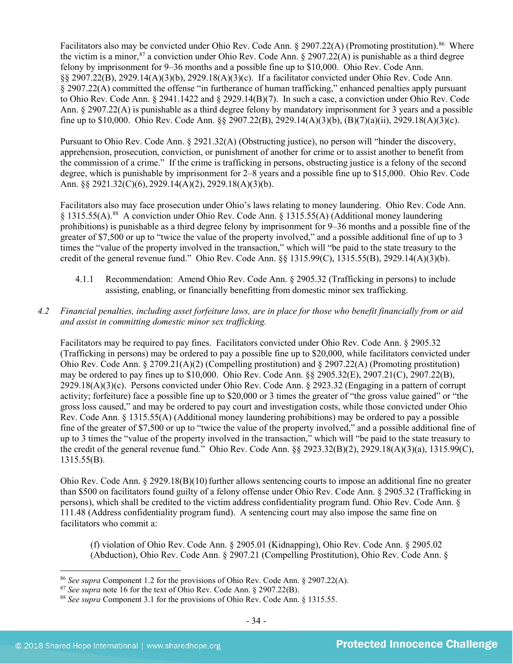Facilitators also may be convicted under Ohio Rev. Code Ann. § 2907.22(A) (Promoting prostitution).<sup>86</sup> Where the victim is a minor,<sup>[87](#page-33-1)</sup> a conviction under Ohio Rev. Code Ann. § 2907.22(A) is punishable as a third degree felony by imprisonment for 9–36 months and a possible fine up to \$10,000. Ohio Rev. Code Ann. §§ 2907.22(B), 2929.14(A)(3)(b), 2929.18(A)(3)(c). If a facilitator convicted under Ohio Rev. Code Ann. § 2907.22(A) committed the offense "in furtherance of human trafficking," enhanced penalties apply pursuant to Ohio Rev. Code Ann. § 2941.1422 and § 2929.14(B)(7). In such a case, a conviction under Ohio Rev. Code Ann. § 2907.22(A) is punishable as a third degree felony by mandatory imprisonment for 3 years and a possible fine up to \$10,000. Ohio Rev. Code Ann. §§ 2907.22(B), 2929.14(A)(3)(b), (B)(7)(a)(ii), 2929.18(A)(3)(c).

Pursuant to Ohio Rev. Code Ann. § 2921.32(A) (Obstructing justice), no person will "hinder the discovery, apprehension, prosecution, conviction, or punishment of another for crime or to assist another to benefit from the commission of a crime." If the crime is trafficking in persons, obstructing justice is a felony of the second degree, which is punishable by imprisonment for 2–8 years and a possible fine up to \$15,000. Ohio Rev. Code Ann. §§ 2921.32(C)(6), 2929.14(A)(2), 2929.18(A)(3)(b).

Facilitators also may face prosecution under Ohio's laws relating to money laundering. Ohio Rev. Code Ann. § 1315.55(A).<sup>[88](#page-33-2)</sup> A conviction under Ohio Rev. Code Ann. § 1315.55(A) (Additional money laundering prohibitions) is punishable as a third degree felony by imprisonment for 9–36 months and a possible fine of the greater of \$7,500 or up to "twice the value of the property involved," and a possible additional fine of up to 3 times the "value of the property involved in the transaction," which will "be paid to the state treasury to the credit of the general revenue fund." Ohio Rev. Code Ann. §§ 1315.99(C), 1315.55(B), 2929.14(A)(3)(b).

4.1.1 Recommendation: Amend Ohio Rev. Code Ann. § 2905.32 (Trafficking in persons) to include assisting, enabling, or financially benefitting from domestic minor sex trafficking.

## *4.2 Financial penalties, including asset forfeiture laws, are in place for those who benefit financially from or aid and assist in committing domestic minor sex trafficking.*

Facilitators may be required to pay fines. Facilitators convicted under Ohio Rev. Code Ann. § 2905.32 (Trafficking in persons) may be ordered to pay a possible fine up to \$20,000, while facilitators convicted under Ohio Rev. Code Ann. § 2709.21(A)(2) (Compelling prostitution) and § 2907.22(A) (Promoting prostitution) may be ordered to pay fines up to \$10,000. Ohio Rev. Code Ann. §§ 2905.32(E), 2907.21(C), 2907.22(B), 2929.18(A)(3)(c). Persons convicted under Ohio Rev. Code Ann. § 2923.32 (Engaging in a pattern of corrupt activity; forfeiture) face a possible fine up to \$20,000 or 3 times the greater of "the gross value gained" or "the gross loss caused," and may be ordered to pay court and investigation costs, while those convicted under Ohio Rev. Code Ann. § 1315.55(A) (Additional money laundering prohibitions) may be ordered to pay a possible fine of the greater of \$7,500 or up to "twice the value of the property involved," and a possible additional fine of up to 3 times the "value of the property involved in the transaction," which will "be paid to the state treasury to the credit of the general revenue fund." Ohio Rev. Code Ann. §§ 2923.32(B)(2), 2929.18(A)(3)(a), 1315.99(C), 1315.55(B).

Ohio Rev. Code Ann.  $\S 2929.18(B)(10)$  further allows sentencing courts to impose an additional fine no greater than \$500 on facilitators found guilty of a felony offense under Ohio Rev. Code Ann. § 2905.32 (Trafficking in persons), which shall be credited to the victim address confidentiality program fund. Ohio Rev. Code Ann. § 111.48 (Address confidentiality program fund). A sentencing court may also impose the same fine on facilitators who commit a:

(f) violation of Ohio Rev. Code Ann. § 2905.01 (Kidnapping), Ohio Rev. Code Ann. § 2905.02 (Abduction), Ohio Rev. Code Ann. § 2907.21 (Compelling Prostitution), Ohio Rev. Code Ann. §

<span id="page-33-0"></span><sup>86</sup> *See supra* Component 1.2 for the provisions of Ohio Rev. Code Ann. § 2907.22(A).

<span id="page-33-1"></span><sup>87</sup> *See supra* note [16](#page-5-3) for the text of Ohio Rev. Code Ann. § 2907.22(B).

<span id="page-33-2"></span><sup>88</sup> *See supra* Component 3.1 for the provisions of Ohio Rev. Code Ann. § 1315.55.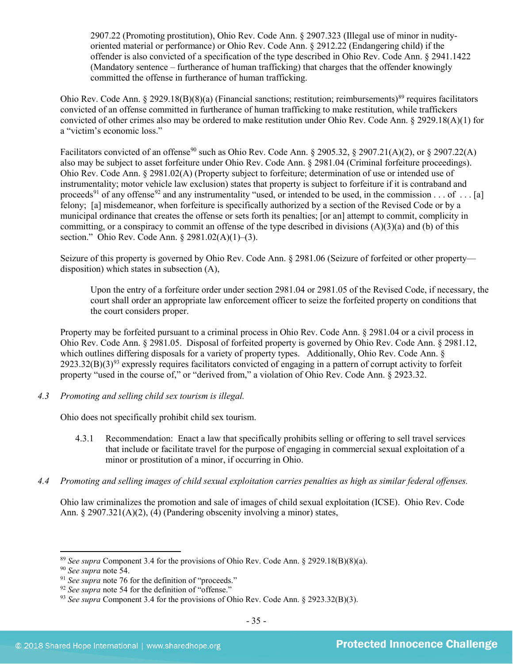2907.22 (Promoting prostitution), Ohio Rev. Code Ann. § 2907.323 (Illegal use of minor in nudityoriented material or performance) or Ohio Rev. Code Ann. § 2912.22 (Endangering child) if the offender is also convicted of a specification of the type described in Ohio Rev. Code Ann. § 2941.1422 (Mandatory sentence – furtherance of human trafficking) that charges that the offender knowingly committed the offense in furtherance of human trafficking.

Ohio Rev. Code Ann. § 2929.18(B)(8)(a) (Financial sanctions; restitution; reimbursements)<sup>[89](#page-34-0)</sup> requires facilitators convicted of an offense committed in furtherance of human trafficking to make restitution, while traffickers convicted of other crimes also may be ordered to make restitution under Ohio Rev. Code Ann. § 2929.18(A)(1) for a "victim's economic loss."

Facilitators convicted of an offense<sup>[90](#page-34-1)</sup> such as Ohio Rev. Code Ann. § 2905.32, § 2907.21(A)(2), or § 2907.22(A) also may be subject to asset forfeiture under Ohio Rev. Code Ann. § 2981.04 (Criminal forfeiture proceedings). Ohio Rev. Code Ann. § 2981.02(A) (Property subject to forfeiture; determination of use or intended use of instrumentality; motor vehicle law exclusion) states that property is subject to forfeiture if it is contraband and proceeds<sup>[91](#page-34-2)</sup> of any offense<sup>[92](#page-34-3)</sup> and any instrumentality "used, or intended to be used, in the commission . . . of . . . [a] felony; [a] misdemeanor, when forfeiture is specifically authorized by a section of the Revised Code or by a municipal ordinance that creates the offense or sets forth its penalties; [or an] attempt to commit, complicity in committing, or a conspiracy to commit an offense of the type described in divisions  $(A)(3)(a)$  and (b) of this section." Ohio Rev. Code Ann. § 2981.02(A)(1)–(3).

Seizure of this property is governed by Ohio Rev. Code Ann. § 2981.06 (Seizure of forfeited or other property disposition) which states in subsection (A),

Upon the entry of a forfeiture order under section 2981.04 or 2981.05 of the Revised Code, if necessary, the court shall order an appropriate law enforcement officer to seize the forfeited property on conditions that the court considers proper.

Property may be forfeited pursuant to a criminal process in Ohio Rev. Code Ann. § 2981.04 or a civil process in Ohio Rev. Code Ann. § 2981.05. Disposal of forfeited property is governed by Ohio Rev. Code Ann. § 2981.12, which outlines differing disposals for a variety of property types. Additionally, Ohio Rev. Code Ann. §  $2923.32(B)(3)^{93}$  $2923.32(B)(3)^{93}$  $2923.32(B)(3)^{93}$  expressly requires facilitators convicted of engaging in a pattern of corrupt activity to forfeit property "used in the course of," or "derived from," a violation of Ohio Rev. Code Ann. § 2923.32.

*4.3 Promoting and selling child sex tourism is illegal.*

Ohio does not specifically prohibit child sex tourism.

- 4.3.1 Recommendation: Enact a law that specifically prohibits selling or offering to sell travel services that include or facilitate travel for the purpose of engaging in commercial sexual exploitation of a minor or prostitution of a minor, if occurring in Ohio.
- *4.4 Promoting and selling images of child sexual exploitation carries penalties as high as similar federal offenses.*

Ohio law criminalizes the promotion and sale of images of child sexual exploitation (ICSE). Ohio Rev. Code Ann. § 2907.321(A)(2), (4) (Pandering obscenity involving a minor) states,

<span id="page-34-0"></span><sup>89</sup> *See supra* Component 3.4 for the provisions of Ohio Rev. Code Ann. § 2929.18(B)(8)(a).

<span id="page-34-1"></span><sup>90</sup> *See supra* note [54.](#page-19-1)

<span id="page-34-2"></span><sup>&</sup>lt;sup>91</sup> See supra note [76](#page-29-2) for the definition of "proceeds."

<span id="page-34-3"></span><sup>92</sup> *See supra* note [54](#page-19-1) for the definition of "offense."

<span id="page-34-4"></span><sup>93</sup> *See supra* Component 3.4 for the provisions of Ohio Rev. Code Ann. § 2923.32(B)(3).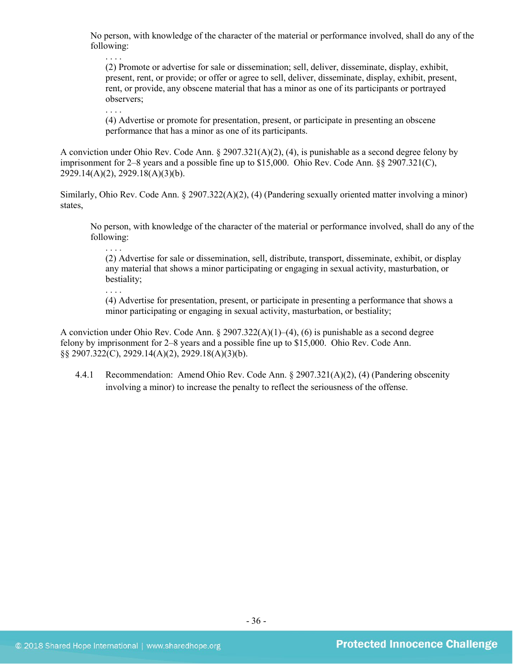No person, with knowledge of the character of the material or performance involved, shall do any of the following:

(2) Promote or advertise for sale or dissemination; sell, deliver, disseminate, display, exhibit, present, rent, or provide; or offer or agree to sell, deliver, disseminate, display, exhibit, present, rent, or provide, any obscene material that has a minor as one of its participants or portrayed observers;

. . . .

. . . .

. . . .

. . . .

(4) Advertise or promote for presentation, present, or participate in presenting an obscene performance that has a minor as one of its participants.

A conviction under Ohio Rev. Code Ann. § 2907.321(A)(2), (4), is punishable as a second degree felony by imprisonment for 2–8 years and a possible fine up to \$15,000. Ohio Rev. Code Ann. §§ 2907.321(C), 2929.14(A)(2), 2929.18(A)(3)(b).

Similarly, Ohio Rev. Code Ann. § 2907.322(A)(2), (4) (Pandering sexually oriented matter involving a minor) states,

No person, with knowledge of the character of the material or performance involved, shall do any of the following:

(2) Advertise for sale or dissemination, sell, distribute, transport, disseminate, exhibit, or display any material that shows a minor participating or engaging in sexual activity, masturbation, or bestiality;

(4) Advertise for presentation, present, or participate in presenting a performance that shows a minor participating or engaging in sexual activity, masturbation, or bestiality;

A conviction under Ohio Rev. Code Ann.  $\S 2907.322(A)(1)–(4)$ , (6) is punishable as a second degree felony by imprisonment for 2–8 years and a possible fine up to \$15,000. Ohio Rev. Code Ann. §§ 2907.322(C), 2929.14(A)(2), 2929.18(A)(3)(b).

4.4.1 Recommendation: Amend Ohio Rev. Code Ann. § 2907.321(A)(2), (4) (Pandering obscenity involving a minor) to increase the penalty to reflect the seriousness of the offense.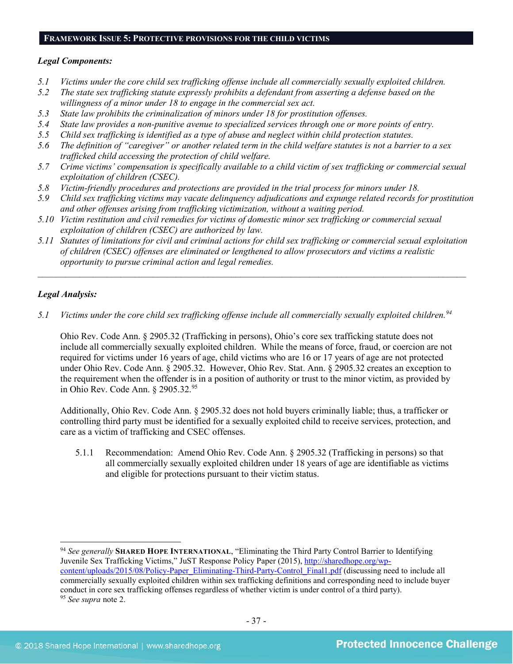#### **FRAMEWORK ISSUE 5: PROTECTIVE PROVISIONS FOR THE CHILD VICTIMS**

#### *Legal Components:*

- *5.1 Victims under the core child sex trafficking offense include all commercially sexually exploited children.*
- *5.2 The state sex trafficking statute expressly prohibits a defendant from asserting a defense based on the willingness of a minor under 18 to engage in the commercial sex act.*
- *5.3 State law prohibits the criminalization of minors under 18 for prostitution offenses.*
- *5.4 State law provides a non-punitive avenue to specialized services through one or more points of entry.*
- *5.5 Child sex trafficking is identified as a type of abuse and neglect within child protection statutes.*
- *5.6 The definition of "caregiver" or another related term in the child welfare statutes is not a barrier to a sex trafficked child accessing the protection of child welfare.*
- *5.7 Crime victims' compensation is specifically available to a child victim of sex trafficking or commercial sexual exploitation of children (CSEC).*
- *5.8 Victim-friendly procedures and protections are provided in the trial process for minors under 18.*
- *5.9 Child sex trafficking victims may vacate delinquency adjudications and expunge related records for prostitution and other offenses arising from trafficking victimization, without a waiting period.*
- *5.10 Victim restitution and civil remedies for victims of domestic minor sex trafficking or commercial sexual exploitation of children (CSEC) are authorized by law.*
- *5.11 Statutes of limitations for civil and criminal actions for child sex trafficking or commercial sexual exploitation of children (CSEC) offenses are eliminated or lengthened to allow prosecutors and victims a realistic opportunity to pursue criminal action and legal remedies.*

*\_\_\_\_\_\_\_\_\_\_\_\_\_\_\_\_\_\_\_\_\_\_\_\_\_\_\_\_\_\_\_\_\_\_\_\_\_\_\_\_\_\_\_\_\_\_\_\_\_\_\_\_\_\_\_\_\_\_\_\_\_\_\_\_\_\_\_\_\_\_\_\_\_\_\_\_\_\_\_\_\_\_\_\_\_\_\_\_\_\_\_\_\_*

## *Legal Analysis:*

l

*5.1 Victims under the core child sex trafficking offense include all commercially sexually exploited children. [94](#page-36-0)*

Ohio Rev. Code Ann. § 2905.32 (Trafficking in persons), Ohio's core sex trafficking statute does not include all commercially sexually exploited children. While the means of force, fraud, or coercion are not required for victims under 16 years of age, child victims who are 16 or 17 years of age are not protected under Ohio Rev. Code Ann. § 2905.32. However, Ohio Rev. Stat. Ann. § 2905.32 creates an exception to the requirement when the offender is in a position of authority or trust to the minor victim, as provided by in Ohio Rev. Code Ann. § 2905.32.[95](#page-36-1)

Additionally, Ohio Rev. Code Ann. § 2905.32 does not hold buyers criminally liable; thus, a trafficker or controlling third party must be identified for a sexually exploited child to receive services, protection, and care as a victim of trafficking and CSEC offenses.

5.1.1 Recommendation: Amend Ohio Rev. Code Ann. § 2905.32 (Trafficking in persons) so that all commercially sexually exploited children under 18 years of age are identifiable as victims and eligible for protections pursuant to their victim status.

<span id="page-36-1"></span><span id="page-36-0"></span><sup>94</sup> *See generally* **SHARED HOPE INTERNATIONAL**, "Eliminating the Third Party Control Barrier to Identifying Juvenile Sex Trafficking Victims," JuST Response Policy Paper (2015), [http://sharedhope.org/wp](http://sharedhope.org/wp-content/uploads/2015/08/Policy-Paper_Eliminating-Third-Party-Control_Final1.pdf)[content/uploads/2015/08/Policy-Paper\\_Eliminating-Third-Party-Control\\_Final1.pdf](http://sharedhope.org/wp-content/uploads/2015/08/Policy-Paper_Eliminating-Third-Party-Control_Final1.pdf) (discussing need to include all commercially sexually exploited children within sex trafficking definitions and corresponding need to include buyer conduct in core sex trafficking offenses regardless of whether victim is under control of a third party). <sup>95</sup> *See supra* note [2.](#page-0-2)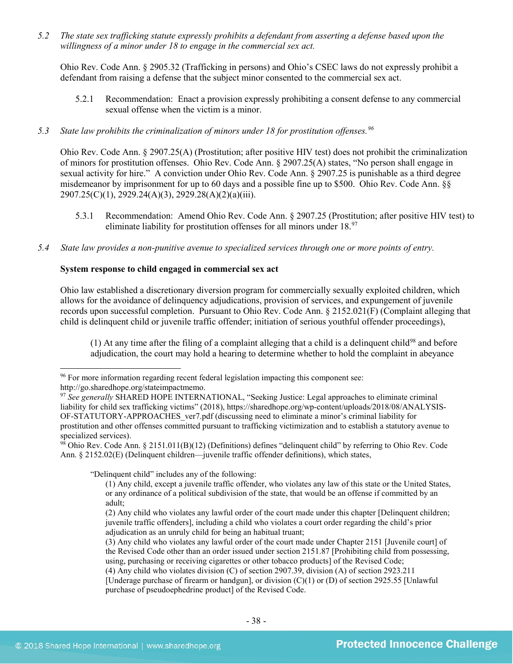*5.2 The state sex trafficking statute expressly prohibits a defendant from asserting a defense based upon the willingness of a minor under 18 to engage in the commercial sex act.* 

Ohio Rev. Code Ann. § 2905.32 (Trafficking in persons) and Ohio's CSEC laws do not expressly prohibit a defendant from raising a defense that the subject minor consented to the commercial sex act.

5.2.1 Recommendation: Enact a provision expressly prohibiting a consent defense to any commercial sexual offense when the victim is a minor.

## *5.3 State law prohibits the criminalization of minors under 18 for prostitution offenses.[96](#page-37-0)*

Ohio Rev. Code Ann. § 2907.25(A) (Prostitution; after positive HIV test) does not prohibit the criminalization of minors for prostitution offenses. Ohio Rev. Code Ann. § 2907.25(A) states, "No person shall engage in sexual activity for hire." A conviction under Ohio Rev. Code Ann. § 2907.25 is punishable as a third degree misdemeanor by imprisonment for up to 60 days and a possible fine up to \$500. Ohio Rev. Code Ann. §§ 2907.25(C)(1), 2929.24(A)(3), 2929.28(A)(2)(a)(iii).

- 5.3.1 Recommendation: Amend Ohio Rev. Code Ann. § 2907.25 (Prostitution; after positive HIV test) to eliminate liability for prostitution offenses for all minors under 18.<sup>97</sup>
- *5.4 State law provides a non-punitive avenue to specialized services through one or more points of entry.*

## **System response to child engaged in commercial sex act**

Ohio law established a discretionary diversion program for commercially sexually exploited children, which allows for the avoidance of delinquency adjudications, provision of services, and expungement of juvenile records upon successful completion. Pursuant to Ohio Rev. Code Ann. § 2152.021(F) (Complaint alleging that child is delinquent child or juvenile traffic offender; initiation of serious youthful offender proceedings),

(1) At any time after the filing of a complaint alleging that a child is a delinquent child<sup>98</sup> and before adjudication, the court may hold a hearing to determine whether to hold the complaint in abeyance

l

"Delinquent child" includes any of the following:

<span id="page-37-0"></span><sup>&</sup>lt;sup>96</sup> For more information regarding recent federal legislation impacting this component see: http://go.sharedhope.org/stateimpactmemo.

<span id="page-37-1"></span><sup>&</sup>lt;sup>97</sup> See generally SHARED HOPE INTERNATIONAL, "Seeking Justice: Legal approaches to eliminate criminal liability for child sex trafficking victims" (2018), https://sharedhope.org/wp-content/uploads/2018/08/ANALYSIS-OF-STATUTORY-APPROACHES\_ver7.pdf (discussing need to eliminate a minor's criminal liability for prostitution and other offenses committed pursuant to trafficking victimization and to establish a statutory avenue to specialized services).

<span id="page-37-2"></span><sup>98</sup> Ohio Rev. Code Ann. § 2151.011(B)(12) (Definitions) defines "delinquent child" by referring to Ohio Rev. Code Ann. § 2152.02(E) (Delinquent children—juvenile traffic offender definitions), which states,

<sup>(1)</sup> Any child, except a juvenile traffic offender, who violates any law of this state or the United States, or any ordinance of a political subdivision of the state, that would be an offense if committed by an adult;

<sup>(2)</sup> Any child who violates any lawful order of the court made under this chapter [Delinquent children; juvenile traffic offenders], including a child who violates a court order regarding the child's prior adjudication as an unruly child for being an habitual truant;

<sup>(3)</sup> Any child who violates any lawful order of the court made under Chapter 2151 [Juvenile court] of the Revised Code other than an order issued under section 2151.87 [Prohibiting child from possessing, using, purchasing or receiving cigarettes or other tobacco products] of the Revised Code;

<sup>(4)</sup> Any child who violates division (C) of section 2907.39, division (A) of section 2923.211

<sup>[</sup>Underage purchase of firearm or handgun], or division (C)(1) or (D) of section 2925.55 [Unlawful purchase of pseudoephedrine product] of the Revised Code.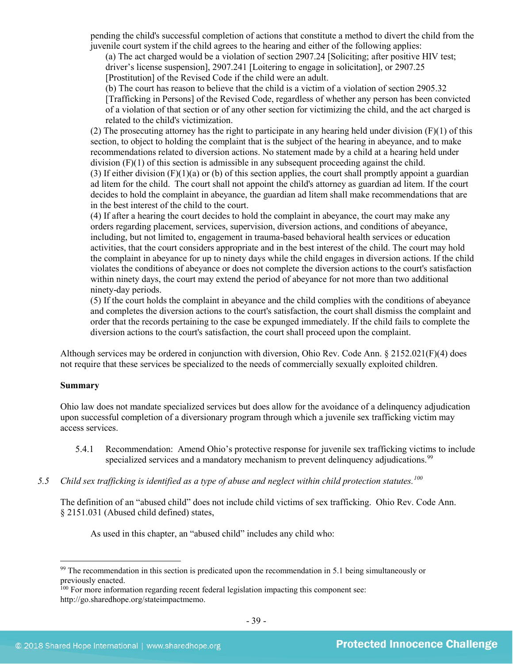pending the child's successful completion of actions that constitute a method to divert the child from the juvenile court system if the child agrees to the hearing and either of the following applies:

(a) The act charged would be a violation of section 2907.24 [Soliciting; after positive HIV test; driver's license suspension], 2907.241 [Loitering to engage in solicitation], or 2907.25

[Prostitution] of the Revised Code if the child were an adult.

(b) The court has reason to believe that the child is a victim of a violation of section 2905.32 [Trafficking in Persons] of the Revised Code, regardless of whether any person has been convicted of a violation of that section or of any other section for victimizing the child, and the act charged is related to the child's victimization.

(2) The prosecuting attorney has the right to participate in any hearing held under division (F)(1) of this section, to object to holding the complaint that is the subject of the hearing in abeyance, and to make recommendations related to diversion actions. No statement made by a child at a hearing held under division  $(F)(1)$  of this section is admissible in any subsequent proceeding against the child.

(3) If either division  $(F)(1)(a)$  or (b) of this section applies, the court shall promptly appoint a guardian ad litem for the child. The court shall not appoint the child's attorney as guardian ad litem. If the court decides to hold the complaint in abeyance, the guardian ad litem shall make recommendations that are in the best interest of the child to the court.

(4) If after a hearing the court decides to hold the complaint in abeyance, the court may make any orders regarding placement, services, supervision, diversion actions, and conditions of abeyance, including, but not limited to, engagement in trauma-based behavioral health services or education activities, that the court considers appropriate and in the best interest of the child. The court may hold the complaint in abeyance for up to ninety days while the child engages in diversion actions. If the child violates the conditions of abeyance or does not complete the diversion actions to the court's satisfaction within ninety days, the court may extend the period of abeyance for not more than two additional ninety-day periods.

(5) If the court holds the complaint in abeyance and the child complies with the conditions of abeyance and completes the diversion actions to the court's satisfaction, the court shall dismiss the complaint and order that the records pertaining to the case be expunged immediately. If the child fails to complete the diversion actions to the court's satisfaction, the court shall proceed upon the complaint.

Although services may be ordered in conjunction with diversion, Ohio Rev. Code Ann. § 2152.021(F)(4) does not require that these services be specialized to the needs of commercially sexually exploited children.

## **Summary**

 $\overline{\phantom{a}}$ 

Ohio law does not mandate specialized services but does allow for the avoidance of a delinquency adjudication upon successful completion of a diversionary program through which a juvenile sex trafficking victim may access services.

- 5.4.1 Recommendation: Amend Ohio's protective response for juvenile sex trafficking victims to include specialized services and a mandatory mechanism to prevent delinquency adjudications.<sup>[99](#page-38-0)</sup>
- *5.5 Child sex trafficking is identified as a type of abuse and neglect within child protection statutes. [100](#page-38-1)*

The definition of an "abused child" does not include child victims of sex trafficking. Ohio Rev. Code Ann. § 2151.031 (Abused child defined) states,

As used in this chapter, an "abused child" includes any child who:

<span id="page-38-0"></span><sup>&</sup>lt;sup>99</sup> The recommendation in this section is predicated upon the recommendation in 5.1 being simultaneously or previously enacted.

<span id="page-38-1"></span><sup>&</sup>lt;sup>100</sup> For more information regarding recent federal legislation impacting this component see: http://go.sharedhope.org/stateimpactmemo.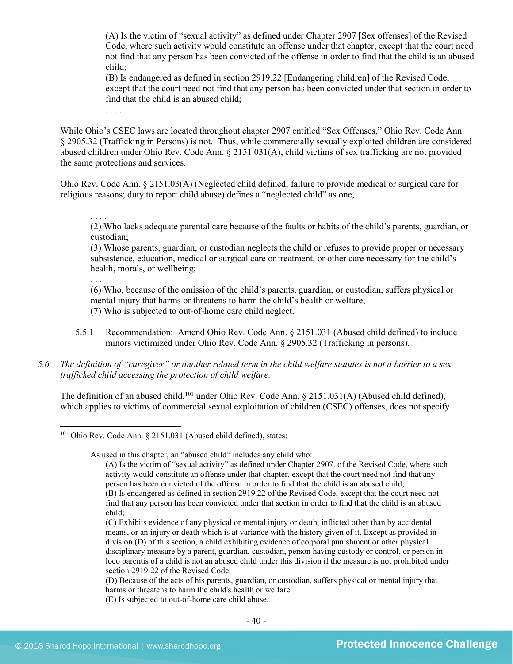(A) Is the victim of "sexual activity" as defined under Chapter 2907 [Sex offenses] of the Revised Code, where such activity would constitute an offense under that chapter, except that the court need not find that any person has been convicted of the offense in order to find that the child is an abused child;

(B) Is endangered as defined in section 2919.22 [Endangering children] of the Revised Code, except that the court need not find that any person has been convicted under that section in order to find that the child is an abused child;

. . . .

While Ohio's CSEC laws are located throughout chapter 2907 entitled "Sex Offenses," Ohio Rev. Code Ann. § 2905.32 (Trafficking in Persons) is not. Thus, while commercially sexually exploited children are considered abused children under Ohio Rev. Code Ann. § 2151.031(A), child victims of sex trafficking are not provided the same protections and services.

Ohio Rev. Code Ann. § 2151.03(A) (Neglected child defined; failure to provide medical or surgical care for religious reasons; duty to report child abuse) defines a "neglected child" as one,

. . . .

(2) Who lacks adequate parental care because of the faults or habits of the child's parents, guardian, or custodian;

(3) Whose parents, guardian, or custodian neglects the child or refuses to provide proper or necessary subsistence, education, medical or surgical care or treatment, or other care necessary for the child's health, morals, or wellbeing;

. . .

(6) Who, because of the omission of the child's parents, guardian, or custodian, suffers physical or mental injury that harms or threatens to harm the child's health or welfare; (7) Who is subjected to out-of-home care child neglect.

- 5.5.1 Recommendation: Amend Ohio Rev. Code Ann. § 2151.031 (Abused child defined) to include minors victimized under Ohio Rev. Code Ann. § 2905.32 (Trafficking in persons).
- *5.6 The definition of "caregiver" or another related term in the child welfare statutes is not a barrier to a sex trafficked child accessing the protection of child welfare.*

The definition of an abused child, <sup>[101](#page-39-0)</sup> under Ohio Rev. Code Ann. § 2151.031(A) (Abused child defined), which applies to victims of commercial sexual exploitation of children (CSEC) offenses, does not specify

As used in this chapter, an "abused child" includes any child who:

(A) Is the victim of "sexual activity" as defined under Chapter 2907. of the Revised Code, where such activity would constitute an offense under that chapter, except that the court need not find that any person has been convicted of the offense in order to find that the child is an abused child; (B) Is endangered as defined in section 2919.22 of the Revised Code, except that the court need not find that any person has been convicted under that section in order to find that the child is an abused

<span id="page-39-0"></span>l <sup>101</sup> Ohio Rev. Code Ann. § 2151.031 (Abused child defined), states:

child;

<sup>(</sup>C) Exhibits evidence of any physical or mental injury or death, inflicted other than by accidental means, or an injury or death which is at variance with the history given of it. Except as provided in division (D) of this section, a child exhibiting evidence of corporal punishment or other physical disciplinary measure by a parent, guardian, custodian, person having custody or control, or person in loco parentis of a child is not an abused child under this division if the measure is not prohibited under section 2919.22 of the Revised Code.

<sup>(</sup>D) Because of the acts of his parents, guardian, or custodian, suffers physical or mental injury that harms or threatens to harm the child's health or welfare.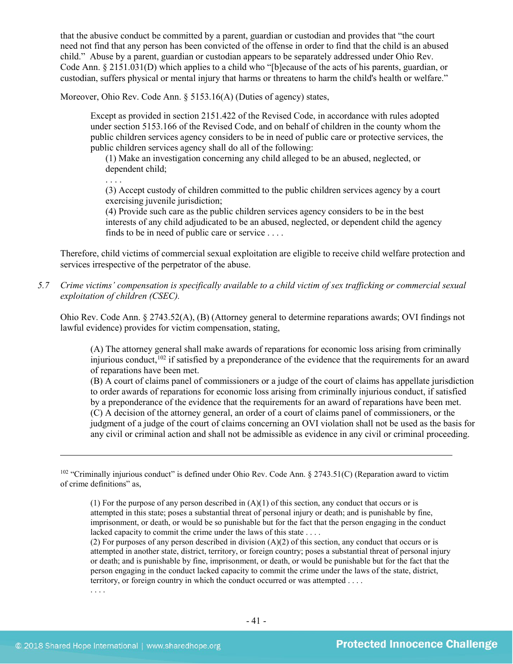that the abusive conduct be committed by a parent, guardian or custodian and provides that "the court need not find that any person has been convicted of the offense in order to find that the child is an abused child." Abuse by a parent, guardian or custodian appears to be separately addressed under Ohio Rev. Code Ann. § 2151.031(D) which applies to a child who "[b]ecause of the acts of his parents, guardian, or custodian, suffers physical or mental injury that harms or threatens to harm the child's health or welfare."

Moreover, Ohio Rev. Code Ann. § 5153.16(A) (Duties of agency) states,

Except as provided in section 2151.422 of the Revised Code, in accordance with rules adopted under section 5153.166 of the Revised Code, and on behalf of children in the county whom the public children services agency considers to be in need of public care or protective services, the public children services agency shall do all of the following:

(1) Make an investigation concerning any child alleged to be an abused, neglected, or dependent child;

. . . .

(3) Accept custody of children committed to the public children services agency by a court exercising juvenile jurisdiction;

(4) Provide such care as the public children services agency considers to be in the best interests of any child adjudicated to be an abused, neglected, or dependent child the agency finds to be in need of public care or service . . . .

Therefore, child victims of commercial sexual exploitation are eligible to receive child welfare protection and services irrespective of the perpetrator of the abuse.

*5.7 Crime victims' compensation is specifically available to a child victim of sex trafficking or commercial sexual exploitation of children (CSEC).* 

Ohio Rev. Code Ann. § 2743.52(A), (B) (Attorney general to determine reparations awards; OVI findings not lawful evidence) provides for victim compensation, stating,

(A) The attorney general shall make awards of reparations for economic loss arising from criminally injurious conduct,  $102$  if satisfied by a preponderance of the evidence that the requirements for an award of reparations have been met.

(B) A court of claims panel of commissioners or a judge of the court of claims has appellate jurisdiction to order awards of reparations for economic loss arising from criminally injurious conduct, if satisfied by a preponderance of the evidence that the requirements for an award of reparations have been met. (C) A decision of the attorney general, an order of a court of claims panel of commissioners, or the judgment of a judge of the court of claims concerning an OVI violation shall not be used as the basis for any civil or criminal action and shall not be admissible as evidence in any civil or criminal proceeding.

(2) For purposes of any person described in division  $(A)(2)$  of this section, any conduct that occurs or is attempted in another state, district, territory, or foreign country; poses a substantial threat of personal injury or death; and is punishable by fine, imprisonment, or death, or would be punishable but for the fact that the person engaging in the conduct lacked capacity to commit the crime under the laws of the state, district, territory, or foreign country in which the conduct occurred or was attempted . . . .

. . . .

<span id="page-40-0"></span><sup>&</sup>lt;sup>102</sup> "Criminally injurious conduct" is defined under Ohio Rev. Code Ann. § 2743.51(C) (Reparation award to victim of crime definitions" as,

<sup>(1)</sup> For the purpose of any person described in  $(A)(1)$  of this section, any conduct that occurs or is attempted in this state; poses a substantial threat of personal injury or death; and is punishable by fine, imprisonment, or death, or would be so punishable but for the fact that the person engaging in the conduct lacked capacity to commit the crime under the laws of this state . . . .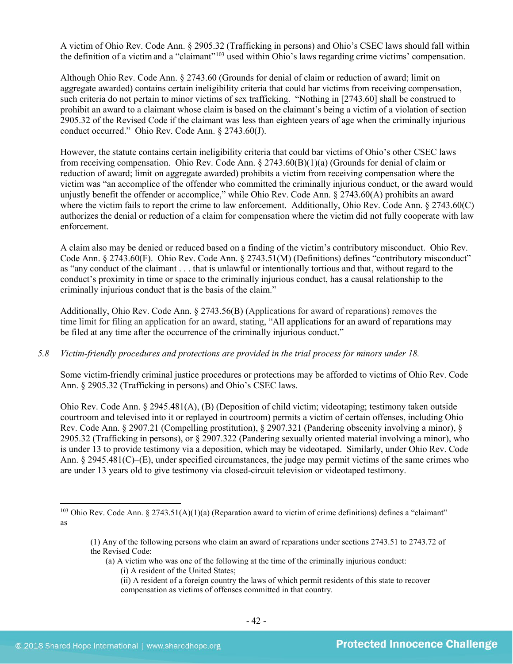A victim of Ohio Rev. Code Ann. § 2905.32 (Trafficking in persons) and Ohio's CSEC laws should fall within the definition of a victimand a "claimant"[103](#page-41-0) used within Ohio's laws regarding crime victims' compensation.

Although Ohio Rev. Code Ann. § 2743.60 (Grounds for denial of claim or reduction of award; limit on aggregate awarded) contains certain ineligibility criteria that could bar victims from receiving compensation, such criteria do not pertain to minor victims of sex trafficking. "Nothing in [2743.60] shall be construed to prohibit an award to a claimant whose claim is based on the claimant's being a victim of a violation of section 2905.32 of the Revised Code if the claimant was less than eighteen years of age when the criminally injurious conduct occurred." Ohio Rev. Code Ann. § 2743.60(J).

However, the statute contains certain ineligibility criteria that could bar victims of Ohio's other CSEC laws from receiving compensation. Ohio Rev. Code Ann. § 2743.60(B)(1)(a) (Grounds for denial of claim or reduction of award; limit on aggregate awarded) prohibits a victim from receiving compensation where the victim was "an accomplice of the offender who committed the criminally injurious conduct, or the award would unjustly benefit the offender or accomplice," while Ohio Rev. Code Ann. § 2743.60(A) prohibits an award where the victim fails to report the crime to law enforcement. Additionally, Ohio Rev. Code Ann. § 2743.60(C) authorizes the denial or reduction of a claim for compensation where the victim did not fully cooperate with law enforcement.

A claim also may be denied or reduced based on a finding of the victim's contributory misconduct. Ohio Rev. Code Ann. § 2743.60(F). Ohio Rev. Code Ann. § 2743.51(M) (Definitions) defines "contributory misconduct" as "any conduct of the claimant . . . that is unlawful or intentionally tortious and that, without regard to the conduct's proximity in time or space to the criminally injurious conduct, has a causal relationship to the criminally injurious conduct that is the basis of the claim."

Additionally, Ohio Rev. Code Ann. § 2743.56(B) (Applications for award of reparations) removes the time limit for filing an application for an award, stating, "All applications for an award of reparations may be filed at any time after the occurrence of the criminally injurious conduct."

## *5.8 Victim-friendly procedures and protections are provided in the trial process for minors under 18.*

Some victim-friendly criminal justice procedures or protections may be afforded to victims of Ohio Rev. Code Ann. § 2905.32 (Trafficking in persons) and Ohio's CSEC laws.

Ohio Rev. Code Ann. § 2945.481(A), (B) (Deposition of child victim; videotaping; testimony taken outside courtroom and televised into it or replayed in courtroom) permits a victim of certain offenses, including Ohio Rev. Code Ann. § 2907.21 (Compelling prostitution), § 2907.321 (Pandering obscenity involving a minor), § 2905.32 (Trafficking in persons), or § 2907.322 (Pandering sexually oriented material involving a minor), who is under 13 to provide testimony via a deposition, which may be videotaped. Similarly, under Ohio Rev. Code Ann. § 2945.481(C)–(E), under specified circumstances, the judge may permit victims of the same crimes who are under 13 years old to give testimony via closed-circuit television or videotaped testimony.

(ii) A resident of a foreign country the laws of which permit residents of this state to recover compensation as victims of offenses committed in that country.

<span id="page-41-0"></span><sup>&</sup>lt;sup>103</sup> Ohio Rev. Code Ann. § 2743.51(A)(1)(a) (Reparation award to victim of crime definitions) defines a "claimant" as

<sup>(1)</sup> Any of the following persons who claim an award of reparations under sections 2743.51 to 2743.72 of the Revised Code:

<sup>(</sup>a) A victim who was one of the following at the time of the criminally injurious conduct:

<sup>(</sup>i) A resident of the United States;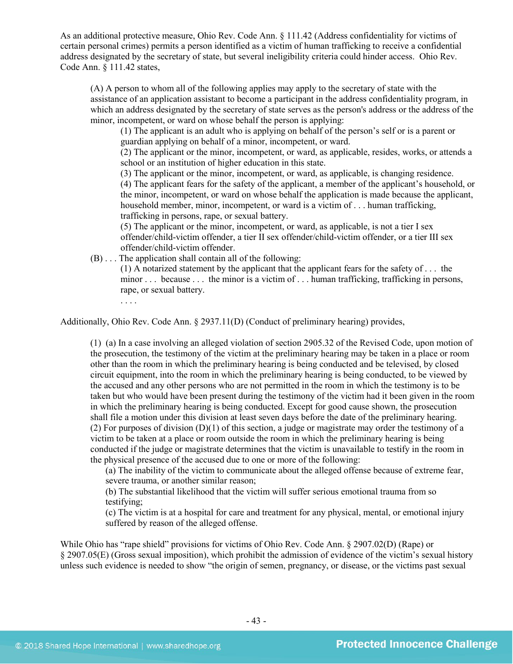As an additional protective measure, Ohio Rev. Code Ann. § 111.42 (Address confidentiality for victims of certain personal crimes) permits a person identified as a victim of human trafficking to receive a confidential address designated by the secretary of state, but several ineligibility criteria could hinder access. Ohio Rev. Code Ann. § 111.42 states,

(A) A person to whom all of the following applies may apply to the secretary of state with the assistance of an application assistant to become a participant in the address confidentiality program, in which an address designated by the secretary of state serves as the person's address or the address of the minor, incompetent, or ward on whose behalf the person is applying:

(1) The applicant is an adult who is applying on behalf of the person's self or is a parent or guardian applying on behalf of a minor, incompetent, or ward.

(2) The applicant or the minor, incompetent, or ward, as applicable, resides, works, or attends a school or an institution of higher education in this state.

(3) The applicant or the minor, incompetent, or ward, as applicable, is changing residence. (4) The applicant fears for the safety of the applicant, a member of the applicant's household, or the minor, incompetent, or ward on whose behalf the application is made because the applicant, household member, minor, incompetent, or ward is a victim of . . . human trafficking, trafficking in persons, rape, or sexual battery.

(5) The applicant or the minor, incompetent, or ward, as applicable, is not a tier I sex offender/child-victim offender, a tier II sex offender/child-victim offender, or a tier III sex offender/child-victim offender.

(B) . . . The application shall contain all of the following:

(1) A notarized statement by the applicant that the applicant fears for the safety of . . . the minor . . . because . . . the minor is a victim of . . . human trafficking, trafficking in persons, rape, or sexual battery.

. . . .

Additionally, Ohio Rev. Code Ann. § 2937.11(D) (Conduct of preliminary hearing) provides,

(1) (a) In a case involving an alleged violation of section 2905.32 of the Revised Code, upon motion of the prosecution, the testimony of the victim at the preliminary hearing may be taken in a place or room other than the room in which the preliminary hearing is being conducted and be televised, by closed circuit equipment, into the room in which the preliminary hearing is being conducted, to be viewed by the accused and any other persons who are not permitted in the room in which the testimony is to be taken but who would have been present during the testimony of the victim had it been given in the room in which the preliminary hearing is being conducted. Except for good cause shown, the prosecution shall file a motion under this division at least seven days before the date of the preliminary hearing. (2) For purposes of division (D)(1) of this section, a judge or magistrate may order the testimony of a victim to be taken at a place or room outside the room in which the preliminary hearing is being conducted if the judge or magistrate determines that the victim is unavailable to testify in the room in the physical presence of the accused due to one or more of the following:

(a) The inability of the victim to communicate about the alleged offense because of extreme fear, severe trauma, or another similar reason;

(b) The substantial likelihood that the victim will suffer serious emotional trauma from so testifying;

(c) The victim is at a hospital for care and treatment for any physical, mental, or emotional injury suffered by reason of the alleged offense.

While Ohio has "rape shield" provisions for victims of Ohio Rev. Code Ann. § 2907.02(D) (Rape) or § 2907.05(E) (Gross sexual imposition), which prohibit the admission of evidence of the victim's sexual history unless such evidence is needed to show "the origin of semen, pregnancy, or disease, or the victims past sexual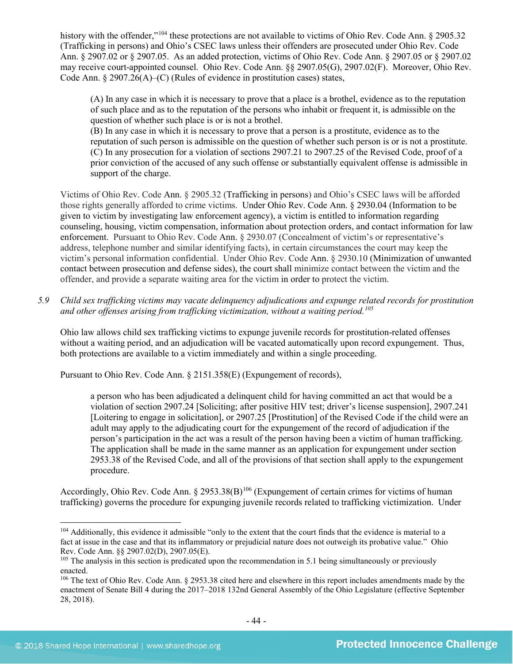history with the offender,"<sup>[104](#page-43-0)</sup> these protections are not available to victims of Ohio Rev. Code Ann. § 2905.32 (Trafficking in persons) and Ohio's CSEC laws unless their offenders are prosecuted under Ohio Rev. Code Ann. § 2907.02 or § 2907.05. As an added protection, victims of Ohio Rev. Code Ann. § 2907.05 or § 2907.02 may receive court-appointed counsel. Ohio Rev. Code Ann. §§ 2907.05(G), 2907.02(F). Moreover, Ohio Rev. Code Ann. § 2907.26(A)–(C) (Rules of evidence in prostitution cases) states,

(A) In any case in which it is necessary to prove that a place is a brothel, evidence as to the reputation of such place and as to the reputation of the persons who inhabit or frequent it, is admissible on the question of whether such place is or is not a brothel.

(B) In any case in which it is necessary to prove that a person is a prostitute, evidence as to the reputation of such person is admissible on the question of whether such person is or is not a prostitute. (C) In any prosecution for a violation of sections 2907.21 to 2907.25 of the Revised Code, proof of a prior conviction of the accused of any such offense or substantially equivalent offense is admissible in support of the charge.

Victims of Ohio Rev. Code Ann. § 2905.32 (Trafficking in persons) and Ohio's CSEC laws will be afforded those rights generally afforded to crime victims. Under Ohio Rev. Code Ann. § 2930.04 (Information to be given to victim by investigating law enforcement agency), a victim is entitled to information regarding counseling, housing, victim compensation, information about protection orders, and contact information for law enforcement. Pursuant to Ohio Rev. Code Ann. § 2930.07 (Concealment of victim's or representative's address, telephone number and similar identifying facts), in certain circumstances the court may keep the victim's personal information confidential. Under Ohio Rev. Code Ann. § 2930.10 (Minimization of unwanted contact between prosecution and defense sides), the court shall minimize contact between the victim and the offender, and provide a separate waiting area for the victim in order to protect the victim.

*5.9 Child sex trafficking victims may vacate delinquency adjudications and expunge related records for prostitution and other offenses arising from trafficking victimization, without a waiting period. [105](#page-43-1)*

Ohio law allows child sex trafficking victims to expunge juvenile records for prostitution-related offenses without a waiting period, and an adjudication will be vacated automatically upon record expungement. Thus, both protections are available to a victim immediately and within a single proceeding.

Pursuant to Ohio Rev. Code Ann. § 2151.358(E) (Expungement of records),

a person who has been adjudicated a delinquent child for having committed an act that would be a violation of section 2907.24 [Soliciting; after positive HIV test; driver's license suspension], 2907.241 [Loitering to engage in solicitation], or 2907.25 [Prostitution] of the Revised Code if the child were an adult may apply to the adjudicating court for the expungement of the record of adjudication if the person's participation in the act was a result of the person having been a victim of human trafficking. The application shall be made in the same manner as an application for expungement under section 2953.38 of the Revised Code, and all of the provisions of that section shall apply to the expungement procedure.

Accordingly, Ohio Rev. Code Ann. § 2953.38(B)<sup>[106](#page-43-2)</sup> (Expungement of certain crimes for victims of human trafficking) governs the procedure for expunging juvenile records related to trafficking victimization. Under

<span id="page-43-0"></span><sup>&</sup>lt;sup>104</sup> Additionally, this evidence it admissible "only to the extent that the court finds that the evidence is material to a fact at issue in the case and that its inflammatory or prejudicial nature does not outweigh its probative value." Ohio Rev. Code Ann. §§ 2907.02(D), 2907.05(E).

<span id="page-43-1"></span><sup>&</sup>lt;sup>105</sup> The analysis in this section is predicated upon the recommendation in 5.1 being simultaneously or previously enacted.

<span id="page-43-2"></span><sup>106</sup> The text of Ohio Rev. Code Ann. § 2953.38 cited here and elsewhere in this report includes amendments made by the enactment of Senate Bill 4 during the 2017–2018 132nd General Assembly of the Ohio Legislature (effective September 28, 2018).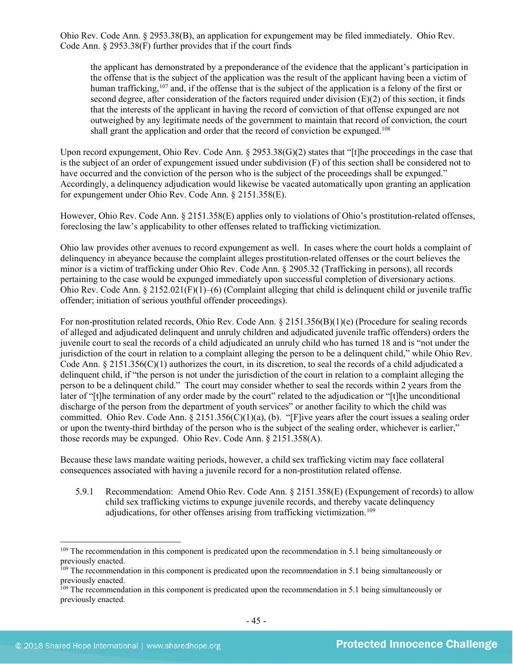Ohio Rev. Code Ann. § 2953.38(B), an application for expungement may be filed immediately. Ohio Rev. Code Ann. § 2953.38(F) further provides that if the court finds

the applicant has demonstrated by a preponderance of the evidence that the applicant's participation in the offense that is the subject of the application was the result of the applicant having been a victim of human trafficking,<sup>[107](#page-44-0)</sup> and, if the offense that is the subject of the application is a felony of the first or second degree, after consideration of the factors required under division (E)(2) of this section, it finds that the interests of the applicant in having the record of conviction of that offense expunged are not outweighed by any legitimate needs of the government to maintain that record of conviction, the court shall grant the application and order that the record of conviction be expunged.<sup>[108](#page-44-1)</sup>

Upon record expungement, Ohio Rev. Code Ann. § 2953.38(G)(2) states that "[t]he proceedings in the case that is the subject of an order of expungement issued under subdivision (F) of this section shall be considered not to have occurred and the conviction of the person who is the subject of the proceedings shall be expunged." Accordingly, a delinquency adjudication would likewise be vacated automatically upon granting an application for expungement under Ohio Rev. Code Ann. § 2151.358(E).

However, Ohio Rev. Code Ann. § 2151.358(E) applies only to violations of Ohio's prostitution-related offenses, foreclosing the law's applicability to other offenses related to trafficking victimization.

Ohio law provides other avenues to record expungement as well. In cases where the court holds a complaint of delinquency in abeyance because the complaint alleges prostitution-related offenses or the court believes the minor is a victim of trafficking under Ohio Rev. Code Ann. § 2905.32 (Trafficking in persons), all records pertaining to the case would be expunged immediately upon successful completion of diversionary actions. Ohio Rev. Code Ann.  $\S 2152.021(F)(1)–(6)$  (Complaint alleging that child is delinguent child or juvenile traffic offender; initiation of serious youthful offender proceedings).

For non-prostitution related records, Ohio Rev. Code Ann. § 2151.356(B)(1)(e) (Procedure for sealing records of alleged and adjudicated delinquent and unruly children and adjudicated juvenile traffic offenders) orders the juvenile court to seal the records of a child adjudicated an unruly child who has turned 18 and is "not under the jurisdiction of the court in relation to a complaint alleging the person to be a delinquent child," while Ohio Rev. Code Ann.  $\S 2151.356(C)(1)$  authorizes the court, in its discretion, to seal the records of a child adjudicated a delinquent child, if "the person is not under the jurisdiction of the court in relation to a complaint alleging the person to be a delinquent child." The court may consider whether to seal the records within 2 years from the later of "[t]he termination of any order made by the court" related to the adjudication or "[t]he unconditional discharge of the person from the department of youth services" or another facility to which the child was committed. Ohio Rev. Code Ann. § 2151.356(C)(1)(a), (b). "[F]ive years after the court issues a sealing order or upon the twenty-third birthday of the person who is the subject of the sealing order, whichever is earlier," those records may be expunged. Ohio Rev. Code Ann. § 2151.358(A).

Because these laws mandate waiting periods, however, a child sex trafficking victim may face collateral consequences associated with having a juvenile record for a non-prostitution related offense.

5.9.1 Recommendation: Amend Ohio Rev. Code Ann. § 2151.358(E) (Expungement of records) to allow child sex trafficking victims to expunge juvenile records, and thereby vacate delinquency adjudications, for other offenses arising from trafficking victimization.<sup>[109](#page-44-2)</sup>

<sup>&</sup>lt;sup>109</sup> The recommendation in this component is predicated upon the recommendation in 5.1 being simultaneously or previously enacted.

<span id="page-44-0"></span><sup>&</sup>lt;sup>109</sup> The recommendation in this component is predicated upon the recommendation in 5.1 being simultaneously or previously enacted.

<span id="page-44-2"></span><span id="page-44-1"></span><sup>&</sup>lt;sup>109</sup> The recommendation in this component is predicated upon the recommendation in 5.1 being simultaneously or previously enacted.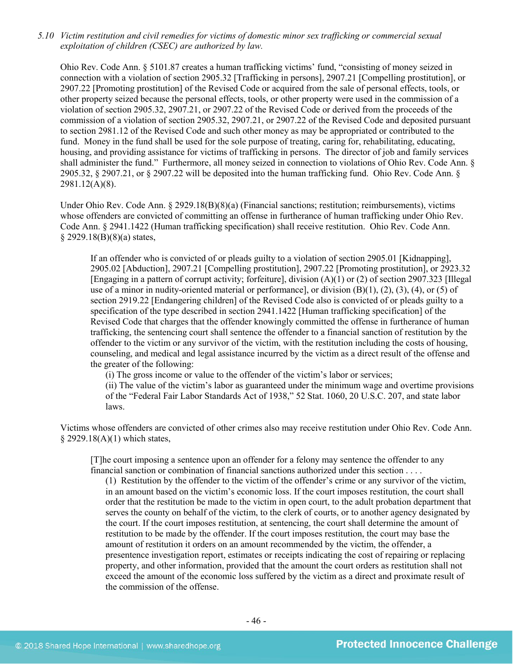*5.10 Victim restitution and civil remedies for victims of domestic minor sex trafficking or commercial sexual exploitation of children (CSEC) are authorized by law.* 

Ohio Rev. Code Ann. § 5101.87 creates a human trafficking victims' fund, "consisting of money seized in connection with a violation of section 2905.32 [Trafficking in persons], 2907.21 [Compelling prostitution], or 2907.22 [Promoting prostitution] of the Revised Code or acquired from the sale of personal effects, tools, or other property seized because the personal effects, tools, or other property were used in the commission of a violation of section 2905.32, 2907.21, or 2907.22 of the Revised Code or derived from the proceeds of the commission of a violation of section 2905.32, 2907.21, or 2907.22 of the Revised Code and deposited pursuant to section 2981.12 of the Revised Code and such other money as may be appropriated or contributed to the fund. Money in the fund shall be used for the sole purpose of treating, caring for, rehabilitating, educating, housing, and providing assistance for victims of trafficking in persons. The director of job and family services shall administer the fund." Furthermore, all money seized in connection to violations of Ohio Rev. Code Ann. § 2905.32, § 2907.21, or § 2907.22 will be deposited into the human trafficking fund. Ohio Rev. Code Ann. § 2981.12(A)(8).

Under Ohio Rev. Code Ann. § 2929.18(B)(8)(a) (Financial sanctions; restitution; reimbursements), victims whose offenders are convicted of committing an offense in furtherance of human trafficking under Ohio Rev. Code Ann. § 2941.1422 (Human trafficking specification) shall receive restitution. Ohio Rev. Code Ann.  $§$  2929.18(B)(8)(a) states,

If an offender who is convicted of or pleads guilty to a violation of section 2905.01 [Kidnapping], 2905.02 [Abduction], 2907.21 [Compelling prostitution], 2907.22 [Promoting prostitution], or 2923.32 [Engaging in a pattern of corrupt activity; forfeiture], division (A)(1) or (2) of section 2907.323 [Illegal use of a minor in nudity-oriented material or performance], or division  $(B)(1)$ ,  $(2)$ ,  $(3)$ ,  $(4)$ , or  $(5)$  of section 2919.22 [Endangering children] of the Revised Code also is convicted of or pleads guilty to a specification of the type described in section 2941.1422 [Human trafficking specification] of the Revised Code that charges that the offender knowingly committed the offense in furtherance of human trafficking, the sentencing court shall sentence the offender to a financial sanction of restitution by the offender to the victim or any survivor of the victim, with the restitution including the costs of housing, counseling, and medical and legal assistance incurred by the victim as a direct result of the offense and the greater of the following:

(i) The gross income or value to the offender of the victim's labor or services;

(ii) The value of the victim's labor as guaranteed under the minimum wage and overtime provisions of the "Federal Fair Labor Standards Act of 1938," 52 Stat. 1060, 20 U.S.C. 207, and state labor laws.

Victims whose offenders are convicted of other crimes also may receive restitution under Ohio Rev. Code Ann. § 2929.18(A)(1) which states,

[T]he court imposing a sentence upon an offender for a felony may sentence the offender to any financial sanction or combination of financial sanctions authorized under this section . . . .

(1) Restitution by the offender to the victim of the offender's crime or any survivor of the victim, in an amount based on the victim's economic loss. If the court imposes restitution, the court shall order that the restitution be made to the victim in open court, to the adult probation department that serves the county on behalf of the victim, to the clerk of courts, or to another agency designated by the court. If the court imposes restitution, at sentencing, the court shall determine the amount of restitution to be made by the offender. If the court imposes restitution, the court may base the amount of restitution it orders on an amount recommended by the victim, the offender, a presentence investigation report, estimates or receipts indicating the cost of repairing or replacing property, and other information, provided that the amount the court orders as restitution shall not exceed the amount of the economic loss suffered by the victim as a direct and proximate result of the commission of the offense.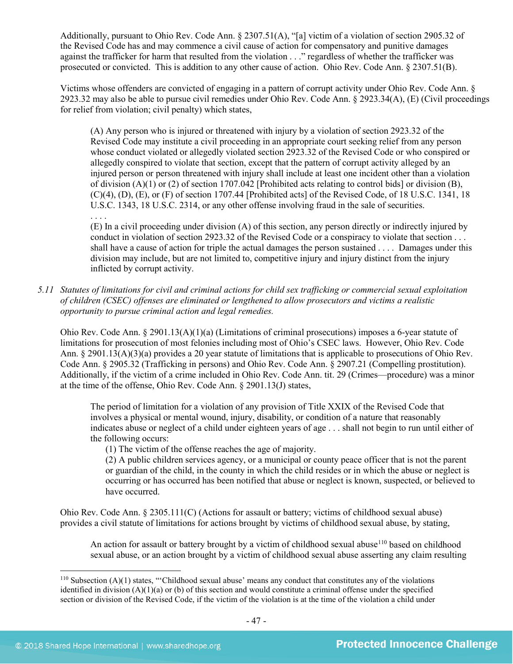Additionally, pursuant to Ohio Rev. Code Ann. § 2307.51(A), "[a] victim of a violation of section 2905.32 of the Revised Code has and may commence a civil cause of action for compensatory and punitive damages against the trafficker for harm that resulted from the violation . . ." regardless of whether the trafficker was prosecuted or convicted. This is addition to any other cause of action. Ohio Rev. Code Ann. § 2307.51(B).

Victims whose offenders are convicted of engaging in a pattern of corrupt activity under Ohio Rev. Code Ann. § 2923.32 may also be able to pursue civil remedies under Ohio Rev. Code Ann. § 2923.34(A), (E) (Civil proceedings for relief from violation; civil penalty) which states,

(A) Any person who is injured or threatened with injury by a violation of section 2923.32 of the Revised Code may institute a civil proceeding in an appropriate court seeking relief from any person whose conduct violated or allegedly violated section 2923.32 of the Revised Code or who conspired or allegedly conspired to violate that section, except that the pattern of corrupt activity alleged by an injured person or person threatened with injury shall include at least one incident other than a violation of division  $(A)(1)$  or (2) of section 1707.042 [Prohibited acts relating to control bids] or division  $(B)$ , (C)(4), (D), (E), or (F) of section 1707.44 [Prohibited acts] of the Revised Code, of 18 U.S.C. 1341, 18 U.S.C. 1343, 18 U.S.C. 2314, or any other offense involving fraud in the sale of securities.

. . . . (E) In a civil proceeding under division (A) of this section, any person directly or indirectly injured by conduct in violation of section 2923.32 of the Revised Code or a conspiracy to violate that section . . . shall have a cause of action for triple the actual damages the person sustained . . . . Damages under this division may include, but are not limited to, competitive injury and injury distinct from the injury inflicted by corrupt activity.

*5.11 Statutes of limitations for civil and criminal actions for child sex trafficking or commercial sexual exploitation of children (CSEC) offenses are eliminated or lengthened to allow prosecutors and victims a realistic opportunity to pursue criminal action and legal remedies.*

Ohio Rev. Code Ann. § 2901.13(A)(1)(a) (Limitations of criminal prosecutions) imposes a 6-year statute of limitations for prosecution of most felonies including most of Ohio's CSEC laws. However, Ohio Rev. Code Ann. § 2901.13(A)(3)(a) provides a 20 year statute of limitations that is applicable to prosecutions of Ohio Rev. Code Ann. § 2905.32 (Trafficking in persons) and Ohio Rev. Code Ann. § 2907.21 (Compelling prostitution). Additionally, if the victim of a crime included in Ohio Rev. Code Ann. tit. 29 (Crimes—procedure) was a minor at the time of the offense, Ohio Rev. Code Ann. § 2901.13(J) states,

The period of limitation for a violation of any provision of Title XXIX of the Revised Code that involves a physical or mental wound, injury, disability, or condition of a nature that reasonably indicates abuse or neglect of a child under eighteen years of age . . . shall not begin to run until either of the following occurs:

(1) The victim of the offense reaches the age of majority.

(2) A public children services agency, or a municipal or county peace officer that is not the parent or guardian of the child, in the county in which the child resides or in which the abuse or neglect is occurring or has occurred has been notified that abuse or neglect is known, suspected, or believed to have occurred.

Ohio Rev. Code Ann. § 2305.111(C) (Actions for assault or battery; victims of childhood sexual abuse) provides a civil statute of limitations for actions brought by victims of childhood sexual abuse, by stating,

An action for assault or battery brought by a victim of childhood sexual abuse<sup>[110](#page-46-0)</sup> based on childhood sexual abuse, or an action brought by a victim of childhood sexual abuse asserting any claim resulting

<span id="page-46-0"></span> $110$  Subsection (A)(1) states, "Childhood sexual abuse' means any conduct that constitutes any of the violations identified in division  $(A)(1)(a)$  or (b) of this section and would constitute a criminal offense under the specified section or division of the Revised Code, if the victim of the violation is at the time of the violation a child under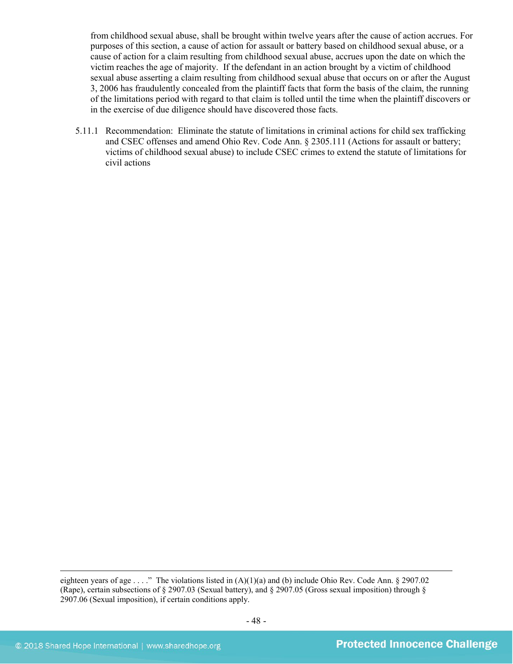from childhood sexual abuse, shall be brought within twelve years after the cause of action accrues. For purposes of this section, a cause of action for assault or battery based on childhood sexual abuse, or a cause of action for a claim resulting from childhood sexual abuse, accrues upon the date on which the victim reaches the age of majority. If the defendant in an action brought by a victim of childhood sexual abuse asserting a claim resulting from childhood sexual abuse that occurs on or after the August 3, 2006 has fraudulently concealed from the plaintiff facts that form the basis of the claim, the running of the limitations period with regard to that claim is tolled until the time when the plaintiff discovers or in the exercise of due diligence should have discovered those facts.

5.11.1 Recommendation: Eliminate the statute of limitations in criminal actions for child sex trafficking and CSEC offenses and amend Ohio Rev. Code Ann. § 2305.111 (Actions for assault or battery; victims of childhood sexual abuse) to include CSEC crimes to extend the statute of limitations for civil actions

eighteen years of age . . . ." The violations listed in (A)(1)(a) and (b) include Ohio Rev. Code Ann. § 2907.02 (Rape), certain subsections of § 2907.03 (Sexual battery), and § 2907.05 (Gross sexual imposition) through § 2907.06 (Sexual imposition), if certain conditions apply.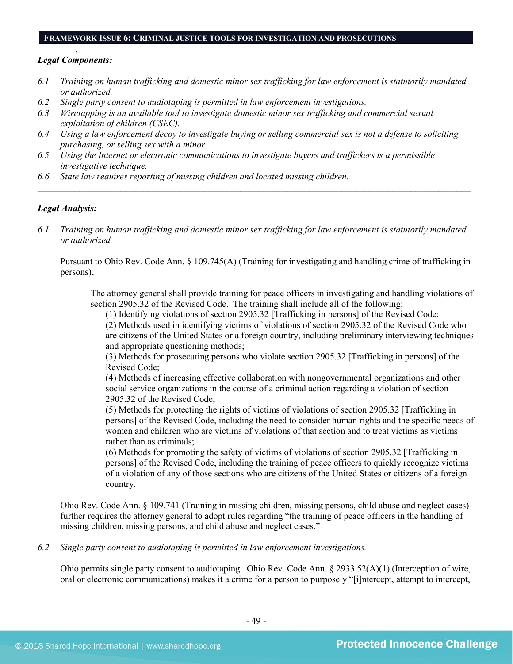#### **FRAMEWORK ISSUE 6: CRIMINAL JUSTICE TOOLS FOR INVESTIGATION AND PROSECUTIONS**

#### . *Legal Components:*

- *6.1 Training on human trafficking and domestic minor sex trafficking for law enforcement is statutorily mandated or authorized.*
- *6.2 Single party consent to audiotaping is permitted in law enforcement investigations.*
- *6.3 Wiretapping is an available tool to investigate domestic minor sex trafficking and commercial sexual exploitation of children (CSEC).*
- *6.4 Using a law enforcement decoy to investigate buying or selling commercial sex is not a defense to soliciting, purchasing, or selling sex with a minor.*
- *6.5 Using the Internet or electronic communications to investigate buyers and traffickers is a permissible investigative technique.*
- *6.6 State law requires reporting of missing children and located missing children.*

#### *Legal Analysis:*

*6.1 Training on human trafficking and domestic minor sex trafficking for law enforcement is statutorily mandated or authorized.*

*\_\_\_\_\_\_\_\_\_\_\_\_\_\_\_\_\_\_\_\_\_\_\_\_\_\_\_\_\_\_\_\_\_\_\_\_\_\_\_\_\_\_\_\_\_\_\_\_\_\_\_\_\_\_\_\_\_\_\_\_\_\_\_\_\_\_\_\_\_\_\_\_\_\_\_\_\_\_\_\_\_\_\_\_\_\_\_\_\_\_\_\_\_\_*

Pursuant to Ohio Rev. Code Ann. § 109.745(A) (Training for investigating and handling crime of trafficking in persons),

The attorney general shall provide training for peace officers in investigating and handling violations of section 2905.32 of the Revised Code. The training shall include all of the following:

(1) Identifying violations of section 2905.32 [Trafficking in persons] of the Revised Code;

(2) Methods used in identifying victims of violations of section 2905.32 of the Revised Code who are citizens of the United States or a foreign country, including preliminary interviewing techniques and appropriate questioning methods;

(3) Methods for prosecuting persons who violate section 2905.32 [Trafficking in persons] of the Revised Code;

(4) Methods of increasing effective collaboration with nongovernmental organizations and other social service organizations in the course of a criminal action regarding a violation of section 2905.32 of the Revised Code;

(5) Methods for protecting the rights of victims of violations of section 2905.32 [Trafficking in persons] of the Revised Code, including the need to consider human rights and the specific needs of women and children who are victims of violations of that section and to treat victims as victims rather than as criminals;

(6) Methods for promoting the safety of victims of violations of section 2905.32 [Trafficking in persons] of the Revised Code, including the training of peace officers to quickly recognize victims of a violation of any of those sections who are citizens of the United States or citizens of a foreign country.

Ohio Rev. Code Ann. § 109.741 (Training in missing children, missing persons, child abuse and neglect cases) further requires the attorney general to adopt rules regarding "the training of peace officers in the handling of missing children, missing persons, and child abuse and neglect cases."

*6.2 Single party consent to audiotaping is permitted in law enforcement investigations.*

Ohio permits single party consent to audiotaping. Ohio Rev. Code Ann. § 2933.52(A)(1) (Interception of wire, oral or electronic communications) makes it a crime for a person to purposely "[i]ntercept, attempt to intercept,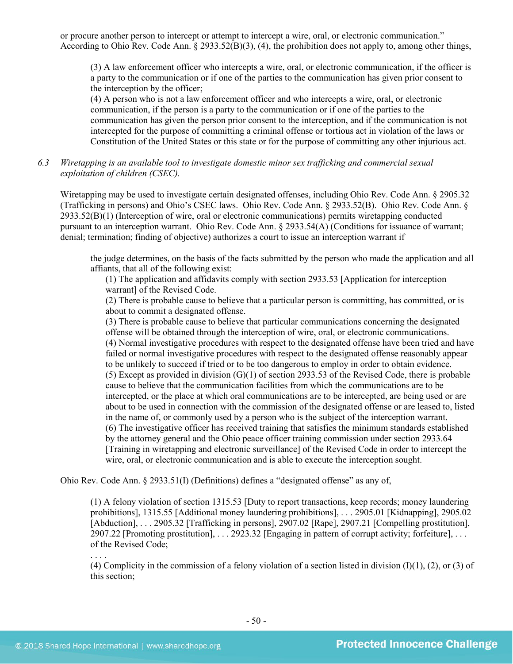or procure another person to intercept or attempt to intercept a wire, oral, or electronic communication." According to Ohio Rev. Code Ann.  $\S$  2933.52(B)(3), (4), the prohibition does not apply to, among other things,

(3) A law enforcement officer who intercepts a wire, oral, or electronic communication, if the officer is a party to the communication or if one of the parties to the communication has given prior consent to the interception by the officer;

(4) A person who is not a law enforcement officer and who intercepts a wire, oral, or electronic communication, if the person is a party to the communication or if one of the parties to the communication has given the person prior consent to the interception, and if the communication is not intercepted for the purpose of committing a criminal offense or tortious act in violation of the laws or Constitution of the United States or this state or for the purpose of committing any other injurious act.

*6.3 Wiretapping is an available tool to investigate domestic minor sex trafficking and commercial sexual exploitation of children (CSEC).* 

Wiretapping may be used to investigate certain designated offenses, including Ohio Rev. Code Ann. § 2905.32 (Trafficking in persons) and Ohio's CSEC laws. Ohio Rev. Code Ann. § 2933.52(B). Ohio Rev. Code Ann. § 2933.52(B)(1) (Interception of wire, oral or electronic communications) permits wiretapping conducted pursuant to an interception warrant. Ohio Rev. Code Ann. § 2933.54(A) (Conditions for issuance of warrant; denial; termination; finding of objective) authorizes a court to issue an interception warrant if

the judge determines, on the basis of the facts submitted by the person who made the application and all affiants, that all of the following exist:

(1) The application and affidavits comply with section 2933.53 [Application for interception warrant] of the Revised Code.

(2) There is probable cause to believe that a particular person is committing, has committed, or is about to commit a designated offense.

(3) There is probable cause to believe that particular communications concerning the designated offense will be obtained through the interception of wire, oral, or electronic communications. (4) Normal investigative procedures with respect to the designated offense have been tried and have failed or normal investigative procedures with respect to the designated offense reasonably appear to be unlikely to succeed if tried or to be too dangerous to employ in order to obtain evidence. (5) Except as provided in division  $(G)(1)$  of section 2933.53 of the Revised Code, there is probable cause to believe that the communication facilities from which the communications are to be intercepted, or the place at which oral communications are to be intercepted, are being used or are about to be used in connection with the commission of the designated offense or are leased to, listed in the name of, or commonly used by a person who is the subject of the interception warrant. (6) The investigative officer has received training that satisfies the minimum standards established by the attorney general and the Ohio peace officer training commission under section 2933.64 [Training in wiretapping and electronic surveillance] of the Revised Code in order to intercept the wire, oral, or electronic communication and is able to execute the interception sought.

Ohio Rev. Code Ann. § 2933.51(I) (Definitions) defines a "designated offense" as any of,

(1) A felony violation of section 1315.53 [Duty to report transactions, keep records; money laundering prohibitions], 1315.55 [Additional money laundering prohibitions], . . . 2905.01 [Kidnapping], 2905.02 [Abduction], ... 2905.32 [Trafficking in persons], 2907.02 [Rape], 2907.21 [Compelling prostitution], 2907.22 [Promoting prostitution], . . . 2923.32 [Engaging in pattern of corrupt activity; forfeiture], . . . of the Revised Code;

. . . .

(4) Complicity in the commission of a felony violation of a section listed in division  $(1)(1)$ , (2), or (3) of this section;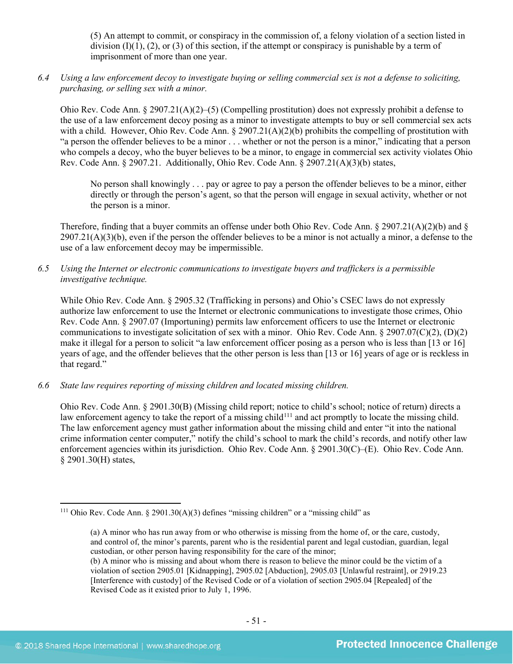(5) An attempt to commit, or conspiracy in the commission of, a felony violation of a section listed in division  $(I)(1)$ ,  $(2)$ , or  $(3)$  of this section, if the attempt or conspiracy is punishable by a term of imprisonment of more than one year.

*6.4 Using a law enforcement decoy to investigate buying or selling commercial sex is not a defense to soliciting, purchasing, or selling sex with a minor.*

Ohio Rev. Code Ann. § 2907.21(A)(2)–(5) (Compelling prostitution) does not expressly prohibit a defense to the use of a law enforcement decoy posing as a minor to investigate attempts to buy or sell commercial sex acts with a child. However, Ohio Rev. Code Ann.  $\S 2907.21(A)(2)(b)$  prohibits the compelling of prostitution with "a person the offender believes to be a minor . . . whether or not the person is a minor," indicating that a person who compels a decoy, who the buyer believes to be a minor, to engage in commercial sex activity violates Ohio Rev. Code Ann. § 2907.21. Additionally, Ohio Rev. Code Ann. § 2907.21(A)(3)(b) states,

No person shall knowingly . . . pay or agree to pay a person the offender believes to be a minor, either directly or through the person's agent, so that the person will engage in sexual activity, whether or not the person is a minor.

Therefore, finding that a buyer commits an offense under both Ohio Rev. Code Ann.  $\S 2907.21(A)(2)(b)$  and  $\S$  $2907.21(A)(3)(b)$ , even if the person the offender believes to be a minor is not actually a minor, a defense to the use of a law enforcement decoy may be impermissible.

*6.5 Using the Internet or electronic communications to investigate buyers and traffickers is a permissible investigative technique.*

While Ohio Rev. Code Ann. § 2905.32 (Trafficking in persons) and Ohio's CSEC laws do not expressly authorize law enforcement to use the Internet or electronic communications to investigate those crimes, Ohio Rev. Code Ann. § 2907.07 (Importuning) permits law enforcement officers to use the Internet or electronic communications to investigate solicitation of sex with a minor. Ohio Rev. Code Ann. § 2907.07(C)(2), (D)(2) make it illegal for a person to solicit "a law enforcement officer posing as a person who is less than [13 or 16] years of age, and the offender believes that the other person is less than [13 or 16] years of age or is reckless in that regard."

*6.6 State law requires reporting of missing children and located missing children.* 

<span id="page-50-1"></span>Ohio Rev. Code Ann. § 2901.30(B) (Missing child report; notice to child's school; notice of return) directs a law enforcement agency to take the report of a missing child<sup>[111](#page-50-0)</sup> and act promptly to locate the missing child. The law enforcement agency must gather information about the missing child and enter "it into the national crime information center computer," notify the child's school to mark the child's records, and notify other law enforcement agencies within its jurisdiction. Ohio Rev. Code Ann. § 2901.30(C)–(E). Ohio Rev. Code Ann. § 2901.30(H) states,

<span id="page-50-0"></span><sup>&</sup>lt;sup>111</sup> Ohio Rev. Code Ann. § 2901.30(A)(3) defines "missing children" or a "missing child" as

<sup>(</sup>a) A minor who has run away from or who otherwise is missing from the home of, or the care, custody, and control of, the minor's parents, parent who is the residential parent and legal custodian, guardian, legal custodian, or other person having responsibility for the care of the minor;

<sup>(</sup>b) A minor who is missing and about whom there is reason to believe the minor could be the victim of a violation of section 2905.01 [Kidnapping], 2905.02 [Abduction], 2905.03 [Unlawful restraint], or 2919.23 [Interference with custody] of the Revised Code or of a violation of section 2905.04 [Repealed] of the Revised Code as it existed prior to July 1, 1996.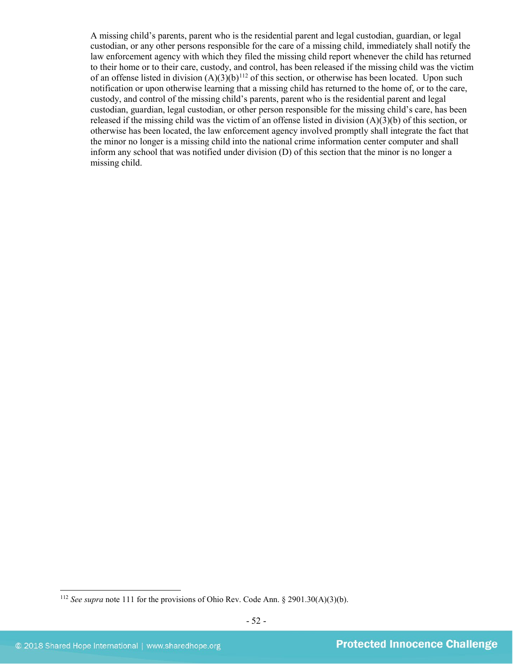A missing child's parents, parent who is the residential parent and legal custodian, guardian, or legal custodian, or any other persons responsible for the care of a missing child, immediately shall notify the law enforcement agency with which they filed the missing child report whenever the child has returned to their home or to their care, custody, and control, has been released if the missing child was the victim of an offense listed in division  $(A)(3)(b)^{112}$  $(A)(3)(b)^{112}$  $(A)(3)(b)^{112}$  of this section, or otherwise has been located. Upon such notification or upon otherwise learning that a missing child has returned to the home of, or to the care, custody, and control of the missing child's parents, parent who is the residential parent and legal custodian, guardian, legal custodian, or other person responsible for the missing child's care, has been released if the missing child was the victim of an offense listed in division (A)(3)(b) of this section, or otherwise has been located, the law enforcement agency involved promptly shall integrate the fact that the minor no longer is a missing child into the national crime information center computer and shall inform any school that was notified under division (D) of this section that the minor is no longer a missing child.

<span id="page-51-0"></span><sup>112</sup> *See supra* not[e 111](#page-50-1) for the provisions of Ohio Rev. Code Ann. § 2901.30(A)(3)(b).